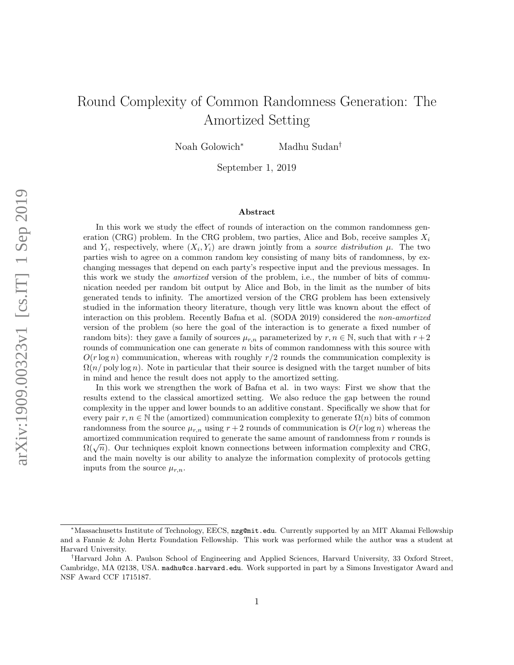# <span id="page-0-0"></span>Round Complexity of Common Randomness Generation: The Amortized Setting

Noah Golowich<sup>∗</sup> Madhu Sudan†

September 1, 2019

#### Abstract

In this work we study the effect of rounds of interaction on the common randomness generation (CRG) problem. In the CRG problem, two parties, Alice and Bob, receive samples  $X_i$ and  $Y_i$ , respectively, where  $(X_i, Y_i)$  are drawn jointly from a source distribution  $\mu$ . The two parties wish to agree on a common random key consisting of many bits of randomness, by exchanging messages that depend on each party's respective input and the previous messages. In this work we study the *amortized* version of the problem, i.e., the number of bits of communication needed per random bit output by Alice and Bob, in the limit as the number of bits generated tends to infinity. The amortized version of the CRG problem has been extensively studied in the information theory literature, though very little was known about the effect of interaction on this problem. Recently Bafna et al. (SODA 2019) considered the non-amortized version of the problem (so here the goal of the interaction is to generate a fixed number of random bits): they gave a family of sources  $\mu_{r,n}$  parameterized by  $r, n \in \mathbb{N}$ , such that with  $r+2$ rounds of communication one can generate  $n$  bits of common randomness with this source with  $O(r \log n)$  communication, whereas with roughly  $r/2$  rounds the communication complexity is  $\Omega(n/\text{poly}\log n)$ . Note in particular that their source is designed with the target number of bits in mind and hence the result does not apply to the amortized setting.

In this work we strengthen the work of Bafna et al. in two ways: First we show that the results extend to the classical amortized setting. We also reduce the gap between the round complexity in the upper and lower bounds to an additive constant. Specifically we show that for every pair  $r, n \in \mathbb{N}$  the (amortized) communication complexity to generate  $\Omega(n)$  bits of common randomness from the source  $\mu_{r,n}$  using  $r+2$  rounds of communication is  $O(r \log n)$  whereas the amortized communication required to generate the same amount of randomness from r rounds is amortized communication required to generate the same amount of randomness from r rounds is  $\Omega(\sqrt{n})$ . Our techniques exploit known connections between information complexity and CRG, and the main novelty is our ability to analyze the information complexity of protocols getting inputs from the source  $\mu_{r,n}$ .

<sup>∗</sup>Massachusetts Institute of Technology, EECS, nzg@mit.edu. Currently supported by an MIT Akamai Fellowship and a Fannie & John Hertz Foundation Fellowship. This work was performed while the author was a student at Harvard University.

<sup>†</sup>Harvard John A. Paulson School of Engineering and Applied Sciences, Harvard University, 33 Oxford Street, Cambridge, MA 02138, USA. madhu@cs.harvard.edu. Work supported in part by a Simons Investigator Award and NSF Award CCF 1715187.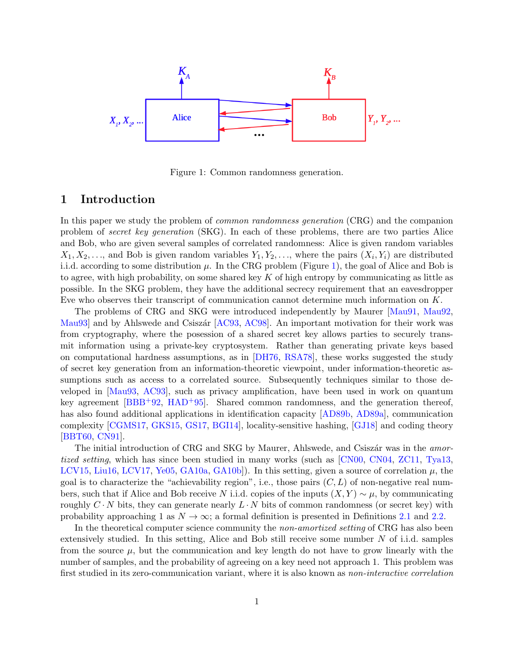$$
X_{1}, X_{2}, \ldots
$$
 
$$
X_{1}, X_{2}, \ldots
$$
 
$$
X_{1}, X_{2}, \ldots
$$
 
$$
X_{2}, X_{3}, \ldots
$$

<span id="page-1-0"></span>Figure 1: Common randomness generation.

### 1 Introduction

In this paper we study the problem of common randomness generation (CRG) and the companion problem of secret key generation (SKG). In each of these problems, there are two parties Alice and Bob, who are given several samples of correlated randomness: Alice is given random variables  $X_1, X_2, \ldots$ , and Bob is given random variables  $Y_1, Y_2, \ldots$ , where the pairs  $(X_i, Y_i)$  are distributed i.i.d. according to some distribution  $\mu$ . In the CRG problem (Figure [1\)](#page-1-0), the goal of Alice and Bob is to agree, with high probability, on some shared key  $K$  of high entropy by communicating as little as possible. In the SKG problem, they have the additional secrecy requirement that an eavesdropper Eve who observes their transcript of communication cannot determine much information on K.

The problems of CRG and SKG were introduced independently by Maurer [\[Mau91,](#page-39-0) [Mau92,](#page-39-1) Mau93 and by Ahlswede and Csiszár [\[AC93,](#page-36-0) [AC98\]](#page-36-1). An important motivation for their work was from cryptography, where the posession of a shared secret key allows parties to securely transmit information using a private-key cryptosystem. Rather than generating private keys based on computational hardness assumptions, as in [\[DH76,](#page-38-0) [RSA78\]](#page-40-0), these works suggested the study of secret key generation from an information-theoretic viewpoint, under information-theoretic assumptions such as access to a correlated source. Subsequently techniques similar to those developed in [\[Mau93,](#page-39-2) [AC93\]](#page-36-0), such as privacy amplification, have been used in work on quantum key agreement [\[BBB](#page-36-2)+92, [HAD](#page-38-1)+95]. Shared common randomness, and the generation thereof, has also found additional applications in identification capacity [\[AD89b,](#page-36-3) [AD89a\]](#page-36-4), communication complexity [\[CGMS17,](#page-37-0) [GKS15,](#page-38-2) [GS17,](#page-38-3) [BGI14\]](#page-37-1), locality-sensitive hashing, [\[GJ18\]](#page-38-4) and coding theory [\[BBT60,](#page-36-5) [CN91\]](#page-37-2).

The initial introduction of CRG and SKG by Maurer, Ahlswede, and Csiszar was in the *amor*tized setting, which has since been studied in many works (such as [\[CN00,](#page-37-3) [CN04,](#page-37-4) [ZC11,](#page-40-1) [Tya13,](#page-40-2) [LCV15,](#page-39-3) [Liu16,](#page-39-4) [LCV17,](#page-39-5) [Ye05,](#page-40-3) [GA10a,](#page-38-5) [GA10b\]](#page-38-6)). In this setting, given a source of correlation  $\mu$ , the goal is to characterize the "achievability region", i.e., those pairs  $(C, L)$  of non-negative real numbers, such that if Alice and Bob receive N i.i.d. copies of the inputs  $(X, Y) \sim \mu$ , by communicating roughly  $C \cdot N$  bits, they can generate nearly  $L \cdot N$  bits of common randomness (or secret key) with probability approaching 1 as  $N \to \infty$ ; a formal definition is presented in Definitions [2.1](#page-5-0) and [2.2.](#page-6-0)

In the theoretical computer science community the *non-amortized setting* of CRG has also been extensively studied. In this setting, Alice and Bob still receive some number  $N$  of i.i.d. samples from the source  $\mu$ , but the communication and key length do not have to grow linearly with the number of samples, and the probability of agreeing on a key need not approach 1. This problem was first studied in its zero-communication variant, where it is also known as *non-interactive correlation*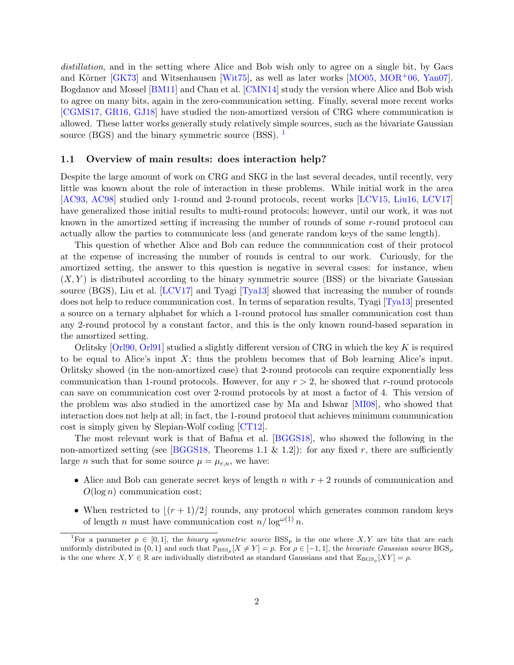distillation, and in the setting where Alice and Bob wish only to agree on a single bit, by Gacs and Körner  $\left[\frac{G}{X73}\right]$  and Witsenhausen  $\left[\frac{W}{75}\right]$ , as well as later works  $\left[\frac{MO05}{MO06},\frac{MOR^{+}06}{OM}\right]$  $\left[\frac{MO05}{MO06},\frac{MOR^{+}06}{OM}\right]$  $\left[\frac{MO05}{MO06},\frac{MOR^{+}06}{OM}\right]$ . Bogdanov and Mossel [\[BM11\]](#page-37-5) and Chan et al. [\[CMN14\]](#page-37-6) study the version where Alice and Bob wish to agree on many bits, again in the zero-communication setting. Finally, several more recent works [\[CGMS17,](#page-37-0) [GR16,](#page-38-8) [GJ18\]](#page-38-4) have studied the non-amortized version of CRG where communication is allowed. These latter works generally study relatively simple sources, such as the bivariate Gaussian source (BGS) and the binary symmetric source (BSS).  $\frac{1}{1}$  $\frac{1}{1}$  $\frac{1}{1}$ 

#### <span id="page-2-0"></span>1.1 Overview of main results: does interaction help?

Despite the large amount of work on CRG and SKG in the last several decades, until recently, very little was known about the role of interaction in these problems. While initial work in the area [\[AC93,](#page-36-0) [AC98\]](#page-36-1) studied only 1-round and 2-round protocols, recent works [\[LCV15,](#page-39-3) [Liu16,](#page-39-4) [LCV17\]](#page-39-5) have generalized those initial results to multi-round protocols; however, until our work, it was not known in the amortized setting if increasing the number of rounds of some r-round protocol can actually allow the parties to communicate less (and generate random keys of the same length).

This question of whether Alice and Bob can reduce the communication cost of their protocol at the expense of increasing the number of rounds is central to our work. Curiously, for the amortized setting, the answer to this question is negative in several cases: for instance, when  $(X, Y)$  is distributed according to the binary symmetric source (BSS) or the bivariate Gaussian source (BGS), Liu et al. [\[LCV17\]](#page-39-5) and Tyagi [\[Tya13\]](#page-40-2) showed that increasing the number of rounds does not help to reduce communication cost. In terms of separation results, Tyagi [\[Tya13\]](#page-40-2) presented a source on a ternary alphabet for which a 1-round protocol has smaller communication cost than any 2-round protocol by a constant factor, and this is the only known round-based separation in the amortized setting.

Orlitsky  $[Orl90, Orl91]$  $[Orl90, Orl91]$  studied a slightly different version of CRG in which the key K is required to be equal to Alice's input  $X$ ; thus the problem becomes that of Bob learning Alice's input. Orlitsky showed (in the non-amortized case) that 2-round protocols can require exponentially less communication than 1-round protocols. However, for any  $r > 2$ , he showed that r-round protocols can save on communication cost over 2-round protocols by at most a factor of 4. This version of the problem was also studied in the amortized case by Ma and Ishwar [\[MI08\]](#page-39-8), who showed that interaction does not help at all; in fact, the 1-round protocol that achieves minimum communication cost is simply given by Slepian-Wolf coding [\[CT12\]](#page-38-9).

The most relevant work is that of Bafna et al. [\[BGGS18\]](#page-37-7), who showed the following in the non-amortized setting (see [\[BGGS18,](#page-37-7) Theorems 1.1 & 1.2]): for any fixed r, there are sufficiently large *n* such that for some source  $\mu = \mu_{r,n}$ , we have:

- Alice and Bob can generate secret keys of length n with  $r + 2$  rounds of communication and  $O(\log n)$  communication cost;
- When restricted to  $|(r + 1)/2|$  rounds, any protocol which generates common random keys of length *n* must have communication cost  $n/\log^{\omega(1)} n$ .

<sup>&</sup>lt;sup>1</sup>For a parameter  $p \in [0, 1]$ , the *binary symmetric source* BSS<sub>p</sub> is the one where X, Y are bits that are each uniformly distributed in  $\{0,1\}$  and such that  $\mathbb{P}_{\text{BSS}_p}[X \neq Y] = p$ . For  $\rho \in [-1,1]$ , the bivariate Gaussian source  $\text{BGS}_\rho$ is the one where  $X, Y \in \mathbb{R}$  are individually distributed as standard Gaussians and that  $\mathbb{E}_{\text{BGS}_{\rho}}[XY] = \rho$ .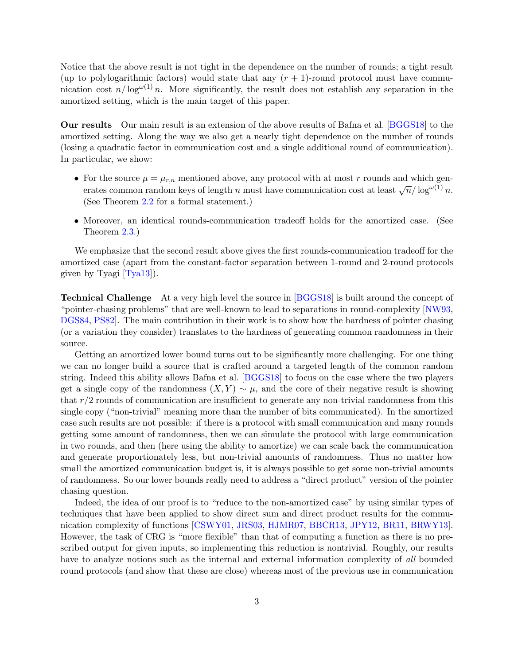Notice that the above result is not tight in the dependence on the number of rounds; a tight result (up to polylogarithmic factors) would state that any  $(r + 1)$ -round protocol must have communication cost  $n/\log^{\omega(1)} n$ . More significantly, the result does not establish any separation in the amortized setting, which is the main target of this paper.

Our results Our main result is an extension of the above results of Bafna et al. [\[BGGS18\]](#page-37-7) to the amortized setting. Along the way we also get a nearly tight dependence on the number of rounds (losing a quadratic factor in communication cost and a single additional round of communication). In particular, we show:

- For the source  $\mu = \mu_{r,n}$  mentioned above, any protocol with at most r rounds and which generates common random keys of length *n* must have communication cost at least  $\sqrt{n}/\log^{\omega(1)} n$ . (See Theorem [2.2](#page-8-0) for a formal statement.)
- Moreover, an identical rounds-communication tradeoff holds for the amortized case. (See Theorem [2.3.](#page-8-1))

We emphasize that the second result above gives the first rounds-communication tradeoff for the amortized case (apart from the constant-factor separation between 1-round and 2-round protocols given by Tyagi [\[Tya13\]](#page-40-2)).

**Technical Challenge** At a very high level the source in [\[BGGS18\]](#page-37-7) is built around the concept of "pointer-chasing problems" that are well-known to lead to separations in round-complexity [\[NW93,](#page-39-9) [DGS84,](#page-38-10) [PS82\]](#page-40-8). The main contribution in their work is to show how the hardness of pointer chasing (or a variation they consider) translates to the hardness of generating common randomness in their source.

Getting an amortized lower bound turns out to be significantly more challenging. For one thing we can no longer build a source that is crafted around a targeted length of the common random string. Indeed this ability allows Bafna et al. [\[BGGS18\]](#page-37-7) to focus on the case where the two players get a single copy of the randomness  $(X, Y) \sim \mu$ , and the core of their negative result is showing that  $r/2$  rounds of communication are insufficient to generate any non-trivial randomness from this single copy ("non-trivial" meaning more than the number of bits communicated). In the amortized case such results are not possible: if there is a protocol with small communication and many rounds getting some amount of randomness, then we can simulate the protocol with large communication in two rounds, and then (here using the ability to amortize) we can scale back the communuication and generate proportionately less, but non-trivial amounts of randomness. Thus no matter how small the amortized communication budget is, it is always possible to get some non-trivial amounts of randomness. So our lower bounds really need to address a "direct product" version of the pointer chasing question.

Indeed, the idea of our proof is to "reduce to the non-amortized case" by using similar types of techniques that have been applied to show direct sum and direct product results for the communication complexity of functions [\[CSWY01,](#page-38-11) [JRS03,](#page-39-10) [HJMR07,](#page-38-12) [BBCR13,](#page-36-6) [JPY12,](#page-39-11) [BR11,](#page-37-8) [BRWY13\]](#page-37-9). However, the task of CRG is "more flexible" than that of computing a function as there is no prescribed output for given inputs, so implementing this reduction is nontrivial. Roughly, our results have to analyze notions such as the internal and external information complexity of all bounded round protocols (and show that these are close) whereas most of the previous use in communication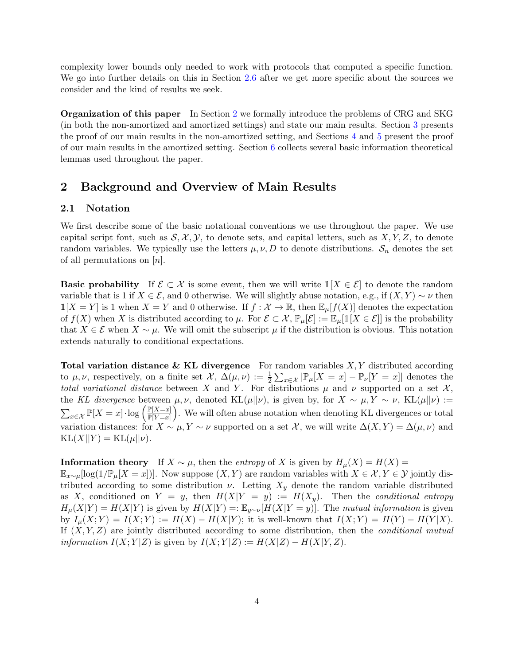complexity lower bounds only needed to work with protocols that computed a specific function. We go into further details on this in Section [2.6](#page-9-0) after we get more specific about the sources we consider and the kind of results we seek.

Organization of this paper In Section [2](#page-4-0) we formally introduce the problems of CRG and SKG (in both the non-amortized and amortized settings) and state our main results. Section [3](#page-10-0) presents the proof of our main results in the non-amortized setting, and Sections [4](#page-17-0) and [5](#page-27-0) present the proof of our main results in the amortized setting. Section [6](#page-32-0) collects several basic information theoretical lemmas used throughout the paper.

### <span id="page-4-0"></span>2 Background and Overview of Main Results

### 2.1 Notation

We first describe some of the basic notational conventions we use throughout the paper. We use capital script font, such as  $S, \mathcal{X}, \mathcal{Y},$  to denote sets, and capital letters, such as  $X, Y, Z$ , to denote random variables. We typically use the letters  $\mu, \nu, D$  to denote distributions.  $S_n$  denotes the set of all permutations on  $[n]$ .

**Basic probability** If  $\mathcal{E} \subset \mathcal{X}$  is some event, then we will write  $\mathbb{1}[X \in \mathcal{E}]$  to denote the random variable that is 1 if  $X \in \mathcal{E}$ , and 0 otherwise. We will slightly abuse notation, e.g., if  $(X, Y) \sim \nu$  then  $\mathbb{1}[X = Y]$  is 1 when  $X = Y$  and 0 otherwise. If  $f : \mathcal{X} \to \mathbb{R}$ , then  $\mathbb{E}_{\mu}[f(X)]$  denotes the expectation of  $f(X)$  when X is distributed according to  $\mu$ . For  $\mathcal{E} \subset \mathcal{X}, \mathbb{P}_{\mu}[\mathcal{E}] := \mathbb{E}_{\mu}[\mathbb{1}[X \in \mathcal{E}]]$  is the probability that  $X \in \mathcal{E}$  when  $X \sim \mu$ . We will omit the subscript  $\mu$  if the distribution is obvious. This notation extends naturally to conditional expectations.

**Total variation distance & KL divergence** For random variables  $X, Y$  distributed according to  $\mu, \nu$ , respectively, on a finite set  $\mathcal{X}, \Delta(\mu, \nu) := \frac{1}{2} \sum_{x \in \mathcal{X}} |\mathbb{P}_{\mu}[X=x] - \mathbb{P}_{\nu}[Y=x]|$  denotes the total variational distance between X and Y. For distributions  $\mu$  and  $\nu$  supported on a set X, the KL divergence between  $\mu, \nu$ , denoted KL( $\mu||\nu$ ), is given by, for  $X \sim \mu, Y \sim \nu$ , KL( $\mu||\nu$ ) :=  $\sum_{x \in \mathcal{X}} \mathbb{P}[X = x] \cdot \log \left( \frac{\mathbb{P}[X = x]}{\mathbb{P}[Y = x]} \right)$  $\frac{\mathbb{P}[X=x]}{\mathbb{P}[Y=x]}$ . We will often abuse notation when denoting KL divergences or total variation distances: for  $X \sim \mu$ ,  $Y \sim \nu$  supported on a set X, we will write  $\Delta(X, Y) = \Delta(\mu, \nu)$  and  $\text{KL}(X||Y) = \text{KL}(\mu||\nu).$ 

**Information theory** If  $X \sim \mu$ , then the *entropy* of X is given by  $H_{\mu}(X) = H(X)$ 

 $\mathbb{E}_{x\sim\mu}[\log(1/\mathbb{P}_{\mu}[X=x])].$  Now suppose  $(X,Y)$  are random variables with  $X \in \mathcal{X}, Y \in \mathcal{Y}$  jointly distributed according to some distribution  $\nu$ . Letting  $X_y$  denote the random variable distributed as X, conditioned on  $Y = y$ , then  $H(X|Y = y) := H(X_y)$ . Then the conditional entropy  $H_{\mu}(X|Y) = H(X|Y)$  is given by  $H(X|Y) =: \mathbb{E}_{y \sim \nu}[H(X|Y=y)].$  The mutual information is given by  $I_{\mu}(X;Y) = I(X;Y) := H(X) - H(X|Y)$ ; it is well-known that  $I(X;Y) = H(Y) - H(Y|X)$ . If  $(X, Y, Z)$  are jointly distributed according to some distribution, then the *conditional mutual information*  $I(X; Y|Z)$  is given by  $I(X; Y|Z) := H(X|Z) - H(X|Y, Z)$ .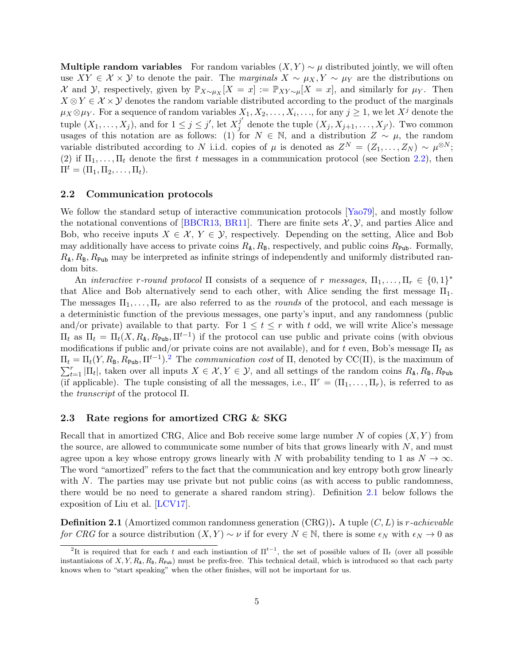Multiple random variables For random variables  $(X, Y) \sim \mu$  distributed jointly, we will often use  $XY \in \mathcal{X} \times \mathcal{Y}$  to denote the pair. The marginals  $X \sim \mu_X, Y \sim \mu_Y$  are the distributions on X and Y, respectively, given by  $\mathbb{P}_{X\sim\mu_X}[X=x] := \mathbb{P}_{XY\sim\mu}[X=x]$ , and similarly for  $\mu_Y$ . Then  $X \otimes Y \in \mathcal{X} \times \mathcal{Y}$  denotes the random variable distributed according to the product of the marginals  $\mu_X \otimes \mu_Y$ . For a sequence of random variables  $X_1, X_2, \ldots, X_i, \ldots$ , for any  $j \geq 1$ , we let  $X^j$  denote the tuple  $(X_1, \ldots, X_j)$ , and for  $1 \leq j \leq j'$ , let  $X_j^{j'}$  $j \atop j$  denote the tuple  $(X_j, X_{j+1}, \ldots, X_{j'})$ . Two common usages of this notation are as follows: (1) for  $N \in \mathbb{N}$ , and a distribution  $Z \sim \mu$ , the random variable distributed according to N i.i.d. copies of  $\mu$  is denoted as  $Z^N = (Z_1, \ldots, Z_N) \sim \mu^{\otimes N}$ ; (2) if  $\Pi_1, \ldots, \Pi_t$  denote the first t messages in a communication protocol (see Section [2.2\)](#page-5-1), then  $\Pi^t = (\Pi_1, \Pi_2, \ldots, \Pi_t).$ 

### <span id="page-5-1"></span>2.2 Communication protocols

We follow the standard setup of interactive communication protocols [\[Yao79\]](#page-40-9), and mostly follow the notational conventions of [\[BBCR13,](#page-36-6) [BR11\]](#page-37-8). There are finite sets  $\mathcal{X}, \mathcal{Y}$ , and parties Alice and Bob, who receive inputs  $X \in \mathcal{X}, Y \in \mathcal{Y}$ , respectively. Depending on the setting, Alice and Bob may additionally have access to private coins  $R_A$ ,  $R_B$ , respectively, and public coins  $R_{\text{Pub}}$ . Formally,  $R_{\rm A}, R_{\rm B}, R_{\rm Pub}$  may be interpreted as infinite strings of independently and uniformly distributed random bits.

An *interactive r-round protocol*  $\Pi$  consists of a sequence of r messages,  $\Pi_1, \ldots, \Pi_r \in \{0,1\}^*$ that Alice and Bob alternatively send to each other, with Alice sending the first message  $\Pi_1$ . The messages  $\Pi_1, \ldots, \Pi_r$  are also referred to as the *rounds* of the protocol, and each message is a deterministic function of the previous messages, one party's input, and any randomness (public and/or private) available to that party. For  $1 \leq t \leq r$  with t odd, we will write Alice's message  $\Pi_t$  as  $\Pi_t = \Pi_t(X, R_A, R_{\text{Pub}}, \Pi^{t-1})$  if the protocol can use public and private coins (with obvious modifications if public and/or private coins are not available), and for t even, Bob's message  $\Pi_t$  as  $\Pi_t = \Pi_t(Y, R_B, R_{\text{Pub}}, \Pi^{t-1})$ . The communication cost of  $\Pi$ , denoted by CC( $\Pi$ ), is the maximum of  $\sum_{t=1}^r |\Pi_t|$ , taken over all inputs  $X \in \mathcal{X}, Y \in \mathcal{Y}$ , and all settings of the random coins  $R_A, R_B, R_{\text{Pub}}$ (if applicable). The tuple consisting of all the messages, i.e.,  $\Pi^r = (\Pi_1, \ldots, \Pi_r)$ , is referred to as the transcript of the protocol Π.

### 2.3 Rate regions for amortized CRG & SKG

Recall that in amortized CRG, Alice and Bob receive some large number N of copies  $(X, Y)$  from the source, are allowed to communicate some number of bits that grows linearly with  $N$ , and must agree upon a key whose entropy grows linearly with N with probability tending to 1 as  $N \to \infty$ . The word "amortized" refers to the fact that the communication and key entropy both grow linearly with N. The parties may use private but not public coins (as with access to public randomness, there would be no need to generate a shared random string). Definition [2.1](#page-5-0) below follows the exposition of Liu et al. [\[LCV17\]](#page-39-5).

<span id="page-5-0"></span>**Definition 2.1** (Amortized common randomness generation  $(CRG)$ ). A tuple  $(C, L)$  is r-achievable for CRG for a source distribution  $(X, Y) \sim \nu$  if for every  $N \in \mathbb{N}$ , there is some  $\epsilon_N$  with  $\epsilon_N \to 0$  as

<sup>&</sup>lt;sup>2</sup>It is required that for each t and each instiantion of  $\Pi^{t-1}$ , the set of possible values of  $\Pi_t$  (over all possible instantiaions of  $X, Y, R_A, R_B, R_{\text{Pub}}$  must be prefix-free. This technical detail, which is introduced so that each party knows when to "start speaking" when the other finishes, will not be important for us.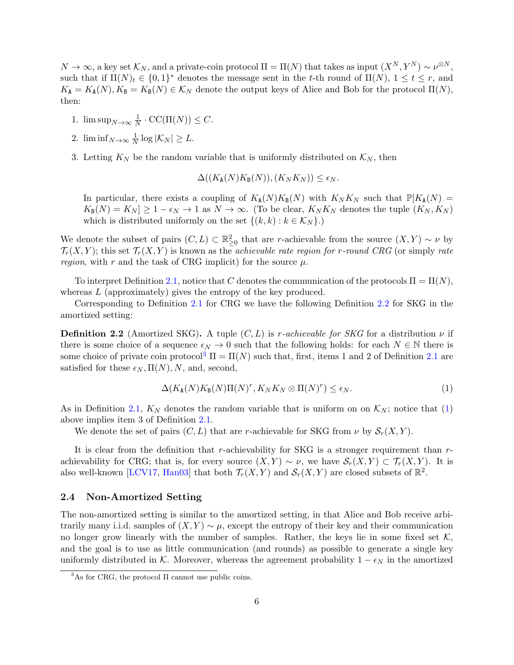$N \to \infty$ , a key set  $\mathcal{K}_N$ , and a private-coin protocol  $\Pi = \Pi(N)$  that takes as input  $(X^N, Y^N) \sim \nu^{\otimes N}$ , such that if  $\Pi(N)_t \in \{0,1\}^*$  denotes the message sent in the t-th round of  $\Pi(N)$ ,  $1 \le t \le r$ , and  $K_{\mathbf{A}} = K_{\mathbf{A}}(N), K_{\mathbf{B}} = K_{\mathbf{B}}(N) \in \mathcal{K}_N$  denote the output keys of Alice and Bob for the protocol  $\Pi(N)$ , then:

- 1.  $\limsup_{N\to\infty}\frac{1}{N}$  $\frac{1}{N} \cdot CC(\Pi(N)) \leq C.$
- 2.  $\liminf_{N\to\infty}\frac{1}{N}$  $\frac{1}{N}\log|{\cal K}_N|\geq L.$
- 3. Letting  $K_N$  be the random variable that is uniformly distributed on  $\mathcal{K}_N$ , then

$$
\Delta((K_{\mathbf{A}}(N)K_{\mathbf{B}}(N)), (K_{N}K_{N})) \leq \epsilon_{N}.
$$

In particular, there exists a coupling of  $K_A(N)K_B(N)$  with  $K_NK_N$  such that  $\mathbb{P}[K_A(N) =$  $K_{\mathbb{B}}(N) = K_N \geq 1 - \epsilon_N \to 1$  as  $N \to \infty$ . (To be clear,  $K_N K_N$  denotes the tuple  $(K_N, K_N)$ ) which is distributed uniformly on the set  $\{(k, k) : k \in \mathcal{K}_N\}$ .

We denote the subset of pairs  $(C, L) \subset \mathbb{R}^2_{\geq 0}$  that are r-achievable from the source  $(X, Y) \sim \nu$  by  $\mathcal{T}_r(X, Y)$ ; this set  $\mathcal{T}_r(X, Y)$  is known as the *achievable rate region for r-round CRG* (or simply *rate* region, with r and the task of CRG implicit) for the source  $\mu$ .

To interpret Definition [2.1,](#page-5-0) notice that C denotes the communication of the protocols  $\Pi = \Pi(N)$ , whereas L (approximately) gives the entropy of the key produced.

Corresponding to Definition [2.1](#page-5-0) for CRG we have the following Definition [2.2](#page-6-0) for SKG in the amortized setting:

<span id="page-6-0"></span>**Definition 2.2** (Amortized SKG). A tuple  $(C, L)$  is r-achievable for SKG for a distribution  $\nu$  if there is some choice of a sequence  $\epsilon_N \to 0$  such that the following holds: for each  $N \in \mathbb{N}$  there is some choice of private coin protocol<sup>[3](#page-0-0)</sup>  $\Pi = \Pi(N)$  such that, first, items 1 and 2 of Definition [2.1](#page-5-0) are satisfied for these  $\epsilon_N$ ,  $\Pi(N)$ , N, and, second,

<span id="page-6-1"></span>
$$
\Delta(K_{\mathbf{A}}(N)K_{\mathbf{B}}(N)\Pi(N)^{r}, K_{N}K_{N} \otimes \Pi(N)^{r}) \le \epsilon_{N}.
$$
\n(1)

As in Definition [2.1,](#page-5-0)  $K_N$  denotes the random variable that is uniform on on  $K_N$ ; notice that [\(1\)](#page-6-1) above implies item 3 of Definition [2.1.](#page-5-0)

We denote the set of pairs  $(C, L)$  that are r-achievable for SKG from  $\nu$  by  $\mathcal{S}_r(X, Y)$ .

It is clear from the definition that r-achievability for SKG is a stronger requirement than  $r$ achievability for CRG; that is, for every source  $(X, Y) \sim \nu$ , we have  $\mathcal{S}_r(X, Y) \subset \mathcal{T}_r(X, Y)$ . It is also well-known [\[LCV17,](#page-39-5) [Han03\]](#page-38-13) that both  $\mathcal{T}_r(X,Y)$  and  $\mathcal{S}_r(X,Y)$  are closed subsets of  $\mathbb{R}^2$ .

### 2.4 Non-Amortized Setting

The non-amortized setting is similar to the amortized setting, in that Alice and Bob receive arbitrarily many i.i.d. samples of  $(X, Y) \sim \mu$ , except the entropy of their key and their communication no longer grow linearly with the number of samples. Rather, the keys lie in some fixed set  $K$ , and the goal is to use as little communication (and rounds) as possible to generate a single key uniformly distributed in K. Moreover, whereas the agreement probability  $1 - \epsilon_N$  in the amortized

 ${}^{3}$ As for CRG, the protocol  $\Pi$  cannot use public coins.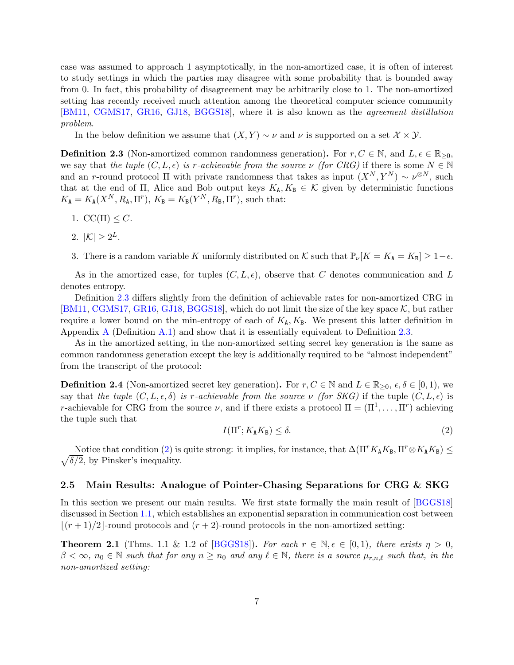case was assumed to approach 1 asymptotically, in the non-amortized case, it is often of interest to study settings in which the parties may disagree with some probability that is bounded away from 0. In fact, this probability of disagreement may be arbitrarily close to 1. The non-amortized setting has recently received much attention among the theoretical computer science community [\[BM11,](#page-37-5) [CGMS17,](#page-37-0) [GR16,](#page-38-8) [GJ18,](#page-38-4) [BGGS18\]](#page-37-7), where it is also known as the agreement distillation problem.

In the below definition we assume that  $(X, Y) \sim \nu$  and  $\nu$  is supported on a set  $\mathcal{X} \times \mathcal{Y}$ .

<span id="page-7-0"></span>**Definition 2.3** (Non-amortized common randomness generation). For  $r, C \in \mathbb{N}$ , and  $L, \epsilon \in \mathbb{R}_{\geq 0}$ , we say that the tuple  $(C, L, \epsilon)$  is r-achievable from the source  $\nu$  (for CRG) if there is some  $N \in \mathbb{N}$ and an r-round protocol  $\Pi$  with private randomness that takes as input  $(X^N, Y^N) \sim \nu^{\otimes N}$ , such that at the end of Π, Alice and Bob output keys  $K_A, K_B \in \mathcal{K}$  given by deterministic functions  $K_{\mathbf{A}} = K_{\mathbf{A}}(X^N, R_{\mathbf{A}}, \Pi^r), K_{\mathbf{B}} = K_{\mathbf{B}}(Y^N, R_{\mathbf{B}}, \Pi^r),$  such that:

- 1.  $CC(\Pi) \leq C$ .
- 2.  $|\mathcal{K}| \geq 2^L$ .
- 3. There is a random variable K uniformly distributed on K such that  $\mathbb{P}_{\nu}[K = K_{\mathbf{A}} = K_{\mathbf{B}}] \geq 1 \epsilon$ .

As in the amortized case, for tuples  $(C, L, \epsilon)$ , observe that C denotes communication and L denotes entropy.

Definition [2.3](#page-7-0) differs slightly from the definition of achievable rates for non-amortized CRG in [\[BM11,](#page-37-5) [CGMS17,](#page-37-0) [GR16,](#page-38-8) [GJ18,](#page-38-4) [BGGS18\]](#page-37-7), which do not limit the size of the key space  $K$ , but rather require a lower bound on the min-entropy of each of  $K_A, K_B$ . We present this latter definition in Appendix [A](#page-34-0) (Definition [A.1\)](#page-35-0) and show that it is essentially equivalent to Definition [2.3.](#page-7-0)

As in the amortized setting, in the non-amortized setting secret key generation is the same as common randomness generation except the key is additionally required to be "almost independent" from the transcript of the protocol:

**Definition 2.4** (Non-amortized secret key generation). For  $r, C \in \mathbb{N}$  and  $L \in \mathbb{R}_{\geq 0}$ ,  $\epsilon, \delta \in [0, 1)$ , we say that the tuple  $(C, L, \epsilon, \delta)$  is r-achievable from the source  $\nu$  (for SKG) if the tuple  $(C, L, \epsilon)$  is r-achievable for CRG from the source  $\nu$ , and if there exists a protocol  $\Pi = (\Pi^1, \dots, \Pi^r)$  achieving the tuple such that

<span id="page-7-1"></span>
$$
I(\Pi^r; K_\mathbf{A} K_\mathbf{B}) \le \delta. \tag{2}
$$

 $\sqrt{\delta/2}$ , by Pinsker's inequality. Notice that condition [\(2\)](#page-7-1) is quite strong: it implies, for instance, that  $\Delta(\Pi^rK_AK_B, \Pi^r\otimes K_AK_B) \leq$ 

#### 2.5 Main Results: Analogue of Pointer-Chasing Separations for CRG & SKG

In this section we present our main results. We first state formally the main result of [\[BGGS18\]](#page-37-7) discussed in Section [1.1,](#page-2-0) which establishes an exponential separation in communication cost between  $|(r + 1)/2|$ -round protocols and  $(r + 2)$ -round protocols in the non-amortized setting:

<span id="page-7-2"></span>**Theorem 2.1** (Thms. 1.1 & 1.2 of [\[BGGS18\]](#page-37-7)). For each  $r \in \mathbb{N}, \epsilon \in [0,1)$ , there exists  $\eta > 0$ ,  $\beta < \infty$ ,  $n_0 \in \mathbb{N}$  such that for any  $n \ge n_0$  and any  $\ell \in \mathbb{N}$ , there is a source  $\mu_{r,n,\ell}$  such that, in the non-amortized setting: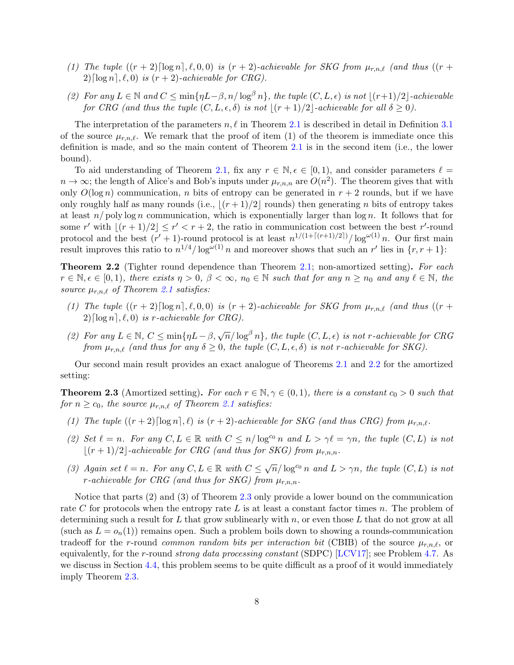- (1) The tuple  $((r + 2)\lceil \log n \rceil, \ell, 0, 0)$  is  $(r + 2)$ -achievable for SKG from  $\mu_{r,n,\ell}$  (and thus  $((r +$  $2\lceil \log n \rceil, \ell, 0$  is  $(r + 2)$ -achievable for CRG).
- (2) For any  $L \in \mathbb{N}$  and  $C \le \min\{\eta L \beta, n/\log^{\beta} n\}$ , the tuple  $(C, L, \epsilon)$  is not  $|(r+1)/2|$ -achievable for CRG (and thus the tuple  $(C, L, \epsilon, \delta)$  is not  $|(r + 1)/2|$ -achievable for all  $\delta \ge 0$ ).

The interpretation of the parameters  $n, \ell$  in Theorem [2.1](#page-7-2) is described in detail in Definition [3.1](#page-10-1) of the source  $\mu_{r,n,\ell}$ . We remark that the proof of item (1) of the theorem is immediate once this definition is made, and so the main content of Theorem [2.1](#page-7-2) is in the second item (i.e., the lower bound).

To aid understanding of Theorem [2.1,](#page-7-2) fix any  $r \in \mathbb{N}, \epsilon \in [0, 1)$ , and consider parameters  $\ell =$  $n \to \infty$ ; the length of Alice's and Bob's inputs under  $\mu_{r,n,n}$  are  $O(n^2)$ . The theorem gives that with only  $O(\log n)$  communication, n bits of entropy can be generated in  $r + 2$  rounds, but if we have only roughly half as many rounds (i.e.,  $\lfloor (r + 1)/2 \rfloor$  rounds) then generating n bits of entropy takes at least  $n$ / poly log n communication, which is exponentially larger than  $\log n$ . It follows that for some r' with  $|(r + 1)/2| \le r' < r + 2$ , the ratio in communication cost between the best r'-round protocol and the best  $(r'+1)$ -round protocol is at least  $n^{1/(1+[(r+1)/2])}/\log^{\omega(1)} n$ . Our first main result improves this ratio to  $n^{1/4}/\log^{\omega(1)} n$  and moreover shows that such an r' lies in  $\{r, r+1\}$ :

<span id="page-8-0"></span>**Theorem 2.2** (Tighter round dependence than Theorem [2.1;](#page-7-2) non-amortized setting). For each  $r \in \mathbb{N}, \epsilon \in [0,1)$ , there exists  $\eta > 0$ ,  $\beta < \infty$ ,  $n_0 \in \mathbb{N}$  such that for any  $n \geq n_0$  and any  $\ell \in \mathbb{N}$ , the source  $\mu_{r,n,\ell}$  of Theorem [2.1](#page-7-2) satisfies:

- (1) The tuple  $((r + 2)\lceil \log n \rceil, \ell, 0, 0)$  is  $(r + 2)$ -achievable for SKG from  $\mu_{r,n,\ell}$  (and thus  $((r +$  $2\lceil \log n \rceil, \ell, 0$  is r-achievable for CRG).
- (2) For any  $L \in \mathbb{N}$ ,  $C \le \min\{\eta L \beta, \sqrt{n}/\log^{\beta} n\}$ , the tuple  $(C, L, \epsilon)$  is not r-achievable for CRG from  $\mu_{r,n,\ell}$  (and thus for any  $\delta \geq 0$ , the tuple  $(C, L, \epsilon, \delta)$  is not r-achievable for SKG).

Our second main result provides an exact analogue of Theorems [2.1](#page-7-2) and [2.2](#page-8-0) for the amortized setting:

<span id="page-8-1"></span>**Theorem 2.3** (Amortized setting). For each  $r \in \mathbb{N}, \gamma \in (0,1)$ , there is a constant  $c_0 > 0$  such that for  $n \geq c_0$ , the source  $\mu_{r,n,\ell}$  of Theorem [2.1](#page-7-2) satisfies:

- (1) The tuple  $((r+2)\lceil \log n \rceil, \ell)$  is  $(r+2)$ -achievable for SKG (and thus CRG) from  $\mu_{r,n,\ell}$ .
- (2) Set  $\ell = n$ . For any  $C, L \in \mathbb{R}$  with  $C \leq n/\log^{c_0} n$  and  $L > \gamma \ell = \gamma n$ , the tuple  $(C, L)$  is not  $\lfloor (r + 1)/2 \rfloor$ -achievable for CRG (and thus for SKG) from  $\mu_{r,n,n}$ .
- (3) Again set  $\ell = n$ . For any  $C, L \in \mathbb{R}$  with  $C \leq \sqrt{n}/\log^{c_0} n$  and  $L > \gamma n$ , the tuple  $(C, L)$  is not r-achievable for CRG (and thus for SKG) from  $\mu_{r,n,n}$ .

Notice that parts (2) and (3) of Theorem [2.3](#page-8-1) only provide a lower bound on the communication rate C for protocols when the entropy rate L is at least a constant factor times n. The problem of determining such a result for L that grow sublinearly with  $n$ , or even those L that do not grow at all (such as  $L = o_n(1)$ ) remains open. Such a problem boils down to showing a rounds-communication tradeoff for the r-round common random bits per interaction bit (CBIB) of the source  $\mu_{r,n,\ell}$ , or equivalently, for the r-round strong data processing constant (SDPC) [\[LCV17\]](#page-39-5); see Problem [4.7.](#page-26-0) As we discuss in Section [4.4,](#page-25-0) this problem seems to be quite difficult as a proof of it would immediately imply Theorem [2.3.](#page-8-1)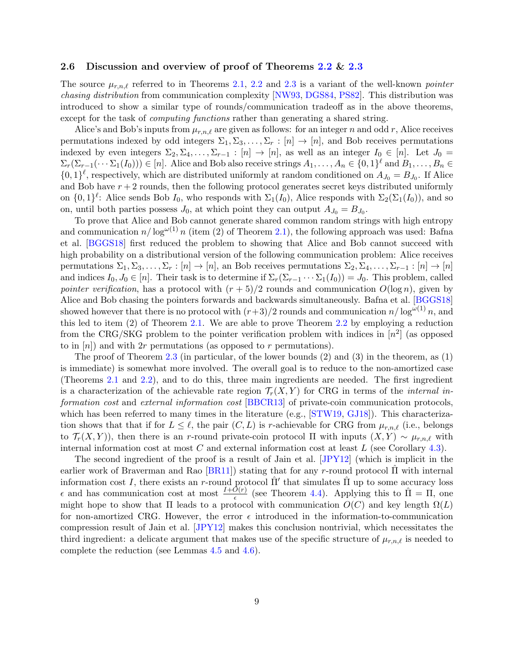### <span id="page-9-0"></span>2.6 Discussion and overview of proof of Theorems [2.2](#page-8-0) & [2.3](#page-8-1)

The source  $\mu_{r,n,\ell}$  referred to in Theorems [2.1,](#page-7-2) [2.2](#page-8-0) and [2.3](#page-8-1) is a variant of the well-known *pointer* chasing distribution from communication complexity [\[NW93,](#page-39-9) [DGS84,](#page-38-10) [PS82\]](#page-40-8). This distribution was introduced to show a similar type of rounds/communication tradeoff as in the above theorems, except for the task of *computing functions* rather than generating a shared string.

Alice's and Bob's inputs from  $\mu_{r,n,\ell}$  are given as follows: for an integer n and odd r, Alice receives permutations indexed by odd integers  $\Sigma_1, \Sigma_3, \ldots, \Sigma_r : [n] \to [n]$ , and Bob receives permutations indexed by even integers  $\Sigma_2, \Sigma_4, \ldots, \Sigma_{r-1} : [n] \to [n]$ , as well as an integer  $I_0 \in [n]$ . Let  $J_0 =$  $\Sigma_r(\Sigma_{r-1}(\cdots \Sigma_1(I_0))) \in [n]$ . Alice and Bob also receive strings  $A_1, \ldots, A_n \in \{0,1\}^{\ell}$  and  $B_1, \ldots, B_n \in$  $\{0,1\}^{\ell}$ , respectively, which are distributed uniformly at random conditioned on  $A_{J_0} = B_{J_0}$ . If Alice and Bob have  $r + 2$  rounds, then the following protocol generates secret keys distributed uniformly on  $\{0,1\}^{\ell}$ : Alice sends Bob  $I_0$ , who responds with  $\Sigma_1(I_0)$ , Alice responds with  $\Sigma_2(\Sigma_1(I_0))$ , and so on, until both parties possess  $J_0$ , at which point they can output  $A_{J_0} = B_{J_0}$ .

To prove that Alice and Bob cannot generate shared common random strings with high entropy and communication  $n/\log^{\omega(1)} n$  (item (2) of Theorem [2.1\)](#page-7-2), the following approach was used: Bafna et al. [\[BGGS18\]](#page-37-7) first reduced the problem to showing that Alice and Bob cannot succeed with high probability on a distributional version of the following communication problem: Alice receives permutations  $\Sigma_1, \Sigma_3, \ldots, \Sigma_r : [n] \to [n]$ , an Bob receives permutations  $\Sigma_2, \Sigma_4, \ldots, \Sigma_{r-1} : [n] \to [n]$ and indices  $I_0, J_0 \in [n]$ . Their task is to determine if  $\Sigma_r(\Sigma_{r-1} \cdots \Sigma_1(I_0)) = J_0$ . This problem, called pointer verification, has a protocol with  $(r + 5)/2$  rounds and communication  $O(\log n)$ , given by Alice and Bob chasing the pointers forwards and backwards simultaneously. Bafna et al. [\[BGGS18\]](#page-37-7) showed however that there is no protocol with  $(r+3)/2$  rounds and communication  $n/\log^{\omega(1)} n$ , and this led to item (2) of Theorem [2.1.](#page-7-2) We are able to prove Theorem [2.2](#page-8-0) by employing a reduction from the CRG/SKG problem to the pointer verification problem with indices in  $[n^2]$  (as opposed to in  $[n]$  and with 2r permutations (as opposed to r permutations).

The proof of Theorem [2.3](#page-8-1) (in particular, of the lower bounds (2) and (3) in the theorem, as (1) is immediate) is somewhat more involved. The overall goal is to reduce to the non-amortized case (Theorems [2.1](#page-7-2) and [2.2\)](#page-8-0), and to do this, three main ingredients are needed. The first ingredient is a characterization of the achievable rate region  $\mathcal{T}_r(X, Y)$  for CRG in terms of the *internal in-*formation cost and external information cost [\[BBCR13\]](#page-36-6) of private-coin communication protocols, which has been referred to many times in the literature (e.g., [\[STW19,](#page-40-10) [GJ18\]](#page-38-4)). This characterization shows that that if for  $L \leq \ell$ , the pair  $(C, L)$  is r-achievable for CRG from  $\mu_{r,n,\ell}$  (i.e., belongs to  $\mathcal{T}_r(X, Y)$ , then there is an r-round private-coin protocol  $\Pi$  with inputs  $(X, Y) \sim \mu_{r,n,\ell}$  with internal information cost at most  $C$  and external information cost at least  $L$  (see Corollary [4.3\)](#page-19-0).

The second ingredient of the proof is a result of Jain et al. [\[JPY12\]](#page-39-11) (which is implicit in the earlier work of Braverman and Rao [\[BR11\]](#page-37-8)) stating that for any r-round protocol  $\Pi$  with internal information cost I, there exists an r-round protocol  $\hat{\Pi}'$  that simulates  $\hat{\Pi}$  up to some accuracy loss  $\epsilon$  and has communication cost at most  $\frac{I+\hat{O}(r)}{\epsilon}$  (see Theorem [4.4\)](#page-19-1). Applying this to  $\hat{\Pi} = \Pi$ , one might hope to show that  $\Pi$  leads to a protocol with communication  $O(C)$  and key length  $\Omega(L)$ for non-amortized CRG. However, the error  $\epsilon$  introduced in the information-to-communication compression result of Jain et al. [\[JPY12\]](#page-39-11) makes this conclusion nontrivial, which necessitates the third ingredient: a delicate argument that makes use of the specific structure of  $\mu_{r,n,\ell}$  is needed to complete the reduction (see Lemmas [4.5](#page-20-0) and [4.6\)](#page-21-0).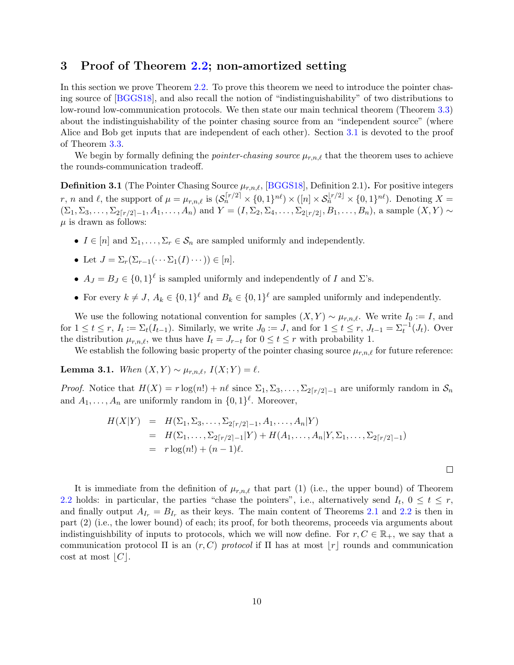### <span id="page-10-0"></span>3 Proof of Theorem [2.2;](#page-8-0) non-amortized setting

In this section we prove Theorem [2.2.](#page-8-0) To prove this theorem we need to introduce the pointer chasing source of [\[BGGS18\]](#page-37-7), and also recall the notion of "indistinguishability" of two distributions to low-round low-communication protocols. We then state our main technical theorem (Theorem [3.3\)](#page-11-0) about the indistinguishability of the pointer chasing source from an "independent source" (where Alice and Bob get inputs that are independent of each other). Section [3.1](#page-11-1) is devoted to the proof of Theorem [3.3.](#page-11-0)

We begin by formally defining the *pointer-chasing source*  $\mu_{r,n,\ell}$  that the theorem uses to achieve the rounds-communication tradeoff.

<span id="page-10-1"></span>**Definition 3.1** (The Pointer Chasing Source  $\mu_{r,n,\ell}$ , [\[BGGS18\]](#page-37-7), Definition 2.1). For positive integers r, n and l, the support of  $\mu = \mu_{r,n,\ell}$  is  $(\mathcal{S}_n^{[r/2]} \times \{0,1\}^{n\ell}) \times ([n] \times \mathcal{S}_n^{[r/2]} \times \{0,1\}^{n\ell})$ . Denoting  $X =$  $(\Sigma_1, \Sigma_3, \ldots, \Sigma_{2[r/2]-1}, A_1, \ldots, A_n)$  and  $Y = (I, \Sigma_2, \Sigma_4, \ldots, \Sigma_{2[r/2]}, B_1, \ldots, B_n)$ , a sample  $(X, Y) \sim$  $\mu$  is drawn as follows:

- $I \in [n]$  and  $\Sigma_1, \ldots, \Sigma_r \in \mathcal{S}_n$  are sampled uniformly and independently.
- Let  $J = \sum_{r} (\sum_{r=1} (\cdots \sum_{1} (I) \cdots)) \in [n].$
- $A_J = B_J \in \{0,1\}^{\ell}$  is sampled uniformly and independently of I and  $\Sigma$ 's.
- For every  $k \neq J$ ,  $A_k \in \{0,1\}^{\ell}$  and  $B_k \in \{0,1\}^{\ell}$  are sampled uniformly and independently.

We use the following notational convention for samples  $(X, Y) \sim \mu_{r,n,\ell}$ . We write  $I_0 := I$ , and for  $1 \leq t \leq r$ ,  $I_t := \Sigma_t(I_{t-1})$ . Similarly, we write  $J_0 := J$ , and for  $1 \leq t \leq r$ ,  $J_{t-1} = \Sigma_t^{-1}(J_t)$ . Over the distribution  $\mu_{r,n,\ell}$ , we thus have  $I_t = J_{r-t}$  for  $0 \le t \le r$  with probability 1.

We establish the following basic property of the pointer chasing source  $\mu_{r,n,\ell}$  for future reference:

<span id="page-10-3"></span>Lemma 3.1. When  $(X, Y) \sim \mu_{r,n,\ell}$ ,  $I(X; Y) = \ell$ .

*Proof.* Notice that  $H(X) = r \log(n!) + n\ell$  since  $\Sigma_1, \Sigma_3, \ldots, \Sigma_{2\lceil r/2 \rceil-1}$  are uniformly random in  $S_n$ and  $A_1, \ldots, A_n$  are uniformly random in  $\{0, 1\}^{\ell}$ . Moreover,

<span id="page-10-2"></span>
$$
H(X|Y) = H(\Sigma_1, \Sigma_3, \dots, \Sigma_{2\lceil r/2 \rceil - 1}, A_1, \dots, A_n | Y)
$$
  
=  $H(\Sigma_1, \dots, \Sigma_{2\lceil r/2 \rceil - 1} | Y) + H(A_1, \dots, A_n | Y, \Sigma_1, \dots, \Sigma_{2\lceil r/2 \rceil - 1})$   
=  $r \log(n!) + (n - 1)\ell$ .

 $\Box$ 

It is immediate from the definition of  $\mu_{r,n,\ell}$  that part (1) (i.e., the upper bound) of Theorem [2.2](#page-8-0) holds: in particular, the parties "chase the pointers", i.e., alternatively send  $I_t$ ,  $0 \le t \le r$ , and finally output  $A_{I_r} = B_{I_r}$  as their keys. The main content of Theorems [2.1](#page-7-2) and [2.2](#page-8-0) is then in part (2) (i.e., the lower bound) of each; its proof, for both theorems, proceeds via arguments about indistinguishbility of inputs to protocols, which we will now define. For  $r, C \in \mathbb{R}_+$ , we say that a communication protocol  $\Pi$  is an  $(r, C)$  protocol if  $\Pi$  has at most  $|r|$  rounds and communication cost at most  $|C|$ .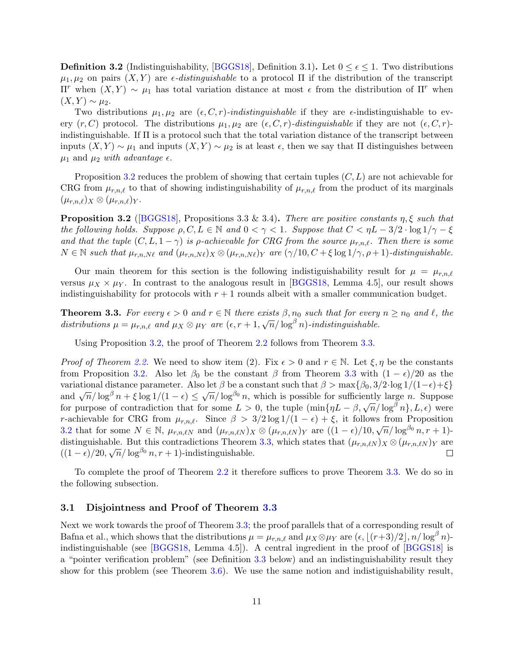**Definition 3.2** (Indistinguishability, [\[BGGS18\]](#page-37-7), Definition 3.1). Let  $0 \le \epsilon \le 1$ . Two distributions  $\mu_1, \mu_2$  on pairs  $(X, Y)$  are  $\epsilon$ -distinguishable to a protocol  $\Pi$  if the distribution of the transcript Π<sup>r</sup> when  $(X, Y) ∼ μ$ <sub>1</sub> has total variation distance at most  $\epsilon$  from the distribution of Π<sup>r</sup> when  $(X, Y) \sim \mu_2$ .

Two distributions  $\mu_1, \mu_2$  are  $(\epsilon, C, r)$ -indistinguishable if they are  $\epsilon$ -indistinguishable to every  $(r, C)$  protocol. The distributions  $\mu_1, \mu_2$  are  $(\epsilon, C, r)$ -distinguishable if they are not  $(\epsilon, C, r)$ indistinguishable. If Π is a protocol such that the total variation distance of the transcript between inputs  $(X, Y) \sim \mu_1$  and inputs  $(X, Y) \sim \mu_2$  is at least  $\epsilon$ , then we say that  $\Pi$  distinguishes between  $\mu_1$  and  $\mu_2$  with advantage  $\epsilon$ .

Proposition [3.2](#page-11-2) reduces the problem of showing that certain tuples  $(C, L)$  are not achievable for CRG from  $\mu_{r,n,\ell}$  to that of showing indistinguishability of  $\mu_{r,n,\ell}$  from the product of its marginals  $(\mu_{r,n,\ell})_X \otimes (\mu_{r,n,\ell})_Y$ .

<span id="page-11-2"></span>**Proposition 3.2** ([\[BGGS18\]](#page-37-7), Propositions 3.3 & 3.4). There are positive constants  $\eta$ ,  $\xi$  such that the following holds. Suppose  $\rho, C, L \in \mathbb{N}$  and  $0 < \gamma < 1$ . Suppose that  $C < \eta L - 3/2 \cdot \log 1/\gamma - \xi$ and that the tuple  $(C, L, 1 - \gamma)$  is p-achievable for CRG from the source  $\mu_{r,n,\ell}$ . Then there is some  $N \in \mathbb{N}$  such that  $\mu_{r,n,N\ell}$  and  $(\mu_{r,n,N\ell})_X \otimes (\mu_{r,n,N\ell})_Y$  are  $(\gamma/10, C + \xi \log 1/\gamma, \rho + 1)$ -distinguishable.

Our main theorem for this section is the following indistiguishability result for  $\mu = \mu_{r,n,\ell}$ versus  $\mu_X \times \mu_Y$ . In contrast to the analogous result in [\[BGGS18,](#page-37-7) Lemma 4.5], our result shows indistinguishability for protocols with  $r + 1$  rounds albeit with a smaller communication budget.

<span id="page-11-0"></span>**Theorem 3.3.** For every  $\epsilon > 0$  and  $r \in \mathbb{N}$  there exists  $\beta, n_0$  such that for every  $n \geq n_0$  and  $\ell$ , the **Theorem 3.3.** For every  $\epsilon > 0$  and  $r \in \mathbb{N}$  are  $\epsilon$  and  $\mu_X \otimes \mu_Y$  are  $\epsilon, r + 1, \sqrt{n}/\log^\beta n$ -indistinguishable.

Using Proposition [3.2,](#page-11-2) the proof of Theorem [2.2](#page-8-0) follows from Theorem [3.3.](#page-11-0)

*Proof of Theorem [2.2.](#page-8-0)* We need to show item (2). Fix  $\epsilon > 0$  and  $r \in \mathbb{N}$ . Let  $\xi, \eta$  be the constants from Proposition [3.2.](#page-11-2) Also let  $\beta_0$  be the constant  $\beta$  from Theorem [3.3](#page-11-0) with  $(1 - \epsilon)/20$  as the variational distance parameter. Also let  $\beta$  be a constant such that  $\beta > \max{\beta_0, 3/2 \cdot \log 1/(1-\epsilon)} + \xi$ variational distance parameter. Also let  $\rho$  be a constant such that  $\rho > \max{\rho_0, 3/2 \cdot \log 1/(1-\epsilon) + \varsigma}$  and  $\sqrt{n}/\log^{\beta} n + \xi \log 1/(1-\epsilon) \leq \sqrt{n}/\log^{\beta_0} n$ , which is possible for sufficiently large n. Suppose for purpose of contradiction that for some  $L > 0$ , the tuple  $(\min\{\eta L - \beta, \sqrt{\eta}/\log^{\beta} n\}, L, \epsilon)$  were r-achievable for CRG from  $\mu_{r,n,\ell}$ . Since  $\beta > 3/2 \log 1/(1 - \epsilon) + \xi$ , it follows from Proposition [3.2](#page-11-2) that for some  $N \in \mathbb{N}$ ,  $\mu_{r,n,\ell N}$  and  $(\mu_{r,n,\ell N})_X \otimes (\mu_{r,n,\ell N})_Y$  are  $((1 - \epsilon)/10, \sqrt{n}/\log^{\beta_0} n, r + 1)$ -distinguishable. But this contradictions Theorem [3.3,](#page-11-0) which states that  $(\mu_{r,n,\ell N})_X \otimes (\mu_{r,n,\ell N})_Y$  are distinguishable. But this contradictions Theorem  $((1 - \epsilon)/20, \sqrt{n}/\log^{\beta_0} n, r + 1)$ -indistinguishable.  $\Box$ 

To complete the proof of Theorem [2.2](#page-8-0) it therefore suffices to prove Theorem [3.3.](#page-11-0) We do so in the following subsection.

### <span id="page-11-1"></span>3.1 Disjointness and Proof of Theorem [3.3](#page-11-0)

Next we work towards the proof of Theorem [3.3;](#page-11-0) the proof parallels that of a corresponding result of Bafna et al., which shows that the distributions  $\mu = \mu_{r,n,\ell}$  and  $\mu_X \otimes \mu_Y$  are  $(\epsilon, |(r+3)/2|, n/\log^\beta n)$ indistinguishable (see [\[BGGS18,](#page-37-7) Lemma 4.5]). A central ingredient in the proof of [\[BGGS18\]](#page-37-7) is a "pointer verification problem" (see Definition [3.3](#page-13-0) below) and an indistinguishability result they show for this problem (see Theorem [3.6\)](#page-13-1). We use the same notion and indistiguishability result,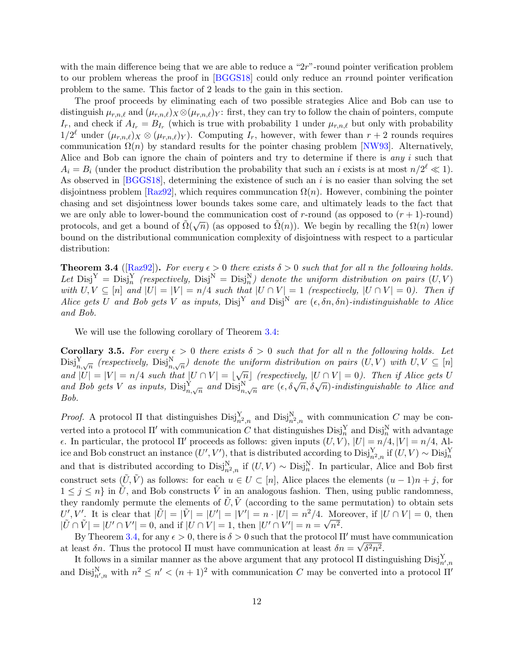with the main difference being that we are able to reduce a "2r"-round pointer verification problem to our problem whereas the proof in [\[BGGS18\]](#page-37-7) could only reduce an rround pointer verification problem to the same. This factor of 2 leads to the gain in this section.

The proof proceeds by eliminating each of two possible strategies Alice and Bob can use to distinguish  $\mu_{r,n,\ell}$  and  $(\mu_{r,n,\ell})_X \otimes (\mu_{r,n,\ell})_Y$ : first, they can try to follow the chain of pointers, compute  $I_r$ , and check if  $A_{I_r} = B_{I_r}$  (which is true with probability 1 under  $\mu_{r,n,\ell}$  but only with probability  $1/2^{\ell}$  under  $(\mu_{r,n,\ell})_X \otimes (\mu_{r,n,\ell})_Y$ . Computing  $I_r$ , however, with fewer than  $r+2$  rounds requires communication  $\Omega(n)$  by standard results for the pointer chasing problem [\[NW93\]](#page-39-9). Alternatively, Alice and Bob can ignore the chain of pointers and try to determine if there is *any i* such that  $A_i = B_i$  (under the product distribution the probability that such an i exists is at most  $n/2^{\ell} \ll 1$ ). As observed in  $[BGGS18]$ , determining the existence of such an i is no easier than solving the set disjointness problem [\[Raz92\]](#page-40-11), which requires communcation  $\Omega(n)$ . However, combining the pointer chasing and set disjointness lower bounds takes some care, and ultimately leads to the fact that we are only able to lower-bound the communication cost of r-round (as opposed to  $(r + 1)$ -round) protocols, and get a bound of  $\tilde{\Omega}(\sqrt{n})$  (as opposed to  $\tilde{\Omega}(n)$ ). We begin by recalling the  $\Omega(n)$  lower bound on the distributional communication complexity of disjointness with respect to a particular distribution:

<span id="page-12-0"></span>**Theorem 3.4** ([\[Raz92\]](#page-40-11)). For every  $\epsilon > 0$  there exists  $\delta > 0$  such that for all n the following holds. Let  $\text{Disj}^Y = \text{Disj}^Y_n$  (respectively,  $\text{Disj}^N = \text{Disj}^Y_n$ ) denote the uniform distribution on pairs  $(U, V)$ with  $U, V \subseteq [n]$  and  $|U| = |V| = n/4$  such that  $|U \cap V| = 1$  (respectively,  $|U \cap V| = 0$ ). Then if Alice gets U and Bob gets V as inputs,  $Disj<sup>Y</sup>$  and  $Disj<sup>N</sup>$  are  $(\epsilon, \delta n, \delta n)$ -indistinguishable to Alice and Bob.

We will use the following corollary of Theorem [3.4:](#page-12-0)

<span id="page-12-1"></span>Corollary 3.5. For every  $\epsilon > 0$  there exists  $\delta > 0$  such that for all n the following holds. Let  $\text{Disj}_{n,\sqrt{n}}^{Y}$  (respectively,  $\text{Disj}_{n,\sqrt{n}}^{N}$ ) denote the uniform distribution on pairs  $(U, V)$  with  $U, V \subseteq [n]$  $\lim_{n \to \infty} \frac{\partial}{\partial x} \left( \frac{\partial}{\partial y} \right) \frac{\partial}{\partial x} = \lim_{n \to \infty} \frac{\partial}{\partial y} \left( \frac{\partial}{\partial x} \right) \frac{\partial}{\partial y}$  and  $|U| = |V| = n/4$  such that  $|U \cap V| = |\sqrt{n}|$  (respectively,  $|U \cap V| = 0$ ). Then if Alice gets U and Bob gets V as inputs,  $\text{Disj}_{n,\sqrt{n}}^N$  and  $\text{Disj}_{n,\sqrt{n}}^N$  are  $(\epsilon, \delta\sqrt{n}, \delta\sqrt{n})$ -indistinguishable to Alice and Bob.

*Proof.* A protocol  $\Pi$  that distinguishes  $\text{Disj}_{n^2,n}^N$  and  $\text{Disj}_{n^2,n}^N$  with communication C may be converted into a protocol  $\Pi'$  with communication C that distinguishes  $\text{Disj}_n^{\text{Y}}$  and  $\text{Disj}_n^{\text{N}}$  with advantage  $\epsilon$ . In particular, the protocol Π' proceeds as follows: given inputs  $(U, V)$ ,  $|U| = n/4$ ,  $|V| = n/4$ , Alice and Bob construct an instance  $(U', V')$ , that is distributed according to  $\text{Disj}_{n^2,n}^Y$  if  $(U, V) \sim \text{Disj}_n^Y$ and that is distributed according to  $\text{Disj}_{n^2,n}^N$  if  $(U, V) \sim \text{Disj}_{n^2}^N$ . In particular, Alice and Bob first construct sets  $(\tilde{U}, \tilde{V})$  as follows: for each  $u \in U \subset [n]$ , Alice places the elements  $(u - 1)n + j$ , for  $1 \leq j \leq n$  in  $\tilde{U}$ , and Bob constructs  $\tilde{V}$  in an analogous fashion. Then, using public randomness, they randomly permute the elements of  $\tilde{U}, \tilde{V}$  (according to the same permutation) to obtain sets  $U', V'$ . It is clear that  $|\tilde{U}| = |\tilde{V}| = |U'| = |V'| = n \cdot |U| = n^2/4$ . Moreover, if  $|U \cap V| = 0$ , then  $|\tilde{U} \cap \tilde{V}| = |U' \cap V'| = 0$ , and if  $|U \cap V| = 1$ , then  $|U' \cap V'| = n = \sqrt{n^2}$ .

By Theorem [3.4,](#page-12-0) for any  $\epsilon > 0$ , there is  $\delta > 0$  such that the protocol  $\Pi'$  must have communication at least  $\delta n$ . Thus the protocol  $\Pi$  must have communication at least  $\delta n = \sqrt{\delta^2 n^2}$ .

It follows in a similar manner as the above argument that any protocol  $\Pi$  distinguishing  $\text{Disj}_{n',n}^Y$ and  $\text{Disj}_{n',n}^N$  with  $n^2 \leq n' < (n+1)^2$  with communication C may be converted into a protocol  $\Pi'$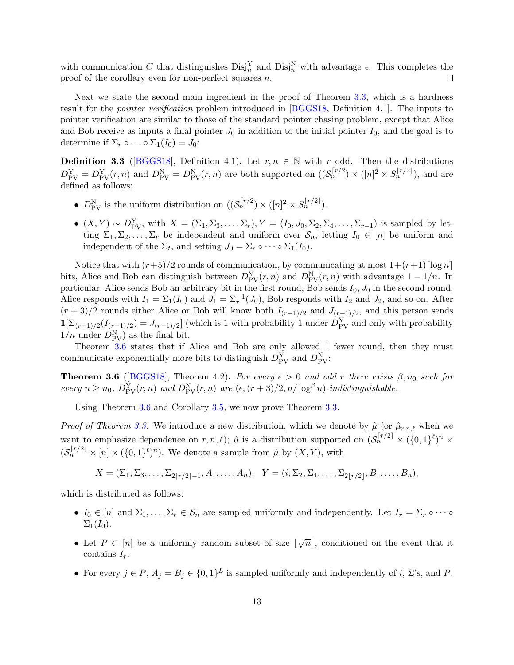with communication C that distinguishes  $\text{Disj}_n^{\text{Y}}$  and  $\text{Disj}_n^{\text{N}}$  with advantage  $\epsilon$ . This completes the proof of the corollary even for non-perfect squares n.  $\Box$ 

Next we state the second main ingredient in the proof of Theorem [3.3,](#page-11-0) which is a hardness result for the *pointer verification* problem introduced in [\[BGGS18,](#page-37-7) Definition 4.1]. The inputs to pointer verification are similar to those of the standard pointer chasing problem, except that Alice and Bob receive as inputs a final pointer  $J_0$  in addition to the initial pointer  $I_0$ , and the goal is to determine if  $\Sigma_r \circ \cdots \circ \Sigma_1(I_0) = J_0$ :

<span id="page-13-0"></span>**Definition 3.3** ([\[BGGS18\]](#page-37-7), Definition 4.1). Let  $r, n \in \mathbb{N}$  with r odd. Then the distributions  $D_{\text{PV}}^{\text{Y}} = D_{\text{PV}}^{\text{Y}}(r, n)$  and  $D_{\text{PV}}^{\text{N}} = D_{\text{PV}}^{\text{N}}(r, n)$  are both supported on  $((\mathcal{S}_n^{[r/2}] \times [n]^2 \times S_n^{[r/2]}))$ , and are defined as follows:

- $D_{\text{PV}}^{\text{N}}$  is the uniform distribution on  $((\mathcal{S}_n^{r/2}) \times ([n]^2 \times S_n^{r/2}])$ .
- $(X, Y) \sim D_{\text{PV}}^Y$ , with  $X = (\Sigma_1, \Sigma_3, \dots, \Sigma_r), Y = (I_0, J_0, \Sigma_2, \Sigma_4, \dots, \Sigma_{r-1})$  is sampled by letting  $\Sigma_1, \Sigma_2, \ldots, \Sigma_r$  be independent and uniform over  $\mathcal{S}_n$ , letting  $I_0 \in [n]$  be uniform and independent of the  $\Sigma_t$ , and setting  $J_0 = \Sigma_r \circ \cdots \circ \Sigma_1(I_0)$ .

Notice that with  $(r+5)/2$  rounds of communication, by communicating at most  $1+(r+1)\lceil \log n \rceil$ bits, Alice and Bob can distinguish between  $D_{\text{PV}}^{\text{Y}}(r,n)$  and  $D_{\text{PV}}^{\text{N}}(r,n)$  with advantage  $1-1/n$ . In particular, Alice sends Bob an arbitrary bit in the first round, Bob sends  $I_0$ ,  $J_0$  in the second round, Alice responds with  $I_1 = \Sigma_1(I_0)$  and  $J_1 = \Sigma_r^{-1}(J_0)$ , Bob responds with  $I_2$  and  $J_2$ , and so on. After  $(r+3)/2$  rounds either Alice or Bob will know both  $I_{(r-1)/2}$  and  $J_{(r-1)/2}$ , and this person sends  $\mathbb{1}[\Sigma_{(r+1)/2}(I_{(r-1)/2})=J_{(r-1)/2}]$  (which is 1 with probability 1 under  $D_{\text{PV}}^Y$  and only with probability  $1/n$  under  $D_{\text{PV}}^N$  as the final bit.

Theorem [3.6](#page-13-1) states that if Alice and Bob are only allowed 1 fewer round, then they must communicate exponentially more bits to distinguish  $D_{\text{PV}}^{Y}$  and  $D_{\text{PV}}^{N}$ .

<span id="page-13-1"></span>**Theorem 3.6** ([\[BGGS18\]](#page-37-7), Theorem 4.2). For every  $\epsilon > 0$  and odd r there exists  $\beta, n_0$  such for every  $n \ge n_0$ ,  $D_{\text{PV}}^{\text{Y}}(r,n)$  and  $D_{\text{PV}}^{\text{N}}(r,n)$  are  $(\epsilon,(r+3)/2,n/\log^{\beta} n)$ -indistinguishable.

Using Theorem [3.6](#page-13-1) and Corollary [3.5,](#page-12-1) we now prove Theorem [3.3.](#page-11-0)

*Proof of Theorem [3.3.](#page-11-0)* We introduce a new distribution, which we denote by  $\hat{\mu}$  (or  $\hat{\mu}_{r,n,\ell}$  when we want to emphasize dependence on  $r, n, \ell$ );  $\hat{\mu}$  is a distribution supported on  $(\mathcal{S}_n^{\lceil r/2 \rceil} \times (\{0, 1\}^{\ell})^n \times$  $(\mathcal{S}_n^{\lfloor r/2 \rfloor} \times [n] \times (\{0,1\}^{\ell})^n)$ . We denote a sample from  $\hat{\mu}$  by  $(X, Y)$ , with

$$
X = (\Sigma_1, \Sigma_3, \dots, \Sigma_{2[r/2]-1}, A_1, \dots, A_n), \quad Y = (i, \Sigma_2, \Sigma_4, \dots, \Sigma_{2[r/2]}, B_1, \dots, B_n),
$$

which is distributed as follows:

- $I_0 \in [n]$  and  $\Sigma_1, \ldots, \Sigma_r \in \mathcal{S}_n$  are sampled uniformly and independently. Let  $I_r = \Sigma_r \circ \cdots \circ$  $\Sigma_1(I_0)$ .
- Let  $P \subset [n]$  be a uniformly random subset of size  $|\sqrt{n}|$ , conditioned on the event that it contains  $I_r$ .
- For every  $j \in P$ ,  $A_j = B_j \in \{0,1\}^L$  is sampled uniformly and independently of i,  $\Sigma$ 's, and P.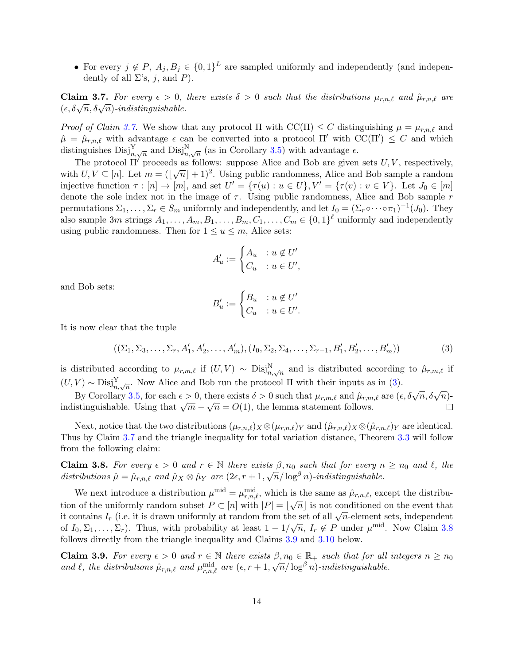• For every  $j \notin P$ ,  $A_j, B_j \in \{0,1\}^L$  are sampled uniformly and independently (and independently of all  $\Sigma$ 's, j, and P).

<span id="page-14-0"></span>**Claim 3.7.** For every  $\epsilon > 0$ , there exists  $\delta > 0$  such that the distributions  $\mu_{r,n,\ell}$  and  $\hat{\mu}_{r,n,\ell}$  are CLATE **3.1.** For every  $\epsilon > 0$ ,<br>( $\epsilon, \delta\sqrt{n}, \delta\sqrt{n}$ )-indistinguishable.

*Proof of Claim [3.7.](#page-14-0)* We show that any protocol  $\Pi$  with  $\mathrm{CC}(\Pi) \leq C$  distinguishing  $\mu = \mu_{r,n,\ell}$  and  $\hat{\mu} = \hat{\mu}_{r,n,\ell}$  with advantage  $\epsilon$  can be converted into a protocol  $\Pi'$  with  $\mathrm{CC}(\Pi') \leq C$  and which distinguishes  $\text{Disj}_{n,\sqrt{n}}^{Y}$  and  $\text{Disj}_{n,\sqrt{n}}^{N}$  (as in Corollary [3.5\)](#page-12-1) with advantage  $\epsilon$ .

The protocol  $\Pi'$  proceeds as follows: suppose Alice and Bob are given sets  $U, V$ , respectively, with  $U, V \subseteq [n]$ . Let  $m = (\sqrt{n} + 1)^2$ . Using public randomness, Alice and Bob sample a random injective function  $\tau : [n] \to [m]$ , and set  $U' = {\tau(u) : u \in U}$ ,  $V' = {\tau(v) : v \in V}$ . Let  $J_0 \in [m]$ denote the sole index not in the image of  $\tau$ . Using public randomness, Alice and Bob sample r permutations  $\Sigma_1,\ldots,\Sigma_r\in S_m$  uniformly and independently, and let  $I_0=(\Sigma_r\circ\cdots\circ\pi_1)^{-1}(J_0)$ . They also sample 3m strings  $A_1, \ldots, A_m, B_1, \ldots, B_m, C_1, \ldots, C_m \in \{0,1\}^{\ell}$  uniformly and independently using public randomness. Then for  $1 \le u \le m$ , Alice sets:

$$
A'_u := \begin{cases} A_u & : u \notin U' \\ C_u & : u \in U', \end{cases}
$$

and Bob sets:

$$
B'_u := \begin{cases} B_u & : u \notin U' \\ C_u & : u \in U'. \end{cases}
$$

It is now clear that the tuple

$$
((\Sigma_1, \Sigma_3, \dots, \Sigma_r, A'_1, A'_2, \dots, A'_m), (I_0, \Sigma_2, \Sigma_4, \dots, \Sigma_{r-1}, B'_1, B'_2, \dots, B'_m))
$$
(3)

is distributed according to  $\mu_{r,m,\ell}$  if  $(U, V) \sim \text{Disj}_{n,\sqrt{n}}^N$  and is distributed according to  $\hat{\mu}_{r,m,\ell}$  if  $(U, V) \sim \text{Disj}_{n,\sqrt{n}}^Y$ . Now Alice and Bob run the protocol  $\Pi$  with their inputs as in [\(3\)](#page-10-2).

By Corollary [3.5,](#page-12-1) for each  $\epsilon > 0$ , there exists  $\delta > 0$  such that  $\mu_{r,m,\ell}$  and  $\hat{\mu}_{r,m,\ell}$  are  $(\epsilon, \delta\sqrt{n}, \delta\sqrt{n})$ by Coronary 3.9, for each  $\epsilon > 0$ , there exists  $\delta > 0$  such that  $\mu_{r,m,\ell}$  and  $\mu_{r,m}$ <br>indistinguishable. Using that  $\sqrt{m} - \sqrt{n} = O(1)$ , the lemma statement follows.  $\Box$ 

Next, notice that the two distributions  $(\mu_{r,n,\ell})_X \otimes (\mu_{r,n,\ell})_Y$  and  $(\hat{\mu}_{r,n,\ell})_X \otimes (\hat{\mu}_{r,n,\ell})_Y$  are identical. Thus by Claim [3.7](#page-14-0) and the triangle inequality for total variation distance, Theorem [3.3](#page-11-0) will follow from the following claim:

<span id="page-14-1"></span>**Claim 3.8.** For every  $\epsilon > 0$  and  $r \in \mathbb{N}$  there exists  $\beta, n_0$  such that for every  $n \geq n_0$  and  $\ell$ , the distributions  $\hat{\mu} = \hat{\mu}_{r,n,\ell}$  and  $\hat{\mu}_X \otimes \hat{\mu}_Y$  are  $(2\epsilon, r + 1, \sqrt{n}/\log^{\beta} n)$ -indistinguishable.

We next introduce a distribution  $\mu^{\text{mid}} = \mu^{\text{mid}}_{r,n,\ell}$ , which is the same as  $\hat{\mu}_{r,n,\ell}$ , except the distribution of the uniformly random subset  $P \subset [n]$  with  $|P| = |\sqrt{n}|$  is not conditioned on the event that it contains  $I_r$  (i.e. it is drawn uniformly at random from the set of all  $\sqrt{n}$ -element sets, independent it contains  $I_r$  (i.e. it is drawn uniformly at random from the set of all  $\sqrt{n}$ -element sets, independent of  $I_0, \Sigma_1, \ldots, \Sigma_r$ ). Thus, with probability at least  $1 - 1/\sqrt{n}$ ,  $I_r \notin P$  under  $\mu^{\text{mid}}$ . Now Claim [3.8](#page-14-1) follows directly from the triangle inequality and Claims [3.9](#page-14-2) and [3.10](#page-15-0) below.

<span id="page-14-2"></span>**Claim 3.9.** For every  $\epsilon > 0$  and  $r \in \mathbb{N}$  there exists  $\beta, n_0 \in \mathbb{R}_+$  such that for all integers  $n \geq n_0$ **CLAIM 3.3.** For every  $\epsilon > 0$  and  $r \in \mathbb{N}$  increases  $\beta, n_0 \in \mathbb{N}$  such that for an<br>and  $\ell$ , the distributions  $\hat{\mu}_{r,n,\ell}$  and  $\mu_{r,n,\ell}^{\text{mid}}$  are  $(\epsilon, r + 1, \sqrt{n}/\log^{\beta} n)$ -indistinguishable.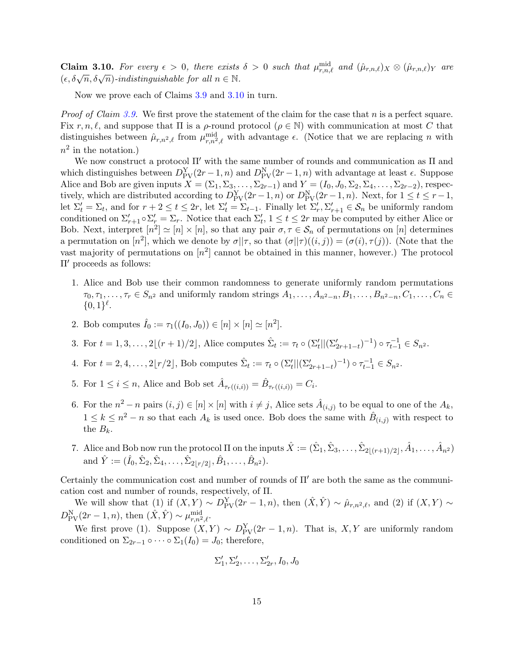<span id="page-15-0"></span>**Claim 3.10.** For every  $\epsilon > 0$ , there exists  $\delta > 0$  such that  $\mu_{r,n,\ell}^{\text{mid}}$  and  $(\hat{\mu}_{r,n,\ell})_X \otimes (\hat{\mu}_{r,n,\ell})_Y$  are **CRIME 6.10.** For every  $c > 0$ , there exists  $(\epsilon, \delta\sqrt{n}, \delta\sqrt{n})$ -indistinguishable for all  $n \in \mathbb{N}$ .

Now we prove each of Claims [3.9](#page-14-2) and [3.10](#page-15-0) in turn.

*Proof of Claim [3.9.](#page-14-2)* We first prove the statement of the claim for the case that n is a perfect square. Fix r, n, l, and suppose that  $\Pi$  is a  $\rho$ -round protocol ( $\rho \in \mathbb{N}$ ) with communication at most C that distinguishes between  $\hat{\mu}_{r,n^2,\ell}$  from  $\mu_{r,n^2,\ell}^{\text{mid}}$  with advantage  $\epsilon$ . (Notice that we are replacing n with  $n^2$  in the notation.)

We now construct a protocol  $\Pi'$  with the same number of rounds and communication as  $\Pi$  and which distinguishes between  $D_{\text{PV}}^{\text{Y}}(2r-1,n)$  and  $D_{\text{PV}}^{\text{N}}(2r-1,n)$  with advantage at least  $\epsilon$ . Suppose Alice and Bob are given inputs  $X = (\Sigma_1, \Sigma_3, \ldots, \Sigma_{2r-1})$  and  $Y = (I_0, J_0, \Sigma_2, \Sigma_4, \ldots, \Sigma_{2r-2})$ , respectively, which are distributed according to  $D_{\text{PV}}^{Y}(2r-1,n)$  or  $D_{\text{PV}}^{N}(2r-1,n)$ . Next, for  $1 \le t \le r-1$ , let  $\Sigma'_t = \Sigma_t$ , and for  $r + 2 \le t \le 2r$ , let  $\Sigma'_t = \Sigma_{t-1}$ . Finally let  $\Sigma'_r, \Sigma'_{r+1} \in \mathcal{S}_n$  be uniformly random conditioned on  $\Sigma_{r+1}' \circ \Sigma_r' = \Sigma_r$ . Notice that each  $\Sigma_t'$ ,  $1 \le t \le 2r$  may be computed by either Alice or Bob. Next, interpret  $[n^2] \simeq [n] \times [n]$ , so that any pair  $\sigma, \tau \in \mathcal{S}_n$  of permutations on  $[n]$  determines a permutation on  $[n^2]$ , which we denote by  $\sigma||\tau$ , so that  $(\sigma||\tau)((i,j)) = (\sigma(i), \tau(j))$ . (Note that the vast majority of permutations on  $[n^2]$  cannot be obtained in this manner, however.) The protocol  $\Pi'$  proceeds as follows:

- 1. Alice and Bob use their common randomness to generate uniformly random permutations  $\tau_0, \tau_1, \ldots, \tau_r \in S_{n^2}$  and uniformly random strings  $A_1, \ldots, A_{n^2-n}, B_1, \ldots, B_{n^2-n}, C_1, \ldots, C_n \in$  ${0,1}^{\ell}.$
- 2. Bob computes  $\hat{I}_0 := \tau_1((I_0, J_0)) \in [n] \times [n] \simeq [n^2]$ .
- 3. For  $t = 1, 3, ..., 2\lfloor (r + 1)/2 \rfloor$ , Alice computes  $\hat{\Sigma}_t := \tau_t \circ (\Sigma'_t || (\Sigma'_{2r+1-t})^{-1}) \circ \tau_{t-1}^{-1} \in S_{n^2}$ .
- 4. For  $t = 2, 4, ..., 2\lfloor r/2 \rfloor$ , Bob computes  $\hat{\Sigma}_t := \tau_t \circ (\Sigma'_t || (\Sigma'_{2r+1-t})^{-1}) \circ \tau_{t-1}^{-1} \in S_{n^2}$ .
- 5. For  $1 \leq i \leq n$ , Alice and Bob set  $\hat{A}_{\tau_r((i,i))} = \hat{B}_{\tau_r((i,i))} = C_i$ .
- 6. For the  $n^2 n$  pairs  $(i, j) \in [n] \times [n]$  with  $i \neq j$ , Alice sets  $\hat{A}_{(i,j)}$  to be equal to one of the  $A_k$ ,  $1 \leq k \leq n^2 - n$  so that each  $A_k$  is used once. Bob does the same with  $\hat{B}_{(i,j)}$  with respect to the  $B_k$ .
- 7. Alice and Bob now run the protocol  $\Pi$  on the inputs  $\hat{X} := (\hat{\Sigma}_1, \hat{\Sigma}_3, \dots, \hat{\Sigma}_{2|(r+1)/2|}, \hat{A}_1, \dots, \hat{A}_{n^2})$ and  $\hat{Y} := (\hat{I}_0, \hat{\Sigma}_2, \hat{\Sigma}_4, \dots, \hat{\Sigma}_{2\lfloor r/2 \rfloor}, \hat{B}_1, \dots, \hat{B}_{n^2}).$

Certainly the communication cost and number of rounds of  $\Pi'$  are both the same as the communication cost and number of rounds, respectively, of Π.

We will show that (1) if  $(X, Y) \sim D_{\text{PV}}^Y(2r-1, n)$ , then  $(\hat{X}, \hat{Y}) \sim \hat{\mu}_{r,n^2,\ell}$ , and (2) if  $(X, Y) \sim$  $D_{\text{PV}}^{\text{N}}(2r-1,n)$ , then  $(\hat{X}, \hat{Y}) \sim \mu_{r,n^2,\ell}^{\text{mid}}$ .

We first prove (1). Suppose  $(X, Y) \sim D_{\text{PV}}^{Y}(2r-1, n)$ . That is,  $X, Y$  are uniformly random conditioned on  $\Sigma_{2r-1} \circ \cdots \circ \Sigma_1(I_0) = J_0$ ; therefore,

$$
\Sigma'_1, \Sigma'_2, \ldots, \Sigma'_{2r}, I_0, J_0
$$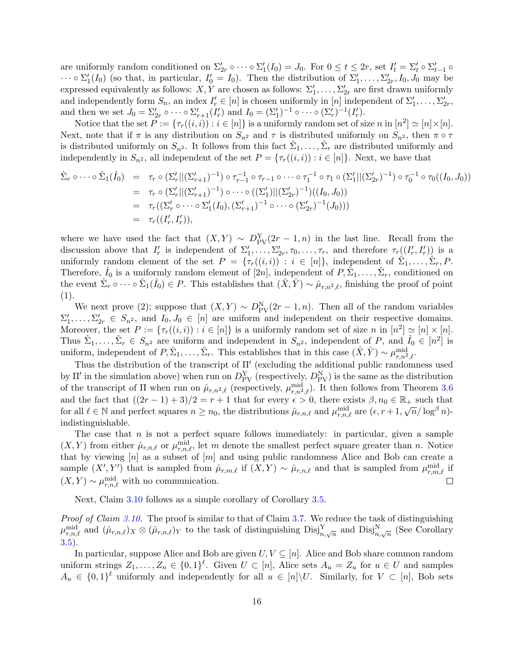are uniformly random conditioned on  $\Sigma_{2r}' \circ \cdots \circ \Sigma_1'(I_0) = J_0$ . For  $0 \le t \le 2r$ , set  $I_t' = \Sigma_t' \circ \Sigma_{t-1}' \circ$  $\cdots \circ \Sigma_1'(I_0)$  (so that, in particular,  $I'_0 = I_0$ ). Then the distribution of  $\Sigma'_1, \ldots, \Sigma'_{2r}, I_0, J_0$  may be expressed equivalently as follows:  $X, Y$  are chosen as follows:  $\Sigma'_1, \ldots, \Sigma'_{2r}$  are first drawn uniformly and independently form  $S_n$ , an index  $I'_r \in [n]$  is chosen uniformly in  $[n]$  independent of  $\Sigma'_1, \ldots, \Sigma'_{2r}$ , and then we set  $J_0 = \sum_{r=1}^{\prime} \circ \cdots \circ \sum_{r=1}^{\prime} (I_r^{\prime})$  and  $I_0 = (\sum_1^{\prime})^{-1} \circ \cdots \circ (\sum_r^{\prime})^{-1} (I_r^{\prime})$ .

Notice that the set  $P := \{ \tau_r((i, i)) : i \in [n] \}$  is a uniformly random set of size n in  $[n^2] \simeq [n] \times [n]$ . Next, note that if  $\pi$  is any distribution on  $S_{n^2}$  and  $\tau$  is distributed uniformly on  $S_{n^2}$ , then  $\pi \circ \tau$ is distributed uniformly on  $S_{n^2}$ . It follows from this fact  $\hat{\Sigma}_1,\ldots,\hat{\Sigma}_r$  are distributed uniformly and independently in  $S_{n^2}$ , all independent of the set  $P = {\tau_r((i,i)) : i \in [n]}$ . Next, we have that

$$
\hat{\Sigma}_r \circ \cdots \circ \hat{\Sigma}_1(\hat{I}_0) = \tau_r \circ (\Sigma_r'||(\Sigma_{r+1}')^{-1}) \circ \tau_{r-1}^{-1} \circ \tau_{r-1} \circ \cdots \circ \tau_1^{-1} \circ \tau_1 \circ (\Sigma_1'||(\Sigma_{2r}')^{-1}) \circ \tau_0^{-1} \circ \tau_0((I_0, J_0))
$$
\n
$$
= \tau_r \circ (\Sigma_r'||(\Sigma_{r+1}')^{-1}) \circ \cdots \circ ((\Sigma_1')||(\Sigma_{2r}')^{-1})((I_0, J_0))
$$
\n
$$
= \tau_r((\Sigma_r' \circ \cdots \circ \Sigma_1'(I_0), (\Sigma_{r+1}')^{-1} \circ \cdots \circ (\Sigma_{2r}')^{-1}(J_0)))
$$
\n
$$
= \tau_r((I_r', I_r')),
$$

where we have used the fact that  $(X, Y) \sim D_{\text{PV}}^{Y}(2r - 1, n)$  in the last line. Recall from the discussion above that  $I'_r$  is independent of  $\Sigma'_1,\ldots,\Sigma'_{2r},\tau_0,\ldots,\tau_r$ , and therefore  $\tau_r((I'_r,I'_r))$  is a uniformly random element of the set  $P = \{\tau_r((i,i)) : i \in [n]\},\$  independent of  $\hat{\Sigma}_1,\ldots,\hat{\Sigma}_r,P$ . Therefore,  $\hat{I}_0$  is a uniformly random element of  $[2n]$ , independent of  $P, \tilde{\Sigma}_1, \ldots, \tilde{\Sigma}_r$ , conditioned on the event  $\hat{\Sigma}_r \circ \cdots \circ \hat{\Sigma}_1(\hat{I}_0) \in P$ . This establishes that  $(\hat{X}, \hat{Y}) \sim \hat{\mu}_{r,n^2,\ell}$ , finishing the proof of point (1).

We next prove (2); suppose that  $(X, Y) \sim D_{\text{PV}}^N(2r-1, n)$ . Then all of the random variables  $\Sigma'_1,\ldots,\Sigma'_{2r} \in S_{n^2}$ , and  $I_0, J_0 \in [n]$  are uniform and independent on their respective domains. Moreover, the set  $P := \{\tau_r((i,i)) : i \in [n]\}$  is a uniformly random set of size n in  $[n^2] \simeq [n] \times [n]$ . Thus  $\hat{\Sigma}_1,\ldots,\hat{\Sigma}_r \in S_{n^2}$  are uniform and independent in  $S_{n^2}$ , independent of P, and  $\hat{I}_0 \in [n^2]$  is uniform, independent of  $P, \hat{\Sigma}_1, \ldots, \hat{\Sigma}_r$ . This establishes that in this case  $(\hat{X}, \hat{Y}) \sim \mu_{r,n^2,\ell}^{\text{mid}}$ .

Thus the distribution of the transcript of  $\Pi'$  (excluding the additional public randomness used by  $\Pi'$  in the simulation above) when run on  $D_{\text{PV}}^{\text{Y}}$  (respectively,  $D_{\text{PV}}^{\text{N}}$ ) is the same as the distribution of the transcript of  $\Pi$  when run on  $\hat{\mu}_{r,n^2,\ell}$  (respectively,  $\mu_{r,n^2,\ell}^{\text{mid}}$ ). It then follows from Theorem [3.6](#page-13-1) and the fact that  $((2r-1)+3)/2 = r+1$  that for every  $\epsilon > 0$ , there exists  $\beta, n_0 \in \mathbb{R}_+$  such that for all  $\ell \in \mathbb{N}$  and perfect squares  $n \geq n_0$ , the distributions  $\hat{\mu}_{r,n,\ell}$  and  $\mu_{r,n,\ell}^{\text{mid}}$  are  $(\epsilon, r+1, \sqrt{n}/\log^\beta n)$ indistinguishable.

The case that  $n$  is not a perfect square follows immediately: in particular, given a sample  $(X, Y)$  from either  $\hat{\mu}_{r,n,\ell}$  or  $\mu_{r,n,\ell}^{\text{mid}}$ , let m denote the smallest perfect square greater than n. Notice that by viewing  $[n]$  as a subset of  $[m]$  and using public randomness Alice and Bob can create a sample  $(X', Y')$  that is sampled from  $\hat{\mu}_{r,m,\ell}$  if  $(X, Y) \sim \hat{\mu}_{r,n,\ell}$  and that is sampled from  $\mu_{r,m,\ell}^{\text{mid}}$  if  $(X, Y) \sim \mu_{r,n,\ell}^{\text{mid}}$  with no communication.  $\Box$ 

Next, Claim [3.10](#page-15-0) follows as a simple corollary of Corollary [3.5.](#page-12-1)

Proof of Claim [3.10.](#page-15-0) The proof is similar to that of Claim [3.7.](#page-14-0) We reduce the task of distinguishing  $\mu_{r,n,\ell}^{\text{mid}}$  and  $(\hat{\mu}_{r,n,\ell})_X \otimes (\hat{\mu}_{r,n,\ell})_Y$  to the task of distinguishing  $\text{Disj}_{n,\sqrt{n}}^Y$  and  $\text{Disj}_{n,\sqrt{n}}^N$  (See Corollary [3.5\)](#page-12-1).

In particular, suppose Alice and Bob are given  $U, V \subseteq [n]$ . Alice and Bob share common random uniform strings  $Z_1, \ldots, Z_n \in \{0,1\}^{\ell}$ . Given  $U \subset [n]$ , Alice sets  $A_u = Z_u$  for  $u \in U$  and samples  $A_u \in \{0,1\}^{\ell}$  uniformly and independently for all  $u \in [n] \setminus U$ . Similarly, for  $V \subset [n]$ , Bob sets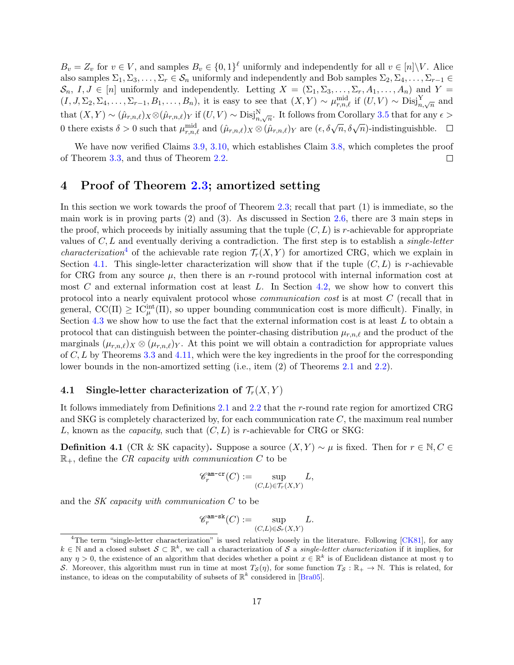$B_v = Z_v$  for  $v \in V$ , and samples  $B_v \in \{0,1\}^{\ell}$  uniformly and independently for all  $v \in [n] \backslash V$ . Alice also samples  $\Sigma_1, \Sigma_3, \ldots, \Sigma_r \in \mathcal{S}_n$  uniformly and independently and Bob samples  $\Sigma_2, \Sigma_4, \ldots, \Sigma_{r-1} \in$  $\mathcal{S}_n$ ,  $I, J \in [n]$  uniformly and independently. Letting  $X = (\Sigma_1, \Sigma_3, \ldots, \Sigma_r, A_1, \ldots, A_n)$  and  $Y =$  $(I, J, \Sigma_2, \Sigma_4, \ldots, \Sigma_{r-1}, B_1, \ldots, B_n)$ , it is easy to see that  $(X, Y) \sim \mu_{r,n,\ell}^{\text{mid}}$  if  $(U, V) \sim \text{Disj}_{n,\sqrt{n}}^Y$  and that  $(X, Y) \sim (\hat{\mu}_{r,n,\ell})_X \otimes (\hat{\mu}_{r,n,\ell})_Y$  if  $(U, V) \sim \text{Disj}_{n,\sqrt{n}}^N$ . It follows from Corollary [3.5](#page-12-1) that for any  $\epsilon >$ 0 there exists  $\delta > 0$  such that  $\mu_{r,n,\ell}^{\text{mid}}$  and  $(\hat{\mu}_{r,n,\ell})_X \otimes (\hat{\mu}_{r,n,\ell})_Y$  are  $(\epsilon, \delta\sqrt{n}, \delta\sqrt{n})$ -indistinguishble.

We have now verified Claims [3.9,](#page-14-2) [3.10,](#page-15-0) which establishes Claim [3.8,](#page-14-1) which completes the proof of Theorem [3.3,](#page-11-0) and thus of Theorem [2.2.](#page-8-0)  $\Box$ 

### <span id="page-17-0"></span>4 Proof of Theorem [2.3;](#page-8-1) amortized setting

In this section we work towards the proof of Theorem [2.3;](#page-8-1) recall that part (1) is immediate, so the main work is in proving parts (2) and (3). As discussed in Section [2.6,](#page-9-0) there are 3 main steps in the proof, which proceeds by initially assuming that the tuple  $(C, L)$  is r-achievable for appropriate values of  $C, L$  and eventually deriving a contradiction. The first step is to establish a *single-letter characterization*<sup>[4](#page-0-0)</sup> of the achievable rate region  $\mathcal{T}_r(X, Y)$  for amortized CRG, which we explain in Section [4.1.](#page-17-1) This single-letter characterization will show that if the tuple  $(C, L)$  is r-achievable for CRG from any source  $\mu$ , then there is an r-round protocol with internal information cost at most  $C$  and external information cost at least  $L$ . In Section [4.2,](#page-19-2) we show how to convert this protocol into a nearly equivalent protocol whose communication cost is at most C (recall that in general,  $\text{CC}(\Pi) \geq \text{IC}_{\mu}^{\text{int}}(\Pi)$ , so upper bounding communication cost is more difficult). Finally, in Section  $4.3$  we show how to use the fact that the external information cost is at least  $L$  to obtain a protocol that can distinguish between the pointer-chasing distribution  $\mu_{r,n,\ell}$  and the product of the marginals  $(\mu_{r,n,\ell})_X \otimes (\mu_{r,n,\ell})_Y$ . At this point we will obtain a contradiction for appropriate values of  $C, L$  by Theorems [3.3](#page-11-0) and [4.11,](#page-25-1) which were the key ingredients in the proof for the corresponding lower bounds in the non-amortized setting (i.e., item (2) of Theorems [2.1](#page-7-2) and [2.2\)](#page-8-0).

### <span id="page-17-1"></span>4.1 Single-letter characterization of  $\mathcal{T}_r(X, Y)$

It follows immediately from Definitions [2.1](#page-5-0) and [2.2](#page-6-0) that the r-round rate region for amortized CRG and SKG is completely characterized by, for each communication rate  $C$ , the maximum real number L, known as the *capacity*, such that  $(C, L)$  is r-achievable for CRG or SKG:

**Definition 4.1** (CR & SK capacity). Suppose a source  $(X, Y) \sim \mu$  is fixed. Then for  $r \in \mathbb{N}, C \in$  $\mathbb{R}_+$ , define the CR capacity with communication C to be

$$
\mathcal{C}_r^{\text{am-cr}}(C) := \sup_{(C,L) \in \mathcal{T}_r(X,Y)} L,
$$

and the SK capacity with communication C to be

$$
\mathscr{C}_r^{\mathrm{am-sk}}(C) := \sup_{(C,L)\in \mathcal{S}_r(X,Y)} L.
$$

<sup>&</sup>lt;sup>4</sup>The term "single-letter characterization" is used relatively loosely in the literature. Following [\[CK81\]](#page-37-10), for any  $k \in \mathbb{N}$  and a closed subset  $\mathcal{S} \subset \mathbb{R}^k$ , we call a characterization of  $\mathcal{S}$  a single-letter characterization if it implies, for any  $\eta > 0$ , the existence of an algorithm that decides whether a point  $x \in \mathbb{R}^k$  is of Euclidean distance at most  $\eta$  to S. Moreover, this algorithm must run in time at most  $T_S(\eta)$ , for some function  $T_S : \mathbb{R}_+ \to \mathbb{N}$ . This is related, for instance, to ideas on the computability of subsets of  $\mathbb{R}^k$  considered in [\[Bra05\]](#page-37-11).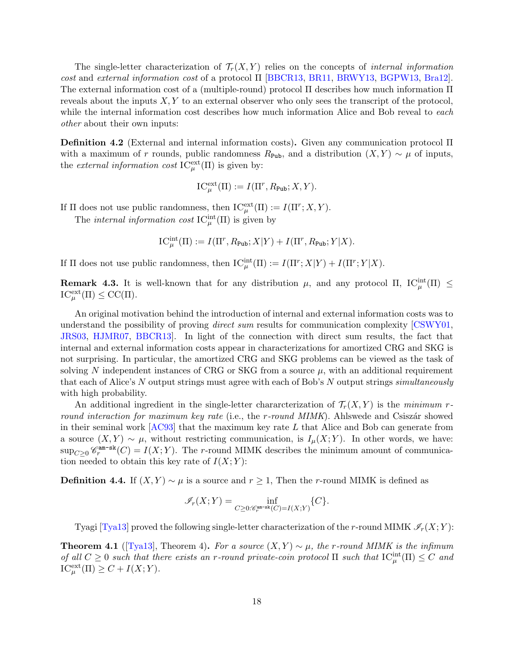The single-letter characterization of  $\mathcal{T}_r(X, Y)$  relies on the concepts of *internal information* cost and external information cost of a protocol Π [\[BBCR13,](#page-36-6) [BR11,](#page-37-8) [BRWY13,](#page-37-9) [BGPW13,](#page-37-12) [Bra12\]](#page-37-13). The external information cost of a (multiple-round) protocol Π describes how much information Π reveals about the inputs  $X, Y$  to an external observer who only sees the transcript of the protocol, while the internal information cost describes how much information Alice and Bob reveal to each other about their own inputs:

Definition 4.2 (External and internal information costs). Given any communication protocol Π with a maximum of r rounds, public randomness  $R_{\text{Pub}}$ , and a distribution  $(X, Y) \sim \mu$  of inputs, the *external information cost*  $IC^{\text{ext}}_{\mu}(\Pi)$  is given by:

$$
\operatorname{IC}^{\operatorname{ext}}_{\mu}(\Pi) := I(\Pi^r, R_{\operatorname{Pub}}; X, Y).
$$

If  $\Pi$  does not use public randomness, then  $IC_{\mu}^{\text{ext}}(\Pi) := I(\Pi^r; X, Y)$ .

The *internal information cost*  $IC_{\mu}^{\text{int}}(\Pi)$  is given by

$$
\operatorname{IC}^{\operatorname{int}}_{\mu}(\Pi):=I(\Pi^r,R_{\text{Pub}};X|Y)+I(\Pi^r,R_{\text{Pub}};Y|X).
$$

If  $\Pi$  does not use public randomness, then  $IC_{\mu}^{\text{int}}(\Pi) := I(\Pi^r;X|Y) + I(\Pi^r;Y|X)$ .

**Remark 4.3.** It is well-known that for any distribution  $\mu$ , and any protocol  $\Pi$ ,  $IC_{\mu}^{int}(\Pi) \le$  $\text{IC}_{\mu}^{\text{ext}}(\Pi) \leq \text{CC}(\Pi).$ 

An original motivation behind the introduction of internal and external information costs was to understand the possibility of proving *direct sum* results for communication complexity [\[CSWY01,](#page-38-11) [JRS03,](#page-39-10) [HJMR07,](#page-38-12) [BBCR13\]](#page-36-6). In light of the connection with direct sum results, the fact that internal and external information costs appear in characterizations for amortized CRG and SKG is not surprising. In particular, the amortized CRG and SKG problems can be viewed as the task of solving N independent instances of CRG or SKG from a source  $\mu$ , with an additional requirement that each of Alice's N output strings must agree with each of Bob's N output strings *simultaneously* with high probability.

An additional ingredient in the single-letter characterization of  $\mathcal{T}_r(X, Y)$  is the minimum rround interaction for maximum key rate (i.e., the r-round  $MIMK$ ). Ahlswede and Csiszár showed in their seminal work  $[AC93]$  that the maximum key rate L that Alice and Bob can generate from a source  $(X, Y) \sim \mu$ , without restricting communication, is  $I_{\mu}(X; Y)$ . In other words, we have:  $\sup_{C\geq 0} \mathscr{C}_r^{\text{am-sk}}(C) = I(X;Y)$ . The r-round MIMK describes the minimum amount of communication needed to obtain this key rate of  $I(X; Y)$ :

<span id="page-18-1"></span>**Definition 4.4.** If  $(X, Y) \sim \mu$  is a source and  $r \geq 1$ , Then the r-round MIMK is defined as

$$
\mathscr{I}_r(X;Y)=\inf_{C\ge 0: \mathscr{C}^{\mathrm{ann-sk}}_r(C)=I(X;Y)}\{C\}.
$$

Tyagi [\[Tya13\]](#page-40-2) proved the following single-letter characterization of the r-round MIMK  $\mathscr{I}_r(X; Y)$ :

<span id="page-18-0"></span>**Theorem 4.1** ([\[Tya13\]](#page-40-2), Theorem 4). For a source  $(X, Y) \sim \mu$ , the r-round MIMK is the infimum of all  $C \geq 0$  such that there exists an r-round private-coin protocol  $\Pi$  such that  $IC^{\text{int}}_{\mu}(\Pi) \leq C$  and  $\mathrm{IC}_{\mu}^{\text{ext}}(\Pi) \geq C + I(X;Y).$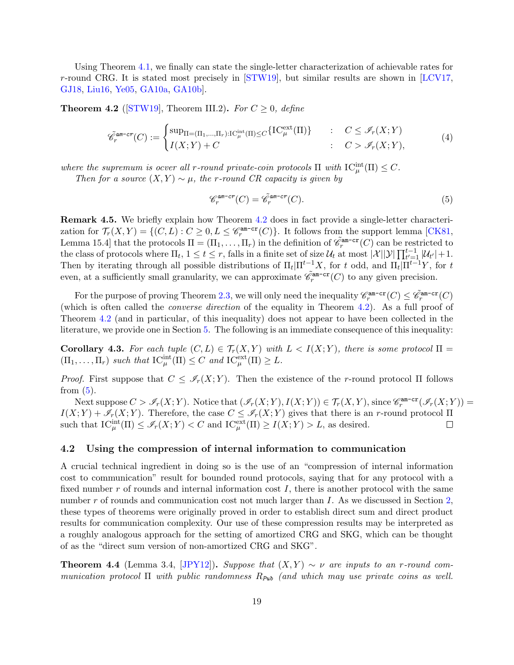Using Theorem [4.1,](#page-18-0) we finally can state the single-letter characterization of achievable rates for r-round CRG. It is stated most precisely in [\[STW19\]](#page-40-10), but similar results are shown in [\[LCV17,](#page-39-5) [GJ18,](#page-38-4) [Liu16,](#page-39-4) [Ye05,](#page-40-3) [GA10a,](#page-38-5) [GA10b\]](#page-38-6).

<span id="page-19-3"></span>**Theorem 4.2** ([\[STW19\]](#page-40-10), Theorem III.2). For  $C \geq 0$ , define

$$
\tilde{\mathcal{C}}_r^{\text{am-cr}}(C) := \begin{cases} \sup_{\Pi = (\Pi_1, \dots, \Pi_r): \Pi_C^{\text{int}}(\Pi) \le C} \{ \text{IC}_{\mu}^{\text{ext}}(\Pi) \} & : & C \le \mathcal{I}_r(X;Y) \\ I(X;Y) + C & : & C > \mathcal{I}_r(X;Y), \end{cases} \tag{4}
$$

where the supremum is ocver all r-round private-coin protocols  $\Pi$  with  $IC_{\mu}^{\text{int}}(\Pi) \leq C$ .

Then for a source  $(X, Y) \sim \mu$ , the r-round CR capacity is given by

<span id="page-19-4"></span>
$$
\mathcal{C}_r^{\text{am-cr}}(C) = \tilde{\mathcal{C}}_r^{\text{am-cr}}(C). \tag{5}
$$

Remark 4.5. We briefly explain how Theorem [4.2](#page-19-3) does in fact provide a single-letter characterization for  $\mathcal{T}_r(X,Y) = \{(C,L) : C \geq 0, L \leq \mathcal{C}_r^{\text{am-cr}}(C) \}$ . It follows from the support lemma [\[CK81,](#page-37-10) Lemma 15.4 that the protocols  $\Pi = (\Pi_1, \ldots, \Pi_r)$  in the definition of  $\tilde{\mathscr{C}}_r^{\text{am-cr}}(C)$  can be restricted to the class of protocols where  $\Pi_t$ ,  $1 \le t \le r$ , falls in a finite set of size  $\mathcal{U}_t$  at most  $|\mathcal{X}||\mathcal{Y}|\prod_{t'=1}^{t-1}|\mathcal{U}_{t'}|+1$ . Then by iterating through all possible distributions of  $\Pi_t|\Pi^{t-1}X$ , for t odd, and  $\Pi_t|\Pi^{t-1}Y$ , for t even, at a sufficiently small granularity, we can approximate  $\tilde{\mathscr{C}}_r^{\text{am-cr}}(C)$  to any given precision.

For the purpose of proving Theorem [2.3,](#page-8-1) we will only need the inequality  $\mathscr{C}_r^{\text{am-cr}}(C) \leq \tilde{\mathscr{C}}_r^{\text{am-cr}}(C)$ (which is often called the converse direction of the equality in Theorem [4.2\)](#page-19-3). As a full proof of Theorem [4.2](#page-19-3) (and in particular, of this inequality) does not appear to have been collected in the literature, we provide one in Section [5.](#page-27-0) The following is an immediate consequence of this inequality:

<span id="page-19-0"></span>**Corollary 4.3.** For each tuple  $(C, L) \in \mathcal{T}_r(X, Y)$  with  $L < I(X; Y)$ , there is some protocol  $\Pi$  $(\Pi_1, \ldots, \Pi_r)$  such that  $\mathrm{IC}_{\mu}^{\mathrm{int}}(\Pi) \leq C$  and  $\mathrm{IC}_{\mu}^{\mathrm{ext}}(\Pi) \geq L$ .

*Proof.* First suppose that  $C \leq \mathcal{I}_r(X;Y)$ . Then the existence of the r-round protocol  $\Pi$  follows from  $(5)$ .

Next suppose  $C > \mathscr{I}_r(X;Y)$ . Notice that  $(\mathscr{I}_r(X;Y), I(X;Y)) \in \mathcal{T}_r(X,Y)$ , since  $\mathscr{C}_r^{\text{am-cr}}(\mathscr{I}_r(X;Y))$  =  $I(X;Y) + \mathscr{I}_r(X;Y)$ . Therefore, the case  $C \leq \mathscr{I}_r(X;Y)$  gives that there is an r-round protocol  $\Pi$ such that  $IC_{\mu}^{\text{int}}(\Pi) \leq \mathscr{I}_r(X;Y) < C$  and  $IC_{\mu}^{\text{ext}}(\Pi) \geq I(X;Y) > L$ , as desired.

#### <span id="page-19-2"></span>4.2 Using the compression of internal information to communication

A crucial technical ingredient in doing so is the use of an "compression of internal information cost to communication" result for bounded round protocols, saying that for any protocol with a fixed number  $r$  of rounds and internal information cost  $I$ , there is another protocol with the same number  $r$  of rounds and communication cost not much larger than  $I$ . As we discussed in Section [2,](#page-4-0) these types of theorems were originally proved in order to establish direct sum and direct product results for communication complexity. Our use of these compression results may be interpreted as a roughly analogous approach for the setting of amortized CRG and SKG, which can be thought of as the "direct sum version of non-amortized CRG and SKG".

<span id="page-19-1"></span>**Theorem 4.4** (Lemma 3.4, [\[JPY12\]](#page-39-11)). Suppose that  $(X, Y) \sim \nu$  are inputs to an r-round communication protocol  $\Pi$  with public randomness  $R_{\text{Pub }}$  (and which may use private coins as well.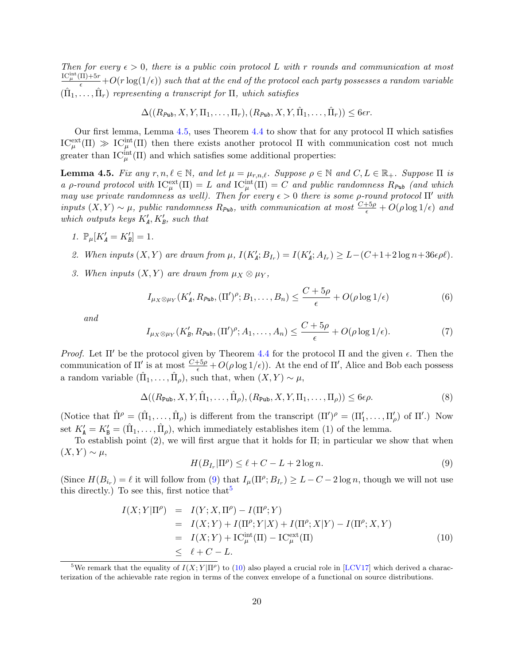Then for every  $\epsilon > 0$ , there is a public coin protocol L with r rounds and communication at most  $\frac{\mathrm{IC}_{\mu}^{\mathrm{int}}(\Pi)+5r}{\epsilon}+O(r\log(1/\epsilon))$  such that at the end of the protocol each party possesses a random variable  $(\hat{\Pi}_1, \ldots, \hat{\Pi}_r)$  representing a transcript for  $\Pi$ , which satisfies

$$
\Delta((R_{\mathit{Pub}}, X, Y, \Pi_1, \ldots, \Pi_r), (R_{\mathit{Pub}}, X, Y, \hat{\Pi}_1, \ldots, \hat{\Pi}_r)) \leq 6\epsilon r.
$$

Our first lemma, Lemma [4.5,](#page-20-0) uses Theorem [4.4](#page-19-1) to show that for any protocol  $\Pi$  which satisfies  $IC^{\text{ext}}_{\mu}(\Pi) \gg IC^{\text{int}}_{\mu}(\Pi)$  then there exists another protocol  $\Pi$  with communication cost not much greater than  $IC_{\mu}^{\text{int}}(\Pi)$  and which satisfies some additional properties:

<span id="page-20-0"></span>**Lemma 4.5.** Fix any  $r, n, \ell \in \mathbb{N}$ , and let  $\mu = \mu_{r,n,\ell}$ . Suppose  $\rho \in \mathbb{N}$  and  $C, L \in \mathbb{R}_+$ . Suppose  $\Pi$  is a p-round protocol with  $\text{IC}_{\mu}^{\text{ext}}(\Pi) = L$  and  $\text{IC}_{\mu}^{\text{int}}(\Pi) = C$  and public randomness  $R_{\text{Pub}}$  (and which may use private randomness as well). Then for every  $\epsilon > 0$  there is some  $\rho$ -round protocol  $\Pi'$  with inputs  $(X, Y) \sim \mu$ , public randomness  $R_{\text{Pub}}$ , with communication at most  $\frac{C+5\rho}{\epsilon} + O(\rho \log 1/\epsilon)$  and which outputs keys  $K'_A, K'_B$ , such that

- 1.  $\mathbb{P}_{\mu}[K'_{A} = K'_{B}] = 1.$
- 2. When inputs  $(X, Y)$  are drawn from  $\mu$ ,  $I(K'_{\mathbf{A}}; B_{I_r}) = I(K'_{\mathbf{A}}; A_{I_r}) \geq L (C + 1 + 2 \log n + 36\epsilon \rho \ell)$ .
- 3. When inputs  $(X, Y)$  are drawn from  $\mu_X \otimes \mu_Y$ ,

<span id="page-20-4"></span>
$$
I_{\mu_X \otimes \mu_Y}(K'_A, R_{\text{Pub}}, (\Pi')^\rho; B_1, \dots, B_n) \le \frac{C + 5\rho}{\epsilon} + O(\rho \log 1/\epsilon)
$$
(6)

and

<span id="page-20-5"></span>
$$
I_{\mu_X \otimes \mu_Y}(K'_B, R_{\nu_{\mathbf{u}}}, (\Pi')^{\rho}; A_1, \dots, A_n) \le \frac{C + 5\rho}{\epsilon} + O(\rho \log 1/\epsilon). \tag{7}
$$

Proof. Let  $\Pi'$  be the protocol given by Theorem [4.4](#page-19-1) for the protocol  $\Pi$  and the given  $\epsilon$ . Then the communication of  $\Pi'$  is at most  $\frac{C+5\rho}{\epsilon} + O(\rho \log 1/\epsilon)$ . At the end of  $\Pi'$ , Alice and Bob each possess a random variable  $(\hat{\Pi}_1, \ldots, \hat{\Pi}_\rho)$ , such that, when  $(X, Y) \sim \mu$ ,

<span id="page-20-3"></span>
$$
\Delta((R_{\text{Pub}}, X, Y, \hat{\Pi}_1, \dots, \hat{\Pi}_\rho), (R_{\text{Pub}}, X, Y, \Pi_1, \dots, \Pi_\rho)) \le 6\epsilon\rho.
$$
\n
$$
(8)
$$

(Notice that  $\hat{\Pi}^{\rho} = (\hat{\Pi}_1, \dots, \hat{\Pi}_{\rho})$  is different from the transcript  $(\Pi')^{\rho} = (\Pi'_1, \dots, \Pi'_{\rho})$  of  $\Pi'$ .) Now set  $K'_{\mathbf{A}} = K'_{\mathbf{B}} = (\hat{\Pi}_1, \dots, \hat{\Pi}_\rho)$ , which immediately establishes item (1) of the lemma.

To establish point (2), we will first argue that it holds for Π; in particular we show that when  $(X, Y) \sim \mu$ ,

<span id="page-20-1"></span>
$$
H(B_{I_r}|\Pi^{\rho}) \le \ell + C - L + 2\log n. \tag{9}
$$

(Since  $H(B_{i_r}) = \ell$  it will follow from [\(9\)](#page-20-1) that  $I_\mu(\Pi^{\rho}; B_{I_r}) \geq L - C - 2 \log n$ , though we will not use this directly.) To see this, first notice that  $5$ 

<span id="page-20-2"></span>
$$
I(X;Y|\Pi^{\rho}) = I(Y;X,\Pi^{\rho}) - I(\Pi^{\rho};Y) \n= I(X;Y) + I(\Pi^{\rho};Y|X) + I(\Pi^{\rho};X|Y) - I(\Pi^{\rho};X,Y) \n= I(X;Y) + IC_{\mu}^{\text{int}}(\Pi) - IC_{\mu}^{\text{ext}}(\Pi) \n\leq \ell + C - L.
$$
\n(10)

<sup>&</sup>lt;sup>5</sup>We remark that the equality of  $I(X;Y|\Pi^{\rho})$  to [\(10\)](#page-20-2) also played a crucial role in [\[LCV17\]](#page-39-5) which derived a characterization of the achievable rate region in terms of the convex envelope of a functional on source distributions.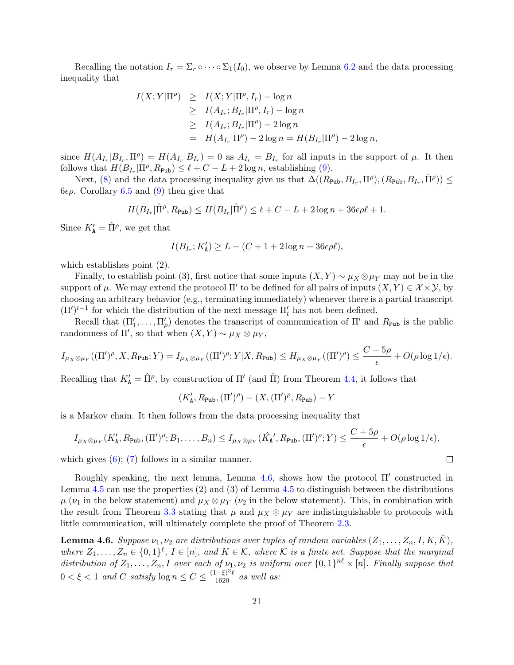Recalling the notation  $I_r = \Sigma_r \circ \cdots \circ \Sigma_1(I_0)$ , we observe by Lemma [6.2](#page-33-0) and the data processing inequality that

$$
I(X;Y|\Pi^{\rho}) \geq I(X;Y|\Pi^{\rho}, I_r) - \log n
$$
  
\n
$$
\geq I(A_{I_r}; B_{I_r}|\Pi^{\rho}, I_r) - \log n
$$
  
\n
$$
\geq I(A_{I_r}; B_{I_r}|\Pi^{\rho}) - 2\log n
$$
  
\n
$$
= H(A_{I_r}|\Pi^{\rho}) - 2\log n = H(B_{I_r}|\Pi^{\rho}) - 2\log n,
$$

since  $H(A_{I_r}|B_{I_r},\Pi^{\rho})=H(A_{I_r}|B_{I_r})=0$  as  $A_{I_r}=B_{I_r}$  for all inputs in the support of  $\mu$ . It then follows that  $H(B_{I_r} | \Pi^{\rho}, R_{\text{Pub}}) \leq \ell + C - L + 2 \log n$ , establishing [\(9\)](#page-20-1).

Next, [\(8\)](#page-20-3) and the data processing inequality give us that  $\Delta((R_{\text{Pub}}, B_{I_r}, \Pi^{\rho}), (R_{\text{Pub}}, B_{I_r}, \hat{\Pi}^{\rho})) \le$ 6*ερ*. Corollary [6.5](#page-33-1) and [\(9\)](#page-20-1) then give that

$$
H(B_{I_r} | \hat{\Pi}^\rho, R_{\mathtt{Pub}}) \leq H(B_{I_r} | \hat{\Pi}^\rho) \leq \ell + C - L + 2 \log n + 36 \epsilon \rho \ell + 1.
$$

Since  $K'_{\mathbf{A}} = \hat{\Pi}^{\rho}$ , we get that

$$
I(B_{I_r}; K_{\mathbf{A}}') \ge L - (C + 1 + 2\log n + 36\epsilon\rho\ell),
$$

which establishes point (2).

Finally, to establish point (3), first notice that some inputs  $(X, Y) \sim \mu_X \otimes \mu_Y$  may not be in the support of  $\mu$ . We may extend the protocol  $\Pi'$  to be defined for all pairs of inputs  $(X, Y) \in \mathcal{X} \times \mathcal{Y}$ , by choosing an arbitrary behavior (e.g., terminating immediately) whenever there is a partial transcript  $(\Pi')^{t-1}$  for which the distribution of the next message  $\Pi'_t$  has not been defined.

Recall that  $(\Pi'_1,\ldots,\Pi'_\rho)$  denotes the transcript of communication of  $\Pi'$  and  $R_{\text{Pub}}$  is the public randomness of  $\Pi'$ , so that when  $(X, Y) \sim \mu_X \otimes \mu_Y$ ,

$$
I_{\mu_X \otimes \mu_Y}((\Pi')^{\rho}, X, R_{\text{Pub}}; Y) = I_{\mu_X \otimes \mu_Y}((\Pi')^{\rho}; Y | X, R_{\text{Pub}}) \leq H_{\mu_X \otimes \mu_Y}((\Pi')^{\rho}) \leq \frac{C + 5\rho}{\epsilon} + O(\rho \log 1/\epsilon).
$$

Recalling that  $K'_{\mathbf{A}} = \hat{\Pi}^{\rho}$ , by construction of  $\Pi'$  (and  $\hat{\Pi}$ ) from Theorem [4.4,](#page-19-1) it follows that

$$
(K'_{\mathbf{A}}, R_{\text{Pub}}, (\Pi')^{\rho}) - (X, (\Pi')^{\rho}, R_{\text{Pub}}) - Y
$$

is a Markov chain. It then follows from the data processing inequality that

$$
I_{\mu_X \otimes \mu_Y}(K'_{\mathbf{A}}, R_{\text{Pub}}, (\Pi')^{\rho}; B_1, \ldots, B_n) \leq I_{\mu_X \otimes \mu_Y}(\hat{K}_{\mathbf{A}}', R_{\text{Pub}}, (\Pi')^{\rho}; Y) \leq \frac{C + 5\rho}{\epsilon} + O(\rho \log 1/\epsilon),
$$

 $\Box$ 

which gives  $(6)$ ;  $(7)$  follows in a similar manner.

Roughly speaking, the next lemma, Lemma [4.6,](#page-21-0) shows how the protocol  $\Pi'$  constructed in Lemma [4.5](#page-20-0) can use the properties (2) and (3) of Lemma [4.5](#page-20-0) to distinguish between the distributions  $\mu$  ( $\nu_1$  in the below statement) and  $\mu_X \otimes \mu_Y$  ( $\nu_2$  in the below statement). This, in combination with the result from Theorem [3.3](#page-11-0) stating that  $\mu$  and  $\mu_X \otimes \mu_Y$  are indistinguishable to protocols with little communication, will ultimately complete the proof of Theorem [2.3.](#page-8-1)

<span id="page-21-0"></span>**Lemma 4.6.** Suppose  $\nu_1, \nu_2$  are distributions over tuples of random variables  $(Z_1, \ldots, Z_n, I, K, \tilde{K})$ , where  $Z_1, \ldots, Z_n \in \{0,1\}^{\ell}, I \in [n],$  and  $K \in \mathcal{K}$ , where  $\mathcal K$  is a finite set. Suppose that the marginal distribution of  $Z_1, \ldots, Z_n, I$  over each of  $\nu_1, \nu_2$  is uniform over  $\{0,1\}^{n\ell} \times [n]$ . Finally suppose that  $0 < \xi < 1$  and C satisfy  $\log n \le C \le \frac{(1-\xi)^3 \ell}{1620}$  as well as: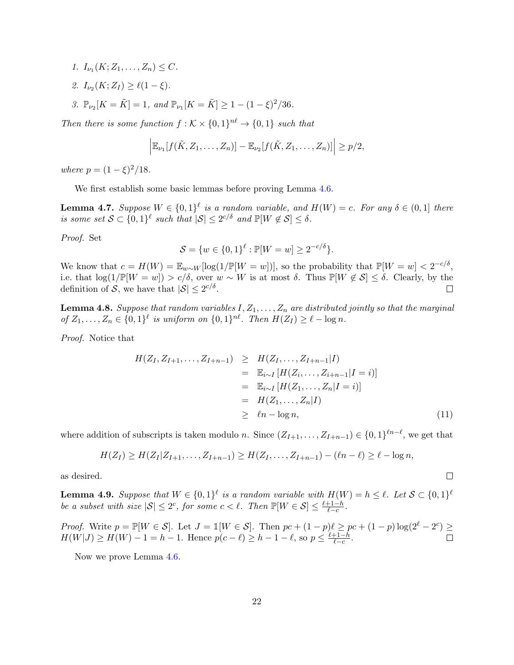- 1.  $I_{\nu_1}(K; Z_1, \ldots, Z_n) \leq C$ .
- 2.  $I_{\nu_2}(K; Z_I) \geq \ell(1-\xi)$ .
- 3.  $\mathbb{P}_{\nu_2}[K = \tilde{K}] = 1$ , and  $\mathbb{P}_{\nu_1}[K = \tilde{K}] \ge 1 (1 \xi)^2/36$ .

Then there is some function  $f: K \times \{0,1\}^{n\ell} \to \{0,1\}$  such that

$$
\left|\mathbb{E}_{\nu_1}[f(\tilde{K},Z_1,\ldots,Z_n)]-\mathbb{E}_{\nu_2}[f(\tilde{K},Z_1,\ldots,Z_n)]\right|\geq p/2,
$$

where  $p = (1 - \xi)^2/18$ .

We first establish some basic lemmas before proving Lemma [4.6.](#page-21-0)

<span id="page-22-0"></span>**Lemma 4.7.** Suppose  $W \in \{0,1\}^{\ell}$  is a random variable, and  $H(W) = c$ . For any  $\delta \in (0,1]$  there is some set  $S \subset \{0,1\}^{\ell}$  such that  $|S| \leq 2^{c/\delta}$  and  $\mathbb{P}[W \notin S] \leq \delta$ .

Proof. Set

$$
S = \{w \in \{0,1\}^{\ell} : \mathbb{P}[W = w] \ge 2^{-c/\delta}\}.
$$

We know that  $c = H(W) = \mathbb{E}_{w \sim W} [\log(1/\mathbb{P}[W=w])],$  so the probability that  $\mathbb{P}[W=w] < 2^{-c/\delta}$ , i.e. that  $\log(1/\mathbb{P}[W=w]) > c/\delta$ , over  $w \sim W$  is at most  $\delta$ . Thus  $\mathbb{P}[W \notin \mathcal{S}] \leq \delta$ . Clearly, by the definition of S, we have that  $|S| \leq 2^{c/\delta}$ .  $\Box$ 

<span id="page-22-1"></span>**Lemma 4.8.** Suppose that random variables  $I, Z_1, \ldots, Z_n$  are distributed jointly so that the marginal of  $Z_1, ..., Z_n \in \{0,1\}^{\ell}$  is uniform on  $\{0,1\}^{n\ell}$ . Then  $H(Z_I) \geq \ell - \log n$ .

Proof. Notice that

$$
H(Z_I, Z_{I+1},..., Z_{I+n-1}) \geq H(Z_I,..., Z_{I+n-1} | I)
$$
  
=  $\mathbb{E}_{i \sim I} [H(Z_i,..., Z_{i+n-1} | I = i)]$   
=  $\mathbb{E}_{i \sim I} [H(Z_1,..., Z_n | I = i)]$   
=  $H(Z_1,..., Z_n | I)$   
 $\geq \ell n - \log n,$  (11)

 $\Box$ 

where addition of subscripts is taken modulo n. Since  $(Z_{I+1},..., Z_{I+n-1}) \in \{0,1\}^{\ell n-\ell}$ , we get that

$$
H(Z_I) \geq H(Z_I | Z_{I+1}, \ldots, Z_{I+n-1}) \geq H(Z_I, \ldots, Z_{I+n-1}) - (\ell n - \ell) \geq \ell - \log n,
$$

as desired.

<span id="page-22-2"></span>**Lemma 4.9.** Suppose that  $W \in \{0,1\}^{\ell}$  is a random variable with  $H(W) = h \leq \ell$ . Let  $S \subset \{0,1\}^{\ell}$ be a subset with size  $|S| \leq 2^c$ , for some  $c < \ell$ . Then  $\mathbb{P}[W \in S] \leq \frac{\ell+1-h}{\ell-c}$  $\frac{+1-n}{\ell-c}$ .

*Proof.* Write  $p = \mathbb{P}[W \in \mathcal{S}]$ . Let  $J = \mathbb{1}[W \in \mathcal{S}]$ . Then  $pc + (1-p)\ell \ge pc + (1-p) \log(2^{\ell} - 2^c) \ge$  $H(W|J) \ge H(W) - 1 = h - 1$ . Hence  $p(c - \ell) \ge h - 1 - \ell$ , so  $p \le \frac{\ell+1-h}{\ell-c}$  $\frac{+1-h}{\ell-c}$ .

Now we prove Lemma [4.6.](#page-21-0)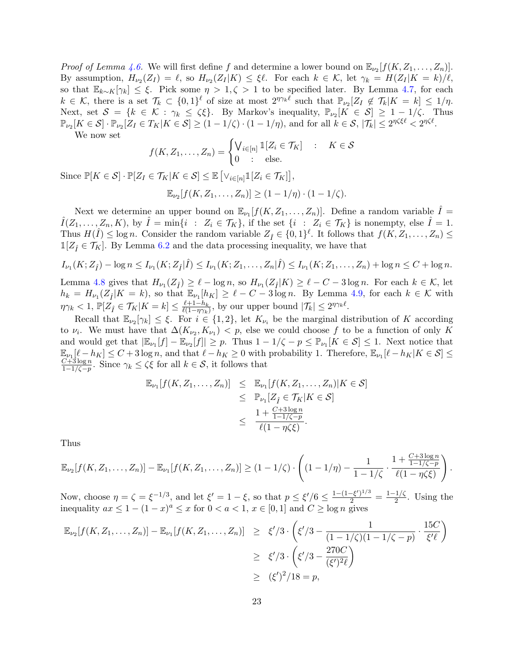*Proof of Lemma [4.6.](#page-21-0)* We will first define f and determine a lower bound on  $\mathbb{E}_{\nu_2}[f(K, Z_1, \ldots, Z_n)].$ By assumption,  $H_{\nu_2}(Z_I) = \ell$ , so  $H_{\nu_2}(Z_I|K) \leq \xi \ell$ . For each  $k \in \mathcal{K}$ , let  $\gamma_k = H(Z_I|K = k)/\ell$ , so that  $\mathbb{E}_{k\sim K}[\gamma_k] \leq \xi$ . Pick some  $\eta > 1, \zeta > 1$  to be specified later. By Lemma [4.7,](#page-22-0) for each  $k \in \mathcal{K}$ , there is a set  $\mathcal{T}_k \subset \{0,1\}^{\ell}$  of size at most  $2^{\eta \gamma_k \ell}$  such that  $\mathbb{P}_{\nu_2}[Z_I \notin \mathcal{T}_k | K = k] \leq 1/\eta$ . Next, set  $S = \{k \in \mathcal{K} : \gamma_k \leq \zeta \xi\}$ . By Markov's inequality,  $\mathbb{P}_{\nu_2}[K \in S] \geq 1 - 1/\zeta$ . Thus  $\mathbb{P}_{\nu_2}[K \in \mathcal{S}] \cdot \mathbb{P}_{\nu_2}[Z_I \in T_K | K \in \mathcal{S}] \ge (1 - 1/\zeta) \cdot (1 - 1/\eta)$ , and for all  $k \in \mathcal{S}, |\mathcal{T}_k| \le 2^{\eta \zeta \xi \ell} < 2^{\eta \zeta \ell}$ .

We now set

$$
f(K, Z_1, \dots, Z_n) = \begin{cases} \bigvee_{i \in [n]} \mathbb{1}[Z_i \in \mathcal{T}_K] & : & K \in \mathcal{S} \\ 0 & : & \text{else.} \end{cases}
$$

Since  $\mathbb{P}[K \in \mathcal{S}] \cdot \mathbb{P}[Z_I \in \mathcal{T}_K | K \in \mathcal{S}] \leq \mathbb{E} \left[ \vee_{i \in [n]} \mathbb{1}[Z_i \in \mathcal{T}_K] \right],$ 

$$
\mathbb{E}_{\nu_2}[f(K, Z_1, \ldots, Z_n)] \ge (1 - 1/\eta) \cdot (1 - 1/\zeta).
$$

Next we determine an upper bound on  $\mathbb{E}_{\nu_1}[f(K, Z_1, \ldots, Z_n)]$ . Define a random variable  $\hat{I}$  =  $\hat{I}(Z_1,\ldots,Z_n,K)$ , by  $\hat{I} = \min\{i : Z_i \in \mathcal{T}_K\}$ , if the set  $\{i : Z_i \in \mathcal{T}_K\}$  is nonempty, else  $\hat{I} = 1$ . Thus  $H(\hat{I}) \leq \log n$ . Consider the random variable  $Z_{\hat{I}} \in \{0,1\}^{\ell}$ . It follows that  $f(K, Z_1, \ldots, Z_n) \leq$  $\mathbb{1}[Z_i \in \mathcal{T}_K]$ . By Lemma [6.2](#page-33-0) and the data processing inequality, we have that

$$
I_{\nu_1}(K; Z_{\hat{I}}) - \log n \le I_{\nu_1}(K; Z_{\hat{I}}|\hat{I}) \le I_{\nu_1}(K; Z_1, \dots, Z_n|\hat{I}) \le I_{\nu_1}(K; Z_1, \dots, Z_n) + \log n \le C + \log n.
$$

Lemma [4.8](#page-22-1) gives that  $H_{\nu_1}(Z_{\hat{I}}) \geq \ell - \log n$ , so  $H_{\nu_1}(Z_{\hat{I}}|K) \geq \ell - C - 3 \log n$ . For each  $k \in \mathcal{K}$ , let  $h_k = H_{\nu_1}(Z_i|K = k)$ , so that  $\mathbb{E}_{\nu_1}[h_K] \geq \ell - C - 3 \log n$ . By Lemma [4.9,](#page-22-2) for each  $k \in \mathcal{K}$  with  $\eta\gamma_k < 1, \, \mathbb{P}[Z_{\hat{I}} \in \mathcal{T}_K | K = k] \leq \frac{\ell+1-h_k}{\ell(1-\eta\gamma_k)}$  $\frac{\ell+1-h_k}{\ell(1-\eta\gamma_k)}$ , by our upper bound  $|\mathcal{T}_k| \leq 2^{\eta\gamma_k\ell}$ .

Recall that  $\mathbb{E}_{\nu_2}[\gamma_k] \leq \xi$ . For  $i \in \{1,2\}$ , let  $K_{\nu_i}$  be the marginal distribution of K according to  $\nu_i$ . We must have that  $\Delta(K_{\nu_2}, K_{\nu_1}) < p$ , else we could choose f to be a function of only K and would get that  $|\mathbb{E}_{\nu_1}[f] - \mathbb{E}_{\nu_2}[f]| \geq p$ . Thus  $1 - 1/\zeta - p \leq \mathbb{P}_{\nu_1}[K \in \mathcal{S}] \leq 1$ . Next notice that  $\mathbb{E}_{\nu_1}[\ell-h_K] \leq C+3\log n$ , and that  $\ell-h_K \geq 0$  with probability 1. Therefore,  $\mathbb{E}_{\nu_1}[\ell-h_K|K \in \mathcal{S}] \leq$  $C+3\log n$  $\frac{C+3\log n}{1-1/\zeta-p}$ . Since  $\gamma_k \leq \zeta\xi$  for all  $k \in \mathcal{S}$ , it follows that

<span id="page-23-0"></span>
$$
\mathbb{E}_{\nu_1}[f(K, Z_1, \dots, Z_n)] \leq \mathbb{E}_{\nu_1}[f(K, Z_1, \dots, Z_n)|K \in S]
$$
  
\n
$$
\leq \mathbb{P}_{\nu_1}[Z_{\hat{I}} \in \mathcal{T}_K|K \in S]
$$
  
\n
$$
\leq \frac{1 + \frac{C + 3\log n}{1 - 1/\zeta - p}}{\ell(1 - \eta\zeta\xi)}.
$$

Thus

$$
\mathbb{E}_{\nu_2}[f(K, Z_1, \ldots, Z_n)] - \mathbb{E}_{\nu_1}[f(K, Z_1, \ldots, Z_n)] \geq (1 - 1/\zeta) \cdot \left( (1 - 1/\eta) - \frac{1}{1 - 1/\zeta} \cdot \frac{1 + \frac{C + 3\log n}{1 - 1/\zeta - p}}{\ell(1 - \eta \zeta \zeta)} \right).
$$

Now, choose  $\eta = \zeta = \xi^{-1/3}$ , and let  $\xi' = 1 - \xi$ , so that  $p \le \xi'/6 \le \frac{1 - (1 - \xi')^{1/3}}{2} = \frac{1 - 1/\zeta}{2}$  $rac{1}{2}$ . Using the inequality  $ax \leq 1 - (1 - x)^a \leq x$  for  $0 < a < 1$ ,  $x \in [0, 1]$  and  $C \geq \log n$  gives

$$
\mathbb{E}_{\nu_2}[f(K, Z_1, \dots, Z_n)] - \mathbb{E}_{\nu_1}[f(K, Z_1, \dots, Z_n)] \geq \xi'/3 \cdot \left(\xi'/3 - \frac{1}{(1 - 1/\zeta)(1 - 1/\zeta - p)} \cdot \frac{15C}{\xi'\ell}\right)
$$
  
\n
$$
\geq \xi'/3 \cdot \left(\xi'/3 - \frac{270C}{(\xi')^2\ell}\right)
$$
  
\n
$$
\geq (\xi')^2/18 = p,
$$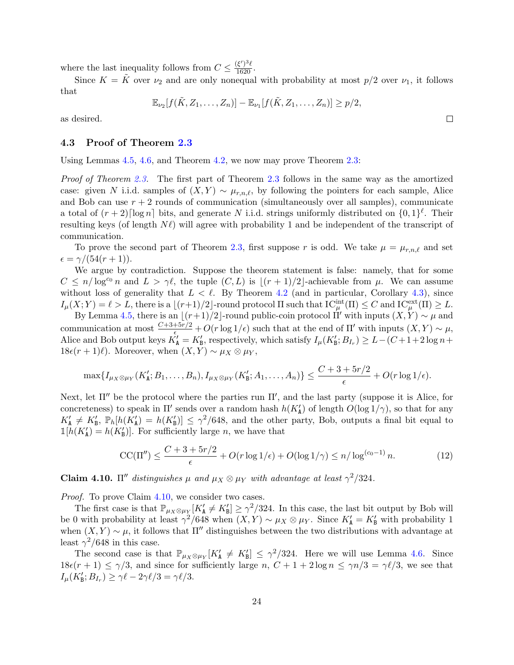where the last inequality follows from  $C \leq \frac{(\xi')^3 \ell}{1620}$ .

Since  $K = \tilde{K}$  over  $\nu_2$  and are only nonequal with probability at most  $p/2$  over  $\nu_1$ , it follows that

$$
\mathbb{E}_{\nu_2}[f(\tilde{K},Z_1,\ldots,Z_n)] - \mathbb{E}_{\nu_1}[f(\tilde{K},Z_1,\ldots,Z_n)] \geq p/2,
$$

 $\Box$ 

as desired.

### <span id="page-24-0"></span>4.3 Proof of Theorem [2.3](#page-8-1)

Using Lemmas [4.5,](#page-20-0) [4.6,](#page-21-0) and Theorem [4.2,](#page-19-3) we now may prove Theorem [2.3:](#page-8-1)

Proof of Theorem [2.3.](#page-8-1) The first part of Theorem [2.3](#page-8-1) follows in the same way as the amortized case: given N i.i.d. samples of  $(X, Y) \sim \mu_{r,n,\ell}$ , by following the pointers for each sample, Alice and Bob can use  $r + 2$  rounds of communication (simultaneously over all samples), communicate a total of  $(r+2)$ [log n] bits, and generate N i.i.d. strings uniformly distributed on  $\{0,1\}^{\ell}$ . Their resulting keys (of length  $N\ell$ ) will agree with probability 1 and be independent of the transcript of communication.

To prove the second part of Theorem [2.3,](#page-8-1) first suppose r is odd. We take  $\mu = \mu_{r,n,\ell}$  and set  $\epsilon = \gamma/(54(r+1)).$ 

We argue by contradiction. Suppose the theorem statement is false: namely, that for some  $C \le n/\log^{c_0} n$  and  $L > \gamma \ell$ , the tuple  $(C, L)$  is  $|(r + 1)/2|$ -achievable from  $\mu$ . We can assume without loss of generality that  $L < \ell$ . By Theorem [4.2](#page-19-3) (and in particular, Corollary [4.3\)](#page-19-0), since  $I_{\mu}(X;Y) = \ell > L$ , there is a  $\lfloor (r+1)/2 \rfloor$ -round protocol  $\Pi$  such that  $\mathrm{IC}_{\mu}^{\mathrm{int}}(\Pi) \leq C$  and  $\mathrm{IC}_{\mu}^{\mathrm{ext}}(\Pi) \geq L$ .

By Lemma [4.5,](#page-20-0) there is an  $\lfloor (r+1)/2 \rfloor$ -round public-coin protocol  $\Pi'$  with inputs  $(X, Y) \sim \mu$  and communication at most  $\frac{C+3+5r/2}{\epsilon} + O(r \log 1/\epsilon)$  such that at the end of  $\Pi'$  with inputs  $(X, Y) \sim \mu$ , Alice and Bob output keys  $K'_A = K'_B$ , respectively, which satisfy  $I_\mu(K'_B; B_{I_r}) \ge L - (C + 1 + 2 \log n +$ 18 $\epsilon(r + 1)\ell$ ). Moreover, when  $(X, Y) \sim \mu_X \otimes \mu_Y$ ,

$$
\max\{I_{\mu_X\otimes\mu_Y}(K'_{\mathbf{A}};B_1,\ldots,B_n),I_{\mu_X\otimes\mu_Y}(K'_{\mathbf{B}};A_1,\ldots,A_n)\}\leq \frac{C+3+5r/2}{\epsilon}+O(r\log 1/\epsilon).
$$

Next, let  $\Pi''$  be the protocol where the parties run  $\Pi'$ , and the last party (suppose it is Alice, for concreteness) to speak in  $\Pi'$  sends over a random hash  $h(K'_{\mathbf{A}})$  of length  $O(\log 1/\gamma)$ , so that for any  $K'_\mathtt{A} \neq K'_\mathtt{B}$ ,  $\mathbb{P}_h[h(K'_\mathtt{A}) = h(K'_\mathtt{B})] \leq \gamma^2/648$ , and the other party, Bob, outputs a final bit equal to  $\mathbb{1}[h(K'_\mathtt{A})] = h(K'_\mathtt{B})]$ . For sufficiently large *n*, we have that

$$
CC(\Pi'') \le \frac{C + 3 + 5r/2}{\epsilon} + O(r \log 1/\epsilon) + O(\log 1/\gamma) \le n/\log^{(c_0 - 1)} n.
$$
 (12)

<span id="page-24-1"></span>**Claim 4.10.**  $\Pi''$  distinguishes  $\mu$  and  $\mu_X \otimes \mu_Y$  with advantage at least  $\gamma^2/324$ .

*Proof.* To prove Claim [4.10,](#page-24-1) we consider two cases.

The first case is that  $\mathbb{P}_{\mu_X \otimes \mu_Y}[K'_\mathbf{A} \neq K'_\mathbf{B}] \geq \gamma^2/324$ . In this case, the last bit output by Bob will be 0 with probability at least  $\gamma^2/648$  when  $(X,Y) \sim \mu_X \otimes \mu_Y$ . Since  $K'_A = K'_B$  with probability 1 when  $(X, Y) \sim \mu$ , it follows that  $\Pi''$  distinguishes between the two distributions with advantage at least  $\gamma^2/648$  in this case.

The second case is that  $\mathbb{P}_{\mu_X \otimes \mu_Y}[K'_A \neq K'_B] \leq \gamma^2/324$ . Here we will use Lemma [4.6.](#page-21-0) Since  $18\epsilon(r + 1) \leq \gamma/3$ , and since for sufficiently large n,  $C + 1 + 2 \log n \leq \gamma n/3 = \gamma \ell/3$ , we see that  $I_{\mu}(K'_{\mathbf{B}};B_{I_r}) \geq \gamma \ell - 2\gamma \ell/3 = \gamma \ell/3.$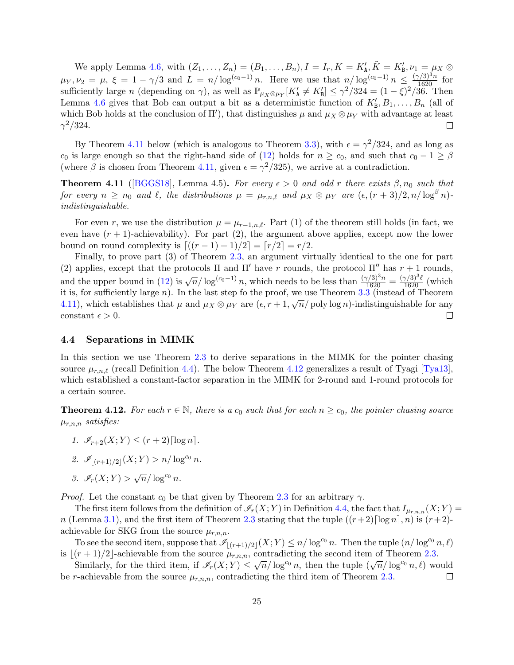We apply Lemma [4.6,](#page-21-0) with  $(Z_1, \ldots, Z_n) = (B_1, \ldots, B_n), I = I_r, K = K'_\mathbf{A}, \tilde{K} = K'_\mathbf{B}, \nu_1 = \mu_X \otimes \nu_Y$  $\mu_Y, \nu_2 = \mu, \xi = 1 - \gamma/3$  and  $L = n/\log^{(c_0-1)} n$ . Here we use that  $n/\log^{(c_0-1)} n \leq \frac{(\gamma/3)^3 n}{1620}$  for sufficiently large n (depending on  $\gamma$ ), as well as  $\mathbb{P}_{\mu_X \otimes \mu_Y}[K'_\mathbf{A} \neq K'_\mathbf{B}] \leq \gamma^2/324 = (1 - \xi)^2/36$ . Then Lemma [4.6](#page-21-0) gives that Bob can output a bit as a deterministic function of  $K'_{\mathbf{B}}, B_1, \ldots, B_n$  (all of which Bob holds at the conclusion of  $\Pi'$ , that distinguishes  $\mu$  and  $\mu_X \otimes \mu_Y$  with advantage at least  $\gamma^2/324.$  $\Box$ 

By Theorem [4.11](#page-25-1) below (which is analogous to Theorem [3.3\)](#page-11-0), with  $\epsilon = \gamma^2/324$ , and as long as c<sub>0</sub> is large enough so that the right-hand side of [\(12\)](#page-23-0) holds for  $n \ge c_0$ , and such that  $c_0 - 1 \ge \beta$ (where  $\beta$  is chosen from Theorem [4.11,](#page-25-1) given  $\epsilon = \gamma^2/325$ ), we arrive at a contradiction.

<span id="page-25-1"></span>**Theorem 4.11** ([\[BGGS18\]](#page-37-7), Lemma 4.5). For every  $\epsilon > 0$  and odd r there exists  $\beta, n_0$  such that for every  $n \ge n_0$  and  $\ell$ , the distributions  $\mu = \mu_{r,n,\ell}$  and  $\mu_X \otimes \mu_Y$  are  $(\epsilon,(r+3)/2, n/\log^{\beta} n)$ indistinguishable.

For even r, we use the distribution  $\mu = \mu_{r-1,n,\ell}$ . Part (1) of the theorem still holds (in fact, we even have  $(r + 1)$ -achievability). For part  $(2)$ , the argument above applies, except now the lower bound on round complexity is  $\lfloor ((r - 1) + 1)/2 \rfloor = \lfloor r/2 \rfloor = r/2$ .

Finally, to prove part (3) of Theorem [2.3,](#page-8-1) an argument virtually identical to the one for part (2) applies, except that the protocols  $\Pi$  and  $\Pi'$  have r rounds, the protocol  $\Pi''$  has  $r + 1$  rounds, and the upper bound in [\(12\)](#page-23-0) is  $\sqrt{n}/\log^{(c_0-1)} n$ , which needs to be less than  $\frac{(\gamma/3)^3 n}{1620} = \frac{(\gamma/3)^3 \ell}{1620}$  (which it is, for sufficiently large *n*). In the last step fo the proof, we use Theorem [3.3](#page-11-0) (instead of Theorem [4.11\)](#page-25-1), which establishes that  $\mu$  and  $\mu_X \otimes \mu_Y$  are  $(\epsilon, r+1, \sqrt{n}/\text{poly}\log n)$ -indistinguishable for any  $\Box$ constant  $\epsilon > 0$ .

#### <span id="page-25-0"></span>4.4 Separations in MIMK

In this section we use Theorem [2.3](#page-8-1) to derive separations in the MIMK for the pointer chasing source  $\mu_{r,n,\ell}$  (recall Definition [4.4\)](#page-18-1). The below Theorem [4.12](#page-25-2) generalizes a result of Tyagi [\[Tya13\]](#page-40-2), which established a constant-factor separation in the MIMK for 2-round and 1-round protocols for a certain source.

<span id="page-25-2"></span>**Theorem 4.12.** For each  $r \in \mathbb{N}$ , there is a  $c_0$  such that for each  $n \geq c_0$ , the pointer chasing source  $\mu_{r,n,n}$  satisfies:

- 1.  $\mathcal{I}_{r+2}(X;Y) \le (r+2)\lceil \log n \rceil$ .
- 2.  $\mathscr{I}_{|(r+1)/2|}(X;Y) > n/\log^{c_0} n$ .
- 3.  $\mathscr{I}_r(X;Y) > \sqrt{n}/\log^{c_0} n$ .

*Proof.* Let the constant  $c_0$  be that given by Theorem [2.3](#page-8-1) for an arbitrary  $\gamma$ .

The first item follows from the definition of  $\mathscr{I}_r(X; Y)$  in Definition [4.4,](#page-18-1) the fact that  $I_{\mu_{r,n,n}}(X; Y)$  = n (Lemma [3.1\)](#page-10-3), and the first item of Theorem [2.3](#page-8-1) stating that the tuple  $((r+2)\lceil \log n \rceil, n)$  is  $(r+2)$ achievable for SKG from the source  $\mu_{r,n,n}$ .

To see the second item, suppose that  $\mathscr{I}_{|(r+1)/2|}(X;Y) \leq n/\log^{c_0} n$ . Then the tuple  $(n/\log^{c_0} n, \ell)$ is  $\lfloor (r + 1)/2 \rfloor$ -achievable from the source  $\mu_{r,n,n}$ , contradicting the second item of Theorem [2.3.](#page-8-1)

Similarly, for the third item, if  $\mathscr{I}_r(X;Y) \leq \sqrt{n}/\log^{c_0} n$ , then the tuple  $(\sqrt{n}/\log^{c_0} n, \ell)$  would be r-achievable from the source  $\mu_{r,n,n}$ , contradicting the third item of Theorem [2.3.](#page-8-1)  $\Box$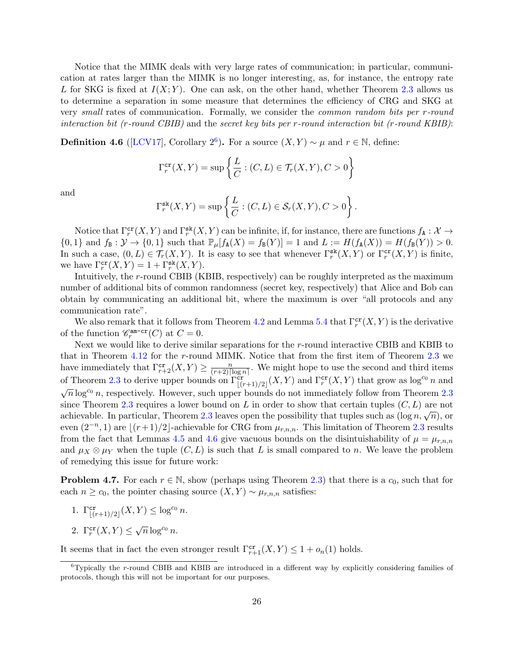Notice that the MIMK deals with very large rates of communication; in particular, communication at rates larger than the MIMK is no longer interesting, as, for instance, the entropy rate L for SKG is fixed at  $I(X; Y)$ . One can ask, on the other hand, whether Theorem [2.3](#page-8-1) allows us to determine a separation in some measure that determines the efficiency of CRG and SKG at very small rates of communication. Formally, we consider the common random bits per r-round interaction bit (r-round CBIB) and the secret key bits per r-round interaction bit (r-round KBIB):

**Definition 4.[6](#page-0-0)** ([\[LCV17\]](#page-39-5), Corollary  $2^6$ ). For a source  $(X, Y) \sim \mu$  and  $r \in \mathbb{N}$ , define:

$$
\Gamma_r^{\text{cr}}(X,Y) = \sup \left\{ \frac{L}{C} : (C,L) \in \mathcal{T}_r(X,Y), C > 0 \right\}
$$

and

$$
\Gamma_r^{\text{sk}}(X,Y) = \sup \left\{ \frac{L}{C} : (C,L) \in \mathcal{S}_r(X,Y), C > 0 \right\}.
$$

Notice that  $\Gamma_r^{\text{cr}}(X, Y)$  and  $\Gamma_r^{\text{sk}}(X, Y)$  can be infinite, if, for instance, there are functions  $f_{\text{A}}: \mathcal{X} \to$  ${0, 1}$  and  $f_B: \mathcal{Y} \to {0, 1}$  such that  $\mathbb{P}_{\mu}[f_A(X) = f_B(Y)] = 1$  and  $L := H(f_A(X)) = H(f_B(Y)) > 0$ . In such a case,  $(0, L) \in \mathcal{T}_r(X, Y)$ . It is easy to see that whenever  $\Gamma_r^{\mathsf{sk}}(X, Y)$  or  $\Gamma_r^{\mathsf{cr}}(X, Y)$  is finite, we have  $\Gamma_r^{\text{cr}}(X,Y) = 1 + \Gamma_r^{\text{sk}}(X,Y)$ .

Intuitively, the r-round CBIB (KBIB, respectively) can be roughly interpreted as the maximum number of additional bits of common randomness (secret key, respectively) that Alice and Bob can obtain by communicating an additional bit, where the maximum is over "all protocols and any communication rate".

We also remark that it follows from Theorem [4.2](#page-19-3) and Lemma [5.4](#page-28-0) that  $\Gamma_r^{\text{cr}}(X, Y)$  is the derivative of the function  $\mathcal{C}_r^{\text{am-cr}}(C)$  at  $C=0$ .

Next we would like to derive similar separations for the r-round interactive CBIB and KBIB to that in Theorem [4.12](#page-25-2) for the r-round MIMK. Notice that from the first item of Theorem [2.3](#page-8-1) we have immediately that  $\Gamma_{r+2}^{\mathbf{cr}}(X,Y) \geq \frac{n}{(r+2)!}$  $\frac{n}{(r+2)\lceil \log n \rceil}$ . We might hope to use the second and third items of Theorem [2.3](#page-8-1) to derive upper bounds on  $\Gamma^{\text{cr}}_{[(r+1)/2]}(X, Y)$  and  $\Gamma^{\text{cr}}_{r}(X, Y)$  that grow as log<sup>co</sup> n and  $\sqrt{n} \log^{c_0} n$ , respectively. However, such upper bounds do not immediately follow from Theorem [2.3](#page-8-1) since Theorem [2.3](#page-8-1) requires a lower bound on L in order to show that certain tuples  $(C, L)$  are not achievable. In particular, Theorem [2.3](#page-8-1) leaves open the possibility that tuples such as  $(\log n, \sqrt{n})$ , or even  $(2^{-n}, 1)$  are  $\lfloor (r+1)/2 \rfloor$ -achievable for CRG from  $\mu_{r,n,n}$ . This limitation of Theorem [2.3](#page-8-1) results from the fact that Lemmas [4.5](#page-20-0) and [4.6](#page-21-0) give vacuous bounds on the disintuishability of  $\mu = \mu_{r,n,n}$ and  $\mu_X \otimes \mu_Y$  when the tuple  $(C, L)$  is such that L is small compared to n. We leave the problem of remedying this issue for future work:

<span id="page-26-0"></span>**Problem 4.7.** For each  $r \in \mathbb{N}$ , show (perhaps using Theorem [2.3\)](#page-8-1) that there is a  $c_0$ , such that for each  $n \geq c_0$ , the pointer chasing source  $(X, Y) \sim \mu_{r,n,n}$  satisfies:

1. 
$$
\Gamma^{\text{cr}}_{|(r+1)/2|}(X, Y) \leq \log^{c_0} n
$$
.

2.  $\Gamma_r^{\text{cr}}(X, Y) \leq \sqrt{n} \log^{c_0} n$ .

It seems that in fact the even stronger result  $\Gamma_{r+1}^{cr}(X,Y) \leq 1 + o_n(1)$  holds.

 ${}^{6}$ Typically the r-round CBIB and KBIB are introduced in a different way by explicitly considering families of protocols, though this will not be important for our purposes.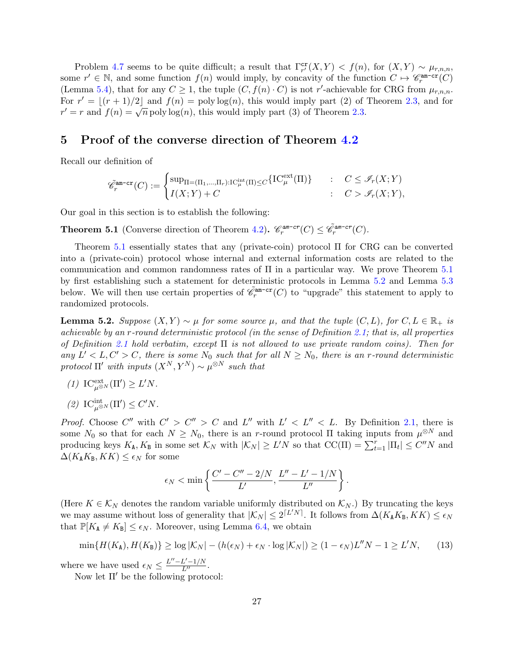Problem [4.7](#page-26-0) seems to be quite difficult; a result that  $\Gamma_{r'}^{\text{cr}}(X,Y) < f(n)$ , for  $(X,Y) \sim \mu_{r,n,n}$ , some  $r' \in \mathbb{N}$ , and some function  $f(n)$  would imply, by concavity of the function  $C \mapsto \mathscr{C}_r^{\text{am-cr}}(C)$ (Lemma [5.4\)](#page-28-0), that for any  $C \geq 1$ , the tuple  $(C, f(n) \cdot C)$  is not r'-achievable for CRG from  $\mu_{r,n,n}$ . For  $r' = |(r + 1)/2|$  and  $f(n) = \text{poly}\log(n)$ , this would imply part (2) of Theorem [2.3,](#page-8-1) and for For  $r = \lfloor (r+1)/2 \rfloor$  and  $f(n) = \text{poly}\log(n)$ , this would limply part (2) or  $r' = r$  and  $f(n) = \sqrt{n} \text{poly}\log(n)$ , this would limply part (3) of Theorem [2.3.](#page-8-1)

### <span id="page-27-0"></span>5 Proof of the converse direction of Theorem [4.2](#page-19-3)

Recall our definition of

$$
\tilde{\mathscr{C}}^{\text{am-cr}}_r(C) := \begin{cases} \sup_{\Pi = (\Pi_1, \dots, \Pi_r): \mathrm{IC}^{\text{int}}_{\mu}(\Pi) \le C} \{ \mathrm{IC}^{\text{ext}}_{\mu}(\Pi) \} & : & C \le \mathscr{I}_r(X;Y) \\ I(X;Y) + C & : & C > \mathscr{I}_r(X;Y), \end{cases}
$$

Our goal in this section is to establish the following:

<span id="page-27-1"></span>**Theorem 5.1** (Converse direction of Theorem [4.2\)](#page-19-3).  $\mathcal{C}_r^{am-cr}(C) \leq \tilde{\mathcal{C}}_r^{am-cr}(C)$ .

Theorem [5.1](#page-27-1) essentially states that any (private-coin) protocol Π for CRG can be converted into a (private-coin) protocol whose internal and external information costs are related to the communication and common randomness rates of Π in a particular way. We prove Theorem [5.1](#page-27-1) by first establishing such a statement for deterministic protocols in Lemma [5.2](#page-27-2) and Lemma [5.3](#page-28-1) below. We will then use certain properties of  $\tilde{\mathscr{C}}_r^{\text{am-cr}}(C)$  to "upgrade" this statement to apply to randomized protocols.

<span id="page-27-2"></span>**Lemma 5.2.** Suppose  $(X, Y) \sim \mu$  for some source  $\mu$ , and that the tuple  $(C, L)$ , for  $C, L \in \mathbb{R}_+$  is achievable by an r-round deterministic protocol (in the sense of Definition [2.1;](#page-5-0) that is, all properties of Definition [2.1](#page-5-0) hold verbatim, except  $\Pi$  is not allowed to use private random coins). Then for any  $L' < L, C' > C$ , there is some  $N_0$  such that for all  $N \ge N_0$ , there is an r-round deterministic protocol  $\Pi'$  with inputs  $(X^N, Y^N) \sim \mu^{\otimes N}$  such that

- (1)  $\text{IC}^{\text{ext}}_{\mu^{\otimes N}}(\Pi') \geq L'N$ .
- (2)  $\text{IC}^{\text{int}}_{\mu^{\otimes N}}(\Pi') \leq C'N$ .

*Proof.* Choose  $C''$  with  $C' > C'' > C$  and  $L''$  with  $L' < L'' < L$ . By Definition [2.1,](#page-5-0) there is some  $N_0$  so that for each  $N \ge N_0$ , there is an r-round protocol  $\Pi$  taking inputs from  $\mu^{\otimes N}$  and producing keys  $K_A$ ,  $K_B$  in some set  $\mathcal{K}_N$  with  $|\mathcal{K}_N| \geq L'N$  so that  $\text{CC}(\Pi) = \sum_{t=1}^r |\Pi_t| \leq C''N$  and  $\Delta(K_{\mathbf{A}}K_{\mathbf{B}}, KK) \leq \epsilon_N$  for some

$$
\epsilon_N < \min\left\{\frac{C'-C''-2/N}{L'}, \frac{L''-L'-1/N}{L''}\right\}.
$$

(Here  $K \in \mathcal{K}_N$  denotes the random variable uniformly distributed on  $\mathcal{K}_N$ .) By truncating the keys we may assume without loss of generality that  $|K_N| \leq 2^{\lceil L'N \rceil}$ . It follows from  $\Delta(K_A K_B, K K) \leq \epsilon_N$ that  $\mathbb{P}[K_{A} \neq K_{B}] \leq \epsilon_{N}$ . Moreover, using Lemma [6.4,](#page-33-2) we obtain

<span id="page-27-3"></span>
$$
\min\{H(K_{\mathbf{A}}), H(K_{\mathbf{B}})\}\geq \log|\mathcal{K}_N| - (h(\epsilon_N) + \epsilon_N \cdot \log|\mathcal{K}_N|) \geq (1 - \epsilon_N)L''N - 1 \geq L'N,\tag{13}
$$

where we have used  $\epsilon_N \leq \frac{L'' - L' - 1/N}{L''}$ .

Now let  $\Pi'$  be the following protocol: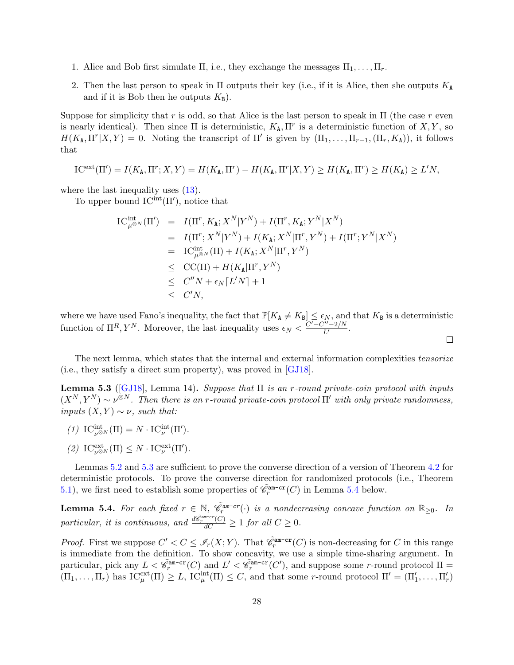- 1. Alice and Bob first simulate  $\Pi$ , i.e., they exchange the messages  $\Pi_1, \ldots, \Pi_r$ .
- 2. Then the last person to speak in  $\Pi$  outputs their key (i.e., if it is Alice, then she outputs  $K_A$ and if it is Bob then he outputs  $K_{\text{B}}$ ).

Suppose for simplicity that r is odd, so that Alice is the last person to speak in  $\Pi$  (the case r even is nearly identical). Then since  $\Pi$  is deterministic,  $K_A, \Pi^r$  is a deterministic function of  $X, Y$ , so  $H(K_{\mathbf{A}}, \Pi^r | X, Y) = 0$ . Noting the transcript of  $\Pi'$  is given by  $(\Pi_1, \ldots, \Pi_{r-1}, (\Pi_r, K_{\mathbf{A}}))$ , it follows that

$$
\mathrm{IC}^{\mathrm{ext}}(\Pi')=I(K_{\mathtt{A}},\Pi^r;X,Y)=H(K_{\mathtt{A}},\Pi^r)-H(K_{\mathtt{A}},\Pi^r|X,Y)\geq H(K_{\mathtt{A}},\Pi^r)\geq H(K_{\mathtt{A}})\geq L'N,
$$

where the last inequality uses  $(13)$ .

To upper bound  $IC<sup>int</sup>(\Pi')$ , notice that

$$
\begin{array}{rcl}\n\text{IC}_{\mu^{\otimes N}}^{\text{int}}(\Pi') & = & I(\Pi^r, K_{\mathsf{A}}; X^N | Y^N) + I(\Pi^r, K_{\mathsf{A}}; Y^N | X^N) \\
& = & I(\Pi^r; X^N | Y^N) + I(K_{\mathsf{A}}; X^N | \Pi^r, Y^N) + I(\Pi^r; Y^N | X^N) \\
& = & \text{IC}_{\mu^{\otimes N}}^{\text{int}}(\Pi) + I(K_{\mathsf{A}}; X^N | \Pi^r, Y^N) \\
& \leq & \text{CC}(\Pi) + H(K_{\mathsf{A}} | \Pi^r, Y^N) \\
& \leq & C''N + \epsilon_N \lceil L'N \rceil + 1 \\
& \leq & C'N,\n\end{array}
$$

where we have used Fano's inequality, the fact that  $\mathbb{P}[K_A \neq K_B] \leq \epsilon_N$ , and that  $K_B$  is a deterministic function of  $\Pi^R$ ,  $Y^N$ . Moreover, the last inequality uses  $\epsilon_N < \frac{C'-C''-2/N}{L'}$ .

 $\Box$ 

The next lemma, which states that the internal and external information complexities *tensorize* (i.e., they satisfy a direct sum property), was proved in [\[GJ18\]](#page-38-4).

<span id="page-28-1"></span>Lemma 5.3 ([\[GJ18\]](#page-38-4), Lemma 14). Suppose that  $\Pi$  is an r-round private-coin protocol with inputs  $(X^N, Y^N) \sim \nu^{\otimes N}$ . Then there is an r-round private-coin protocol  $\Pi'$  with only private randomness, inputs  $(X, Y) \sim \nu$ , such that:

- (1)  $\text{IC}^{\text{int}}_{\nu^{\otimes N}}(\Pi) = N \cdot \text{IC}^{\text{int}}_{\nu}(\Pi').$
- (2)  $IC_{\nu^{\otimes N}}^{\text{ext}}(\Pi) \leq N \cdot IC_{\nu}^{\text{ext}}(\Pi').$

Lemmas [5.2](#page-27-2) and [5.3](#page-28-1) are sufficient to prove the converse direction of a version of Theorem [4.2](#page-19-3) for deterministic protocols. To prove the converse direction for randomized protocols (i.e., Theorem [5.1\)](#page-27-1), we first need to establish some properties of  $\tilde{\mathscr{C}}_r^{\text{am-cr}}(C)$  in Lemma [5.4](#page-28-0) below.

<span id="page-28-0"></span>**Lemma 5.4.** For each fixed  $r \in \mathbb{N}$ ,  $\tilde{\mathscr{C}}_r^{am-cr}(\cdot)$  is a nondecreasing concave function on  $\mathbb{R}_{\geq 0}$ . In particular, it is continuous, and  $\frac{d\hat{\mathscr{C}}_r^{am-cr}(C)}{dC} \ge 1$  for all  $C \ge 0$ .

*Proof.* First we suppose  $C' < C \leq \mathcal{I}_r(X;Y)$ . That  $\tilde{\mathcal{C}}_r^{\text{am-cr}}(C)$  is non-decreasing for C in this range is immediate from the definition. To show concavity, we use a simple time-sharing argument. In particular, pick any  $L < \tilde{\mathscr{C}}_r^{\text{am-cr}}(C)$  and  $L' < \tilde{\mathscr{C}}_r^{\text{am-cr}}(C')$ , and suppose some r-round protocol  $\Pi =$  $(\Pi_1,\ldots,\Pi_r)$  has  $IC^{\text{ext}}_{\mu}(\Pi) \geq L$ ,  $IC^{\text{int}}_{\mu}(\Pi) \leq C$ , and that some r-round protocol  $\Pi' = (\Pi'_1,\ldots,\Pi'_r)$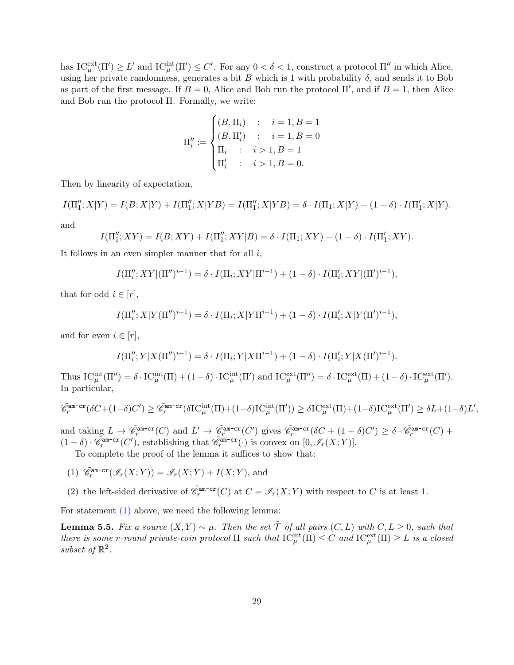has  $\mathrm{IC}_{\mu}^{\text{ext}}(\Pi') \geq L'$  and  $\mathrm{IC}_{\mu}^{\text{int}}(\Pi') \leq C'$ . For any  $0 < \delta < 1$ , construct a protocol  $\Pi''$  in which Alice, using her private randomness, generates a bit B which is 1 with probability  $\delta$ , and sends it to Bob as part of the first message. If  $B = 0$ , Alice and Bob run the protocol  $\Pi'$ , and if  $B = 1$ , then Alice and Bob run the protocol Π. Formally, we write:

$$
\Pi''_i := \begin{cases}\n(B, \Pi_i) & : & i = 1, B = 1 \\
(B, \Pi'_i) & : & i = 1, B = 0 \\
\Pi_i & : & i > 1, B = 1 \\
\Pi'_i & : & i > 1, B = 0.\n\end{cases}
$$

Then by linearity of expectation,

 $I(\Pi''_1; X|Y) = I(B; X|Y) + I(\Pi''_1; X|YB) = I(\Pi''_1; X|YB) = \delta \cdot I(\Pi_1; X|Y) + (1 - \delta) \cdot I(\Pi'_1; X|Y).$ 

and

$$
I(\Pi_1''; XY) = I(B; XY) + I(\Pi_1''; XY|B) = \delta \cdot I(\Pi_1; XY) + (1 - \delta) \cdot I(\Pi_1'; XY).
$$

It follows in an even simpler manner that for all  $i$ ,

$$
I(\Pi''_i; XY | (\Pi'')^{i-1}) = \delta \cdot I(\Pi_i; XY | \Pi^{i-1}) + (1 - \delta) \cdot I(\Pi'_i; XY | (\Pi')^{i-1}),
$$

that for odd  $i \in [r]$ ,

$$
I(\Pi''_i; X | Y(\Pi'')^{i-1}) = \delta \cdot I(\Pi_i; X | Y \Pi^{i-1}) + (1 - \delta) \cdot I(\Pi'_i; X | Y(\Pi')^{i-1}),
$$

and for even  $i \in [r]$ ,

$$
I(\Pi''_i; Y | X(\Pi'')^{i-1}) = \delta \cdot I(\Pi_i; Y | X \Pi^{i-1}) + (1 - \delta) \cdot I(\Pi'_i; Y | X(\Pi')^{i-1}).
$$

Thus  $\mathrm{IC}_{\mu}^{\mathrm{int}}(\Pi'') = \delta \cdot \mathrm{IC}_{\mu}^{\mathrm{int}}(\Pi) + (1 - \delta) \cdot \mathrm{IC}_{\mu}^{\mathrm{int}}(\Pi')$  and  $\mathrm{IC}_{\mu}^{\mathrm{ext}}(\Pi'') = \delta \cdot \mathrm{IC}_{\mu}^{\mathrm{ext}}(\Pi) + (1 - \delta) \cdot \mathrm{IC}_{\mu}^{\mathrm{ext}}(\Pi').$ In particular,

$$
\tilde{\mathscr{C}}_r^{\text{am-cr}}(\delta C+(1-\delta)C')\geq \tilde{\mathscr{C}}_r^{\text{am-cr}}(\delta \mathrm{IC}_{\mu}^{\text{int}}(\Pi)+(1-\delta)\mathrm{IC}_{\mu}^{\text{int}}(\Pi'))\geq \delta \mathrm{IC}_{\mu}^{\text{ext}}(\Pi)+(1-\delta)\mathrm{IC}_{\mu}^{\text{ext}}(\Pi')\geq \delta L+(1-\delta)L',
$$

and taking  $L \to \tilde{\mathscr{C}}_r^{\text{am-cr}}(C)$  and  $L' \to \tilde{\mathscr{C}}_r^{\text{am-cr}}(C')$  gives  $\tilde{\mathscr{C}}_r^{\text{am-cr}}(\delta C + (1 - \delta)C') \geq \delta \cdot \tilde{\mathscr{C}}_r^{\text{am-cr}}(C) +$  $(1 - \delta) \cdot \tilde{\mathscr{C}}_{r}^{\text{am-cr}}(C'),$  establishing that  $\tilde{\mathscr{C}}_{r}^{\text{am-cr}}(\cdot)$  is convex on  $[0, \mathscr{I}_r(X;Y)].$ 

To complete the proof of the lemma it suffices to show that:

- <span id="page-29-0"></span>(1)  $\tilde{\mathscr{C}}_r^{\text{am-cr}}(\mathscr{I}_r(X;Y)) = \mathscr{I}_r(X;Y) + I(X;Y)$ , and
- <span id="page-29-2"></span>(2) the left-sided derivative of  $\tilde{\mathscr{C}}_r^{\text{am-cr}}(C)$  at  $C = \mathscr{I}_r(X;Y)$  with respect to C is at least 1.

For statement  $(1)$  above, we need the following lemma:

<span id="page-29-1"></span>**Lemma 5.5.** Fix a source  $(X, Y) \sim \mu$ . Then the set  $\tilde{T}$  of all pairs  $(C, L)$  with  $C, L \geq 0$ , such that there is some r-round private-coin protocol  $\Pi$  such that  $IC^{\text{int}}_{\mu}(\Pi) \leq C$  and  $IC^{\text{ext}}_{\mu}(\Pi) \geq L$  is a closed subset of  $\mathbb{R}^2$ .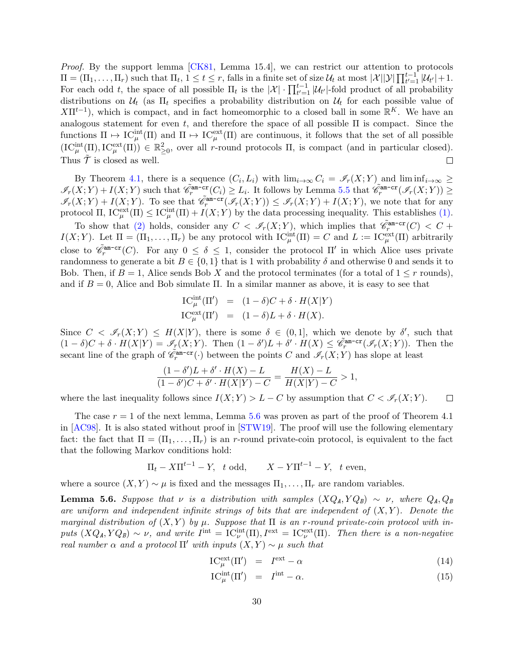Proof. By the support lemma [\[CK81,](#page-37-10) Lemma 15.4], we can restrict our attention to protocols  $\Pi = (\Pi_1, \ldots, \Pi_r)$  such that  $\Pi_t$ ,  $1 \le t \le r$ , falls in a finite set of size  $\mathcal{U}_t$  at most  $|\mathcal{X}| |\mathcal{Y}| \prod_{t'=1}^{t-1} |\mathcal{U}_{t'}| + 1$ . For each odd t, the space of all possible  $\Pi_t$  is the  $|\mathcal{X}| \cdot \prod_{t'=1}^{t-1} |\mathcal{U}_{t'}|$ -fold product of all probability distributions on  $\mathcal{U}_t$  (as  $\Pi_t$  specifies a probability distribution on  $\mathcal{U}_t$  for each possible value of  $X\Pi^{t-1}$ , which is compact, and in fact homeomorphic to a closed ball in some  $\mathbb{R}^K$ . We have an analogous statement for even t, and therefore the space of all possible  $\Pi$  is compact. Since the functions  $\Pi \mapsto \mathrm{IC}_{\mu}^{\text{int}}(\Pi)$  and  $\Pi \mapsto \mathrm{IC}_{\mu}^{\text{ext}}(\Pi)$  are continuous, it follows that the set of all possible  $(IC_{\mu}^{\text{int}}(\Pi), IC_{\mu}^{\text{ext}}(\Pi)) \in \mathbb{R}_{\geq 0}^2$ , over all r-round protocols  $\Pi$ , is compact (and in particular closed). Thus  $\mathcal T$  is closed as well.  $\Box$ 

By Theorem [4.1,](#page-18-0) there is a sequence  $(C_i, L_i)$  with  $\lim_{i\to\infty} C_i = \mathscr{I}_r(X; Y)$  and  $\liminf_{i\to\infty} \ge$  $\mathscr{I}_r(X;Y) + I(X;Y)$  such that  $\tilde{\mathscr{C}}_r^{\text{am-cr}}(C_i) \geq L_i$ . It follows by Lemma [5.5](#page-29-1) that  $\tilde{\mathscr{C}}_r^{\text{am-cr}}(\mathscr{I}_r(X;Y)) \geq$  $\mathscr{I}_r(X;Y) + I(X;Y)$ . To see that  $\tilde{\mathscr{C}}_r^{\text{am-cr}}(\mathscr{I}_r(X;Y)) \leq \mathscr{I}_r(X;Y) + I(X;Y)$ , we note that for any protocol  $\Pi$ ,  $IC_{\mu}^{\text{ext}}(\Pi) \leq IC_{\mu}^{\text{int}}(\Pi) + I(X;Y)$  by the data processing inequality. This establishes [\(1\).](#page-29-0)

To show that [\(2\)](#page-29-2) holds, consider any  $C < \mathcal{I}_r(X;Y)$ , which implies that  $\tilde{\mathcal{C}}_r^{\text{am-cr}}(C) < C$  +  $I(X;Y)$ . Let  $\Pi = (\Pi_1,\ldots,\Pi_r)$  be any protocol with  $IC_{\mu}^{\text{int}}(\Pi) = C$  and  $L := IC_{\mu}^{\text{ext}}(\Pi)$  arbitrarily close to  $\tilde{\mathscr{C}}_r^{\text{am-cr}}(C)$ . For any  $0 \leq \delta \leq 1$ , consider the protocol  $\Pi'$  in which Alice uses private randomness to generate a bit  $B \in \{0,1\}$  that is 1 with probability  $\delta$  and otherwise 0 and sends it to Bob. Then, if  $B = 1$ , Alice sends Bob X and the protocol terminates (for a total of  $1 \leq r$  rounds), and if  $B = 0$ , Alice and Bob simulate Π. In a similar manner as above, it is easy to see that

$$
\begin{array}{rcl}\n\text{IC}_{\mu}^{\text{int}}(\Pi') & = & (1 - \delta)C + \delta \cdot H(X|Y) \\
\text{IC}_{\mu}^{\text{ext}}(\Pi') & = & (1 - \delta)L + \delta \cdot H(X).\n\end{array}
$$

Since  $C < \mathscr{I}_r(X;Y) \leq H(X|Y)$ , there is some  $\delta \in (0,1]$ , which we denote by  $\delta'$ , such that  $(1 - \delta)C + \delta \cdot H(X|Y) = \mathscr{I}_r(X;Y)$ . Then  $(1 - \delta')L + \delta' \cdot H(X) \leq \widetilde{\mathscr{C}}_r^{\text{am-cr}}(\mathscr{I}_r(X;Y))$ . Then the secant line of the graph of  $\tilde{\mathscr{C}}_r^{\text{am-cr}}(\cdot)$  between the points C and  $\mathscr{I}_r(X;Y)$  has slope at least

$$
\frac{(1-\delta')L+\delta'\cdot H(X)-L}{(1-\delta')C+\delta'\cdot H(X|Y)-C}=\frac{H(X)-L}{H(X|Y)-C}>1,
$$

where the last inequality follows since  $I(X; Y) > L - C$  by assumption that  $C < \mathcal{I}_r(X; Y)$ .  $\Box$ 

The case  $r = 1$  of the next lemma, Lemma [5.6](#page-30-0) was proven as part of the proof of Theorem 4.1 in [\[AC98\]](#page-36-1). It is also stated without proof in [\[STW19\]](#page-40-10). The proof will use the following elementary fact: the fact that  $\Pi = (\Pi_1, \ldots, \Pi_r)$  is an r-round private-coin protocol, is equivalent to the fact that the following Markov conditions hold:

$$
\Pi_t - X\Pi^{t-1} - Y, \quad t \text{ odd}, \qquad X - Y\Pi^{t-1} - Y, \quad t \text{ even},
$$

where a source  $(X, Y) \sim \mu$  is fixed and the messages  $\Pi_1, \ldots, \Pi_r$  are random variables.

<span id="page-30-0"></span>**Lemma 5.6.** Suppose that  $\nu$  is a distribution with samples  $(XQ_A, YQ_B) \sim \nu$ , where  $Q_A, Q_B$ are uniform and independent infinite strings of bits that are independent of  $(X, Y)$ . Denote the marginal distribution of  $(X, Y)$  by  $\mu$ . Suppose that  $\Pi$  is an r-round private-coin protocol with inputs  $(XQ_A, YQ_B) \sim \nu$ , and write  $I^{\text{int}} = IC_{\nu}^{\text{int}}(\Pi), I^{\text{ext}} = IC_{\nu}^{\text{ext}}(\Pi)$ . Then there is a non-negative real number  $\alpha$  and a protocol  $\Pi'$  with inputs  $(X, Y) \sim \mu$  such that

$$
IC_{\mu}^{\text{ext}}(\Pi') = I^{\text{ext}} - \alpha \tag{14}
$$

$$
IC_{\mu}^{\text{int}}(\Pi') = I^{\text{int}} - \alpha.
$$
 (15)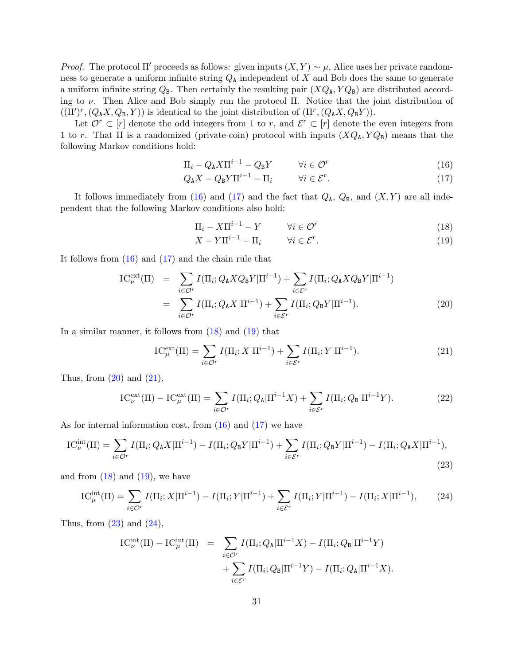*Proof.* The protocol  $\Pi'$  proceeds as follows: given inputs  $(X, Y) \sim \mu$ , Alice uses her private randomness to generate a uniform infinite string  $Q_{\rm A}$  independent of X and Bob does the same to generate a uniform infinite string  $Q_B$ . Then certainly the resulting pair  $(XQ_A, YQ_B)$  are distributed according to  $\nu$ . Then Alice and Bob simply run the protocol Π. Notice that the joint distribution of  $((\Pi')^r, (Q_A X, Q_B, Y))$  is identical to the joint distribution of  $(\Pi^r, (Q_A X, Q_B Y))$ .

Let  $\mathcal{O}^r \subset [r]$  denote the odd integers from 1 to r, and  $\mathcal{E}^r \subset [r]$  denote the even integers from 1 to r. That  $\Pi$  is a randomized (private-coin) protocol with inputs  $(XQ_{\rm A}, YQ_{\rm B})$  means that the following Markov conditions hold:

<span id="page-31-0"></span>
$$
\Pi_i - Q_A X \Pi^{i-1} - Q_B Y \qquad \forall i \in \mathcal{O}^r \tag{16}
$$

$$
Q_{\mathbf{A}}X - Q_{\mathbf{B}}Y\Pi^{i-1} - \Pi_i \qquad \forall i \in \mathcal{E}^r. \tag{17}
$$

It follows immediately from [\(16\)](#page-31-0) and [\(17\)](#page-31-0) and the fact that  $Q_{\rm A}$ ,  $Q_{\rm B}$ , and  $(X, Y)$  are all independent that the following Markov conditions also hold:

<span id="page-31-1"></span>
$$
\Pi_i - X \Pi^{i-1} - Y \qquad \forall i \in \mathcal{O}^r \tag{18}
$$

$$
X - Y\Pi^{i-1} - \Pi_i \qquad \forall i \in \mathcal{E}^r. \tag{19}
$$

It follows from  $(16)$  and  $(17)$  and the chain rule that

<span id="page-31-2"></span>
$$
IC_{\nu}^{\text{ext}}(\Pi) = \sum_{i \in \mathcal{O}^{r}} I(\Pi_{i}; Q_{\mathbf{A}} X Q_{\mathbf{B}} Y | \Pi^{i-1}) + \sum_{i \in \mathcal{E}^{r}} I(\Pi_{i}; Q_{\mathbf{A}} X Q_{\mathbf{B}} Y | \Pi^{i-1})
$$
  

$$
= \sum_{i \in \mathcal{O}^{r}} I(\Pi_{i}; Q_{\mathbf{A}} X | \Pi^{i-1}) + \sum_{i \in \mathcal{E}^{r}} I(\Pi_{i}; Q_{\mathbf{B}} Y | \Pi^{i-1}). \tag{20}
$$

In a similar manner, it follows from  $(18)$  and  $(19)$  that

<span id="page-31-3"></span>
$$
IC_{\mu}^{\text{ext}}(\Pi) = \sum_{i \in \mathcal{O}^r} I(\Pi_i; X | \Pi^{i-1}) + \sum_{i \in \mathcal{E}^r} I(\Pi_i; Y | \Pi^{i-1}). \tag{21}
$$

Thus, from  $(20)$  and  $(21)$ ,

<span id="page-31-7"></span>
$$
IC_{\nu}^{\text{ext}}(\Pi) - IC_{\mu}^{\text{ext}}(\Pi) = \sum_{i \in \mathcal{O}^{r}} I(\Pi_{i}; Q_{\mathbf{A}} | \Pi^{i-1} X) + \sum_{i \in \mathcal{E}^{r}} I(\Pi_{i}; Q_{\mathbf{B}} | \Pi^{i-1} Y).
$$
 (22)

As for internal information cost, from [\(16\)](#page-31-0) and [\(17\)](#page-31-0) we have

<span id="page-31-4"></span>
$$
IC_{\nu}^{\text{int}}(\Pi) = \sum_{i \in \mathcal{O}^r} I(\Pi_i; Q_{\mathbf{A}} X | \Pi^{i-1}) - I(\Pi_i; Q_{\mathbf{B}} Y | \Pi^{i-1}) + \sum_{i \in \mathcal{E}^r} I(\Pi_i; Q_{\mathbf{B}} Y | \Pi^{i-1}) - I(\Pi_i; Q_{\mathbf{A}} X | \Pi^{i-1}),
$$
\n(23)

and from  $(18)$  and  $(19)$ , we have

<span id="page-31-5"></span>
$$
IC_{\mu}^{\text{int}}(\Pi) = \sum_{i \in \mathcal{O}^{r}} I(\Pi_{i}; X | \Pi^{i-1}) - I(\Pi_{i}; Y | \Pi^{i-1}) + \sum_{i \in \mathcal{E}^{r}} I(\Pi_{i}; Y | \Pi^{i-1}) - I(\Pi_{i}; X | \Pi^{i-1}), \tag{24}
$$

Thus, from  $(23)$  and  $(24)$ ,

<span id="page-31-6"></span>
$$
IC_{\nu}^{\text{int}}(\Pi) - IC_{\mu}^{\text{int}}(\Pi) = \sum_{i \in \mathcal{O}^{r}} I(\Pi_{i}; Q_{\mathbf{A}} | \Pi^{i-1} X) - I(\Pi_{i}; Q_{\mathbf{B}} | \Pi^{i-1} Y) + \sum_{i \in \mathcal{E}^{r}} I(\Pi_{i}; Q_{\mathbf{B}} | \Pi^{i-1} Y) - I(\Pi_{i}; Q_{\mathbf{A}} | \Pi^{i-1} X).
$$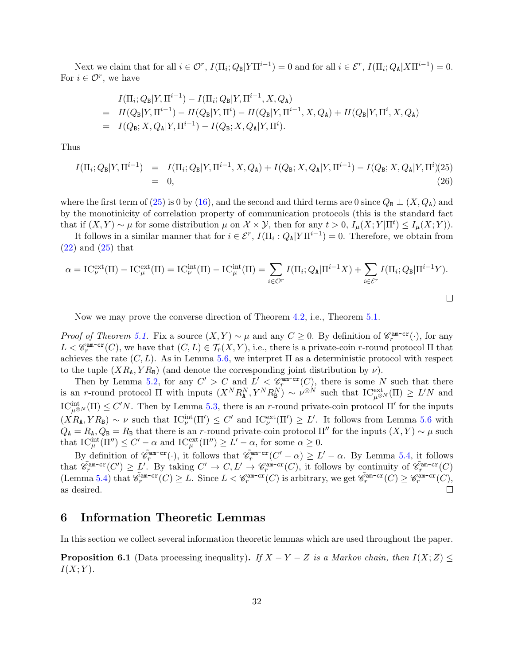Next we claim that for all  $i \in \mathcal{O}^r$ ,  $I(\Pi_i; Q_{\mathsf{B}} | Y \Pi^{i-1}) = 0$  and for all  $i \in \mathcal{E}^r$ ,  $I(\Pi_i; Q_{\mathsf{A}} | X \Pi^{i-1}) = 0$ . For  $i \in \mathcal{O}^r$ , we have

$$
I(\Pi_i; Q_{\text{B}}|Y, \Pi^{i-1}) - I(\Pi_i; Q_{\text{B}}|Y, \Pi^{i-1}, X, Q_{\text{A}})
$$
  
=  $H(Q_{\text{B}}|Y, \Pi^{i-1}) - H(Q_{\text{B}}|Y, \Pi^{i}) - H(Q_{\text{B}}|Y, \Pi^{i-1}, X, Q_{\text{A}}) + H(Q_{\text{B}}|Y, \Pi^{i}, X, Q_{\text{A}})$   
=  $I(Q_{\text{B}}; X, Q_{\text{A}}|Y, \Pi^{i-1}) - I(Q_{\text{B}}; X, Q_{\text{A}}|Y, \Pi^{i}).$ 

Thus

$$
I(\Pi_i; Q_{\mathbf{B}} | Y, \Pi^{i-1}) = I(\Pi_i; Q_{\mathbf{B}} | Y, \Pi^{i-1}, X, Q_{\mathbf{A}}) + I(Q_{\mathbf{B}}; X, Q_{\mathbf{A}} | Y, \Pi^{i-1}) - I(Q_{\mathbf{B}}; X, Q_{\mathbf{A}} | Y, \Pi^i) (25)
$$
  
= 0, (26)

where the first term of [\(25\)](#page-31-6) is 0 by [\(16\)](#page-31-0), and the second and third terms are 0 since  $Q_B \perp (X, Q_A)$  and by the monotinicity of correlation property of communication protocols (this is the standard fact that if  $(X, Y) \sim \mu$  for some distribution  $\mu$  on  $\mathcal{X} \times \mathcal{Y}$ , then for any  $t > 0$ ,  $I_{\mu}(X; Y | \Pi^t) \leq I_{\mu}(X; Y)$ .

It follows in a similar manner that for  $i \in \mathcal{E}^r$ ,  $I(\Pi_i: Q_{\mathbb{A}} | Y \Pi^{i-1}) = 0$ . Therefore, we obtain from  $(22)$  and  $(25)$  that

$$
\alpha = IC_{\nu}^{\text{ext}}(\Pi) - IC_{\mu}^{\text{ext}}(\Pi) = IC_{\nu}^{\text{int}}(\Pi) - IC_{\mu}^{\text{int}}(\Pi) = \sum_{i \in \mathcal{O}^{r}} I(\Pi_{i}; Q_{\mathbf{A}} | \Pi^{i-1} X) + \sum_{i \in \mathcal{E}^{r}} I(\Pi_{i}; Q_{\mathbf{B}} | \Pi^{i-1} Y).
$$

Now we may prove the converse direction of Theorem [4.2,](#page-19-3) i.e., Theorem [5.1.](#page-27-1)

*Proof of Theorem [5.1.](#page-27-1)* Fix a source  $(X, Y) \sim \mu$  and any  $C \geq 0$ . By definition of  $\mathscr{C}_r^{\text{am-cr}}(\cdot)$ , for any  $L < \mathscr{C}_r^{\text{am-cr}}(C)$ , we have that  $(C, L) \in \mathcal{T}_r(X, Y)$ , i.e., there is a private-coin r-round protocol  $\Pi$  that achieves the rate  $(C, L)$ . As in Lemma [5.6,](#page-30-0) we interpret  $\Pi$  as a deterministic protocol with respect to the tuple  $(XR_A, YR_B)$  (and denote the corresponding joint distribution by  $\nu$ ).

Then by Lemma [5.2,](#page-27-2) for any  $C' > C$  and  $L' < \mathscr{C}_r^{\text{am-cr}}(C)$ , there is some N such that there is an r-round protocol  $\Pi$  with inputs  $(X^N R_A^N, Y^N R_B^N) \sim \nu^{\otimes N}$  such that  $IC_{\mu^{\otimes N}}^{\text{ext}}(\Pi) \geq L'N$  and  $\mathrm{IC}_{\mu^{\otimes N}}^{\mathrm{int}}(\Pi) \leq C'N$ . Then by Lemma [5.3,](#page-28-1) there is an r-round private-coin protocol  $\Pi'$  for the inputs  $(XR_{\rm A}, YR_{\rm B}) \sim \nu$  such that  $IC_{\nu}^{\rm int}(\Pi') \leq C'$  and  $IC_{\nu}^{\rm ext}(\Pi') \geq L'$ . It follows from Lemma [5.6](#page-30-0) with  $Q_A = R_A, Q_B = R_B$  that there is an r-round private-coin protocol  $\Pi''$  for the inputs  $(X, Y) \sim \mu$  such that  $\mathrm{IC}_{\mu}^{\mathrm{int}}(\Pi'') \leq C' - \alpha$  and  $\mathrm{IC}_{\mu}^{\mathrm{ext}}(\Pi'') \geq L' - \alpha$ , for some  $\alpha \geq 0$ .

By definition of  $\tilde{\mathscr{C}}_r^{\text{am-cr}}(\cdot)$ , it follows that  $\tilde{\mathscr{C}}_r^{\text{am-cr}}(C'-\alpha) \geq L'-\alpha$ . By Lemma [5.4,](#page-28-0) it follows that  $\mathscr{C}_r^{\text{am-cr}}(C') \geq L'$ . By taking  $C' \to C, L' \to \mathscr{C}_r^{\text{am-cr}}(C)$ , it follows by continuity of  $\mathscr{C}_r^{\text{am-cr}}(C)$  $(\text{Lemma 5.4}) \text{ that } \tilde{\mathscr{C}}_r^{\text{am-cr}}(C) \geq L. \text{ Since } L < \mathscr{C}_r^{\text{am-cr}}(C) \text{ is arbitrary, we get } \tilde{\mathscr{C}}_r^{\text{am-cr}}(C) \geq \mathscr{C}_r^{\text{am-cr}}(C),$ as desired.

### <span id="page-32-0"></span>6 Information Theoretic Lemmas

In this section we collect several information theoretic lemmas which are used throughout the paper.

**Proposition 6.1** (Data processing inequality). If  $X - Y - Z$  is a Markov chain, then  $I(X; Z) \leq$  $I(X;Y)$ .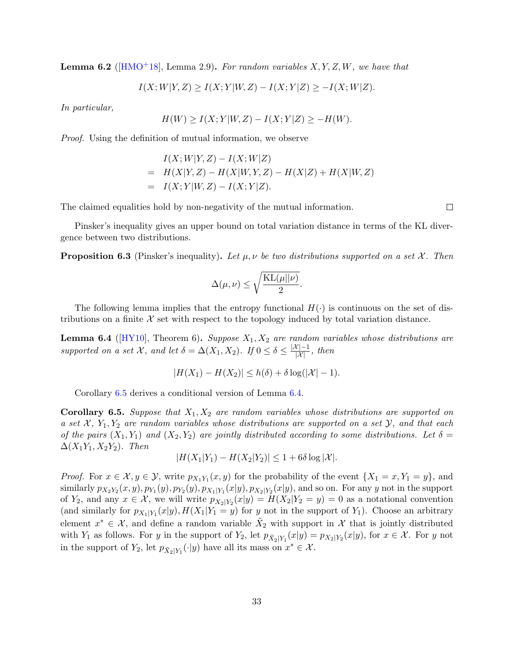<span id="page-33-0"></span>**Lemma 6.2** ( $\text{[HMO+18]}$  $\text{[HMO+18]}$  $\text{[HMO+18]}$ , Lemma 2.9). For random variables  $X, Y, Z, W$ , we have that

$$
I(X;W|Y,Z) \ge I(X;Y|W,Z) - I(X;Y|Z) \ge -I(X;W|Z).
$$

In particular,

$$
H(W) \ge I(X;Y|W,Z) - I(X;Y|Z) \ge -H(W).
$$

Proof. Using the definition of mutual information, we observe

$$
I(X;W|Y,Z) - I(X;W|Z)
$$
  
=  $H(X|Y,Z) - H(X|W,Y,Z) - H(X|Z) + H(X|W,Z)$   
=  $I(X;Y|W,Z) - I(X;Y|Z).$ 

The claimed equalities hold by non-negativity of the mutual information.

Pinsker's inequality gives an upper bound on total variation distance in terms of the KL divergence between two distributions.

**Proposition 6.3** (Pinsker's inequality). Let  $\mu, \nu$  be two distributions supported on a set X. Then

$$
\Delta(\mu,\nu) \leq \sqrt{\frac{\text{KL}(\mu||\nu)}{2}}.
$$

The following lemma implies that the entropy functional  $H(\cdot)$  is continuous on the set of distributions on a finite  $\mathcal X$  set with respect to the topology induced by total variation distance.

<span id="page-33-2"></span>**Lemma 6.4** ( $[HY10]$ , Theorem 6). Suppose  $X_1, X_2$  are random variables whose distributions are supported on a set X, and let  $\delta = \Delta(X_1, X_2)$ . If  $0 \leq \delta \leq \frac{|\mathcal{X}| - 1}{|\mathcal{X}|}$ , then

$$
|H(X_1) - H(X_2)| \le h(\delta) + \delta \log(|\mathcal{X}| - 1).
$$

Corollary [6.5](#page-33-1) derives a conditional version of Lemma [6.4.](#page-33-2)

<span id="page-33-1"></span>**Corollary 6.5.** Suppose that  $X_1, X_2$  are random variables whose distributions are supported on a set  $\mathcal{X}, Y_1, Y_2$  are random variables whose distributions are supported on a set  $\mathcal{Y},$  and that each of the pairs  $(X_1, Y_1)$  and  $(X_2, Y_2)$  are jointly distributed according to some distributions. Let  $\delta =$  $\Delta(X_1Y_1, X_2Y_2)$ . Then

$$
|H(X_1|Y_1) - H(X_2|Y_2)| \le 1 + 6\delta \log |\mathcal{X}|.
$$

*Proof.* For  $x \in \mathcal{X}, y \in \mathcal{Y}$ , write  $p_{X_1Y_1}(x, y)$  for the probability of the event  $\{X_1 = x, Y_1 = y\}$ , and similarly  $p_{X_2Y_2}(x, y), p_{Y_1}(y), p_{Y_2}(y), p_{X_1|Y_1}(x|y), p_{X_2|Y_2}(x|y)$ , and so on. For any y not in the support of  $Y_2$ , and any  $x \in \mathcal{X}$ , we will write  $p_{X_2|Y_2}(x|y) = H(X_2|Y_2 = y) = 0$  as a notational convention (and similarly for  $p_{X_1|Y_1}(x|y), H(X_1|Y_1=y)$  for y not in the support of  $Y_1$ ). Choose an arbitrary element  $x^* \in \mathcal{X}$ , and define a random variable  $\tilde{X}_2$  with support in  $\mathcal{X}$  that is jointly distributed with  $Y_1$  as follows. For y in the support of  $Y_2$ , let  $p_{\tilde{X}_2|Y_1}(x|y) = p_{X_2|Y_2}(x|y)$ , for  $x \in \mathcal{X}$ . For y not in the support of  $Y_2$ , let  $p_{\tilde{X}_2|Y_1}(\cdot|y)$  have all its mass on  $x^* \in \mathcal{X}$ .

 $\Box$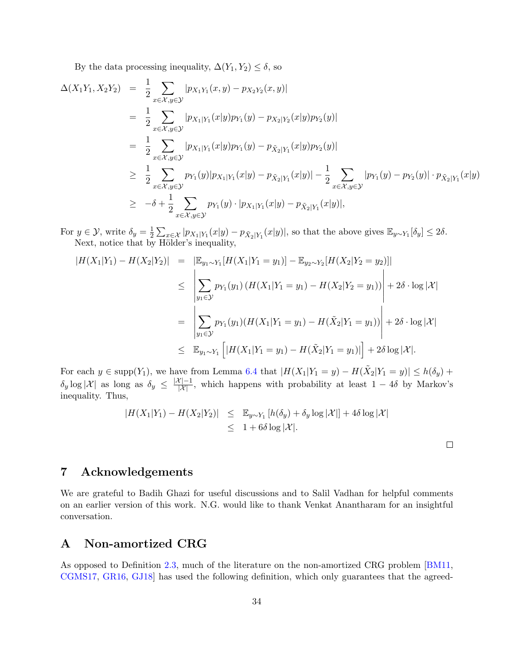By the data processing inequality,  $\Delta(Y_1, Y_2) \leq \delta$ , so

$$
\Delta(X_1Y_1, X_2Y_2) = \frac{1}{2} \sum_{x \in \mathcal{X}, y \in \mathcal{Y}} |p_{X_1Y_1}(x, y) - p_{X_2Y_2}(x, y)|
$$
  
\n
$$
= \frac{1}{2} \sum_{x \in \mathcal{X}, y \in \mathcal{Y}} |p_{X_1|Y_1}(x|y)p_{Y_1}(y) - p_{X_2|Y_2}(x|y)p_{Y_2}(y)|
$$
  
\n
$$
= \frac{1}{2} \sum_{x \in \mathcal{X}, y \in \mathcal{Y}} |p_{X_1|Y_1}(x|y)p_{Y_1}(y) - p_{\tilde{X}_2|Y_1}(x|y)p_{Y_2}(y)|
$$
  
\n
$$
\geq \frac{1}{2} \sum_{x \in \mathcal{X}, y \in \mathcal{Y}} p_{Y_1}(y)|p_{X_1|Y_1}(x|y) - p_{\tilde{X}_2|Y_1}(x|y)| - \frac{1}{2} \sum_{x \in \mathcal{X}, y \in \mathcal{Y}} |p_{Y_1}(y) - p_{Y_2}(y)| \cdot p_{\tilde{X}_2|Y_1}(x|y)
$$
  
\n
$$
\geq -\delta + \frac{1}{2} \sum_{x \in \mathcal{X}, y \in \mathcal{Y}} p_{Y_1}(y) \cdot |p_{X_1|Y_1}(x|y) - p_{\tilde{X}_2|Y_1}(x|y)|,
$$

For  $y \in \mathcal{Y}$ , write  $\delta_y = \frac{1}{2}$  $\frac{1}{2} \sum_{x \in \mathcal{X}} |p_{X_1|Y_1}(x|y) - p_{\tilde{X}_2|Y_1}(x|y)|$ , so that the above gives  $\mathbb{E}_{y \sim Y_1}[\delta_y] \leq 2\delta$ . Next, notice that by Hölder's inequality,

$$
|H(X_1|Y_1) - H(X_2|Y_2)| = |\mathbb{E}_{y_1 \sim Y_1} [H(X_1|Y_1 = y_1)] - \mathbb{E}_{y_2 \sim Y_2} [H(X_2|Y_2 = y_2)]|
$$
  
\n
$$
\leq \left| \sum_{y_1 \in \mathcal{Y}} p_{Y_1}(y_1) (H(X_1|Y_1 = y_1) - H(X_2|Y_2 = y_1)) \right| + 2\delta \cdot \log |\mathcal{X}|
$$
  
\n
$$
= \left| \sum_{y_1 \in \mathcal{Y}} p_{Y_1}(y_1) (H(X_1|Y_1 = y_1) - H(\tilde{X}_2|Y_1 = y_1)) \right| + 2\delta \cdot \log |\mathcal{X}|
$$
  
\n
$$
\leq \mathbb{E}_{y_1 \sim Y_1} [H(X_1|Y_1 = y_1) - H(\tilde{X}_2|Y_1 = y_1)] + 2\delta \log |\mathcal{X}|.
$$

For each  $y \in \text{supp}(Y_1)$ , we have from Lemma [6.4](#page-33-2) that  $|H(X_1|Y_1 = y) - H(\tilde{X}_2|Y_1 = y)| \le h(\delta_y) +$  $\delta_y \log |\mathcal{X}|$  as long as  $\delta_y \leq \frac{|\mathcal{X}| - 1}{|\mathcal{X}|}$ , which happens with probability at least  $1 - 4\delta$  by Markov's inequality. Thus,

$$
|H(X_1|Y_1) - H(X_2|Y_2)| \leq \mathbb{E}_{y \sim Y_1} [h(\delta_y) + \delta_y \log |\mathcal{X}|] + 4\delta \log |\mathcal{X}|
$$
  

$$
\leq 1 + 6\delta \log |\mathcal{X}|.
$$

# 7 Acknowledgements

We are grateful to Badih Ghazi for useful discussions and to Salil Vadhan for helpful comments on an earlier version of this work. N.G. would like to thank Venkat Anantharam for an insightful conversation.

## <span id="page-34-0"></span>A Non-amortized CRG

As opposed to Definition [2.3,](#page-7-0) much of the literature on the non-amortized CRG problem [\[BM11,](#page-37-5) [CGMS17,](#page-37-0) [GR16,](#page-38-8) [GJ18\]](#page-38-4) has used the following definition, which only guarantees that the agreed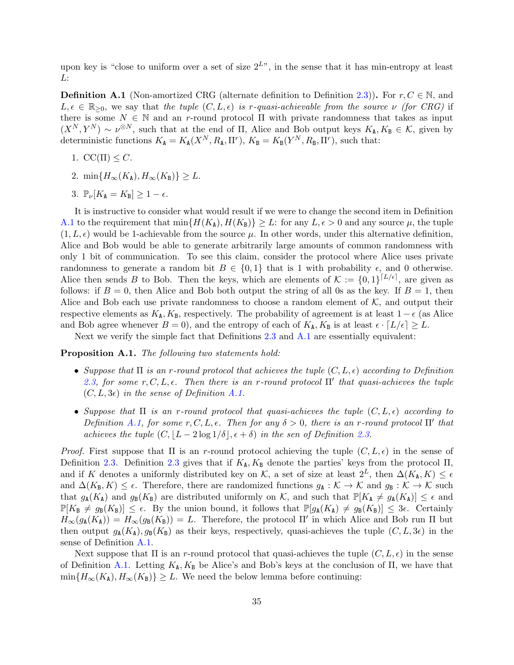upon key is "close to uniform over a set of size  $2^{L}$ ", in the sense that it has min-entropy at least L:

<span id="page-35-0"></span>**Definition A.1** (Non-amortized CRG (alternate definition to Definition [2.3\)](#page-7-0)). For  $r, C \in \mathbb{N}$ , and  $L, \epsilon \in \mathbb{R}_{\geq 0}$ , we say that the tuple  $(C, L, \epsilon)$  is r-quasi-achievable from the source  $\nu$  (for CRG) if there is some  $N \in \mathbb{N}$  and an r-round protocol  $\Pi$  with private randomness that takes as input  $(X^N, Y^N) \sim \nu^{\otimes N}$ , such that at the end of  $\Pi$ , Alice and Bob output keys  $K_A, K_B \in \mathcal{K}$ , given by deterministic functions  $K_{\mathbf{A}} = K_{\mathbf{A}}(X^N, R_{\mathbf{A}}, \Pi^r), K_{\mathbf{B}} = K_{\mathbf{B}}(Y^N, R_{\mathbf{B}}, \Pi^r),$  such that:

- 1.  $CC(\Pi) \leq C$ .
- 2. min $\{H_{\infty}(K_{\mathbf{A}}), H_{\infty}(K_{\mathbf{B}})\}\geq L$ .
- 3.  $\mathbb{P}_{\nu}[K_{\mathbf{A}} = K_{\mathbf{B}}] \geq 1 \epsilon.$

It is instructive to consider what would result if we were to change the second item in Definition [A.1](#page-35-0) to the requirement that  $\min\{H(K_{\rm A}), H(K_{\rm B})\}\geq L$ : for any  $L, \epsilon > 0$  and any source  $\mu$ , the tuple  $(1, L, \epsilon)$  would be 1-achievable from the source  $\mu$ . In other words, under this alternative definition, Alice and Bob would be able to generate arbitrarily large amounts of common randomness with only 1 bit of communication. To see this claim, consider the protocol where Alice uses private randomness to generate a random bit  $B \in \{0,1\}$  that is 1 with probability  $\epsilon$ , and 0 otherwise. Alice then sends B to Bob. Then the keys, which are elements of  $\mathcal{K} := \{0,1\}^{\lceil L/\epsilon \rceil}$ , are given as follows: if  $B = 0$ , then Alice and Bob both output the string of all 0s as the key. If  $B = 1$ , then Alice and Bob each use private randomness to choose a random element of  $K$ , and output their respective elements as  $K_A$ ,  $K_B$ , respectively. The probability of agreement is at least  $1 - \epsilon$  (as Alice and Bob agree whenever  $B = 0$ , and the entropy of each of  $K_A$ ,  $K_B$  is at least  $\epsilon \cdot [L/\epsilon] \geq L$ .

Next we verify the simple fact that Definitions [2.3](#page-7-0) and [A.1](#page-35-0) are essentially equivalent:

#### Proposition A.1. The following two statements hold:

- Suppose that  $\Pi$  is an r-round protocol that achieves the tuple  $(C, L, \epsilon)$  according to Definition [2.3,](#page-7-0) for some  $r, C, L, \epsilon$ . Then there is an r-round protocol  $\Pi'$  that quasi-achieves the tuple  $(C, L, 3\epsilon)$  in the sense of Definition [A.1.](#page-35-0)
- Suppose that  $\Pi$  is an r-round protocol that quasi-achieves the tuple  $(C, L, \epsilon)$  according to Definition [A.1,](#page-35-0) for some r, C, L,  $\epsilon$ . Then for any  $\delta > 0$ , there is an r-round protocol  $\Pi'$  that achieves the tuple  $(C, |L - 2 \log 1/\delta|, \epsilon + \delta)$  in the sen of Definition [2.3.](#page-7-0)

*Proof.* First suppose that  $\Pi$  is an r-round protocol achieving the tuple  $(C, L, \epsilon)$  in the sense of Definition [2.3.](#page-7-0) Definition [2.3](#page-7-0) gives that if  $K_A, K_B$  denote the parties' keys from the protocol  $\Pi$ , and if K denotes a uniformly distributed key on K, a set of size at least  $2^L$ , then  $\Delta(K_A, K) \leq \epsilon$ and  $\Delta(K_{\mathbf{B}}, K) \leq \epsilon$ . Therefore, there are randomized functions  $g_{\mathbf{A}} : \mathcal{K} \to \mathcal{K}$  and  $g_{\mathbf{B}} : \mathcal{K} \to \mathcal{K}$  such that  $g_{\mathbf{A}}(K_{\mathbf{A}})$  and  $g_{\mathbf{B}}(K_{\mathbf{B}})$  are distributed uniformly on K, and such that  $\mathbb{P}[K_{\mathbf{A}} \neq g_{\mathbf{A}}(K_{\mathbf{A}})] \leq \epsilon$  and  $\mathbb{P}[K_{\text{B}} \neq g_{\text{B}}(K_{\text{B}})] \leq \epsilon$ . By the union bound, it follows that  $\mathbb{P}[g_{\text{A}}(K_{\text{A}}) \neq g_{\text{B}}(K_{\text{B}})] \leq 3\epsilon$ . Certainly  $H_{\infty}(g_{\mathbf{A}}(K_{\mathbf{A}})) = H_{\infty}(g_{\mathbf{B}}(K_{\mathbf{B}})) = L$ . Therefore, the protocol  $\Pi'$  in which Alice and Bob run  $\Pi$  but then output  $g_{\rm A}(K_{\rm A}), g_{\rm B}(K_{\rm B})$  as their keys, respectively, quasi-achieves the tuple  $(C, L, 3\epsilon)$  in the sense of Definition [A.1.](#page-35-0)

Next suppose that  $\Pi$  is an r-round protocol that quasi-achieves the tuple  $(C, L, \epsilon)$  in the sense of Definition [A.1.](#page-35-0) Letting  $K_A$ ,  $K_B$  be Alice's and Bob's keys at the conclusion of  $\Pi$ , we have that  $\min\{H_{\infty}(K_{\mathbf{A}}), H_{\infty}(K_{\mathbf{B}})\}\geq L$ . We need the below lemma before continuing: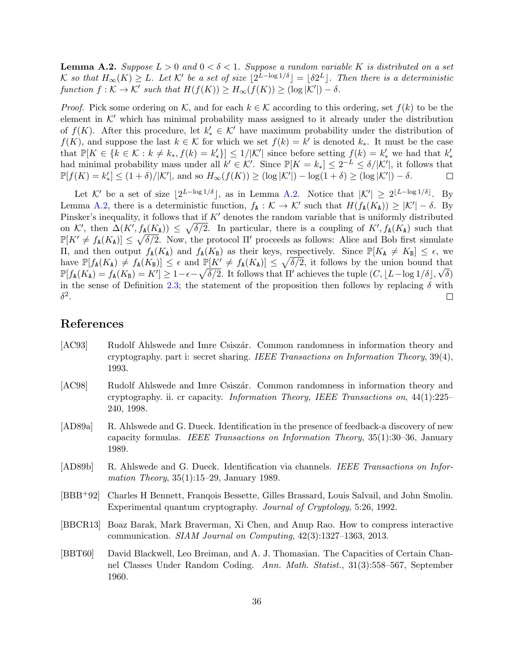<span id="page-36-7"></span>**Lemma A.2.** Suppose  $L > 0$  and  $0 < \delta < 1$ . Suppose a random variable K is distributed on a set K so that  $H_{\infty}(K) \geq L$ . Let K' be a set of size  $\lfloor 2^{L-\log 1/\delta} \rfloor = \lfloor \delta 2^L \rfloor$ . Then there is a deterministic function  $f : \mathcal{K} \to \mathcal{K}'$  such that  $H(f(K)) \geq H_{\infty}(f(K)) \geq (\log |\mathcal{K}'|) - \delta$ .

*Proof.* Pick some ordering on K, and for each  $k \in K$  according to this ordering, set  $f(k)$  to be the element in  $K'$  which has minimal probability mass assigned to it already under the distribution of  $f(K)$ . After this procedure, let  $k'_{*} \in \mathcal{K}'$  have maximum probability under the distribution of  $f(K)$ , and suppose the last  $k \in K$  for which we set  $f(k) = k'$  is denoted  $k_*$ . It must be the case that  $\mathbb{P}[K \in \{k \in \mathcal{K} : k \neq k_*, f(k) = k'_*\}] \leq 1/|\mathcal{K}'|$  since before setting  $f(k) = k'_*$  we had that  $k'_*$ had minimal probability mass under all  $k' \in \mathcal{K}'$ . Since  $\mathbb{P}[K = k_*] \leq 2^{-L} \leq \delta/|\mathcal{K}'|$ , it follows that  $\mathbb{P}[f(K) = k'_*] \leq (1+\delta)/|\mathcal{K}'|$ , and so  $H_{\infty}(f(K)) \geq (\log |\mathcal{K}'|) - \log(1+\delta) \geq (\log |\mathcal{K}'|) - \delta$ .  $\Box$ 

Let K' be a set of size  $|2^{L-\log 1/\delta}|$ , as in Lemma [A.2.](#page-36-7) Notice that  $|K'| \geq 2^{\lfloor L-\log 1/\delta \rfloor}$ . By Lemma [A.2,](#page-36-7) there is a deterministic function,  $f_{\mathbf{A}} : \mathcal{K} \to \mathcal{K}'$  such that  $H(f_{\mathbf{A}}(K_{\mathbf{A}})) \geq |\mathcal{K}'| - \delta$ . By Pinsker's inequality, it follows that if  $K'$  denotes the random variable that is uniformly distributed on K', then  $\Delta(K', f_{\mathbf{A}}(K_{\mathbf{A}})) \leq \sqrt{\delta/2}$ . In particular, there is a coupling of  $K', f_{\mathbf{A}}(K_{\mathbf{A}})$  such that  $\mathbb{P}[K' \neq f_{\mathbf{A}}(K_{\mathbf{A}})] \leq \sqrt{\delta/2}$ . Now, the protocol  $\Pi'$  proceeds as follows: Alice and Bob first simulate II, and then output  $f_{\text{A}}(K_{\text{A}})$  and  $f_{\text{A}}(K_{\text{B}})$  as their keys, respectively. Since  $\mathbb{P}[K_{\text{A}} \neq K_{\text{B}}]$  ≤  $\epsilon$ , we have  $\mathbb{P}[f_{\mathbf{A}}(K_{\mathbf{A}}) \neq f_{\mathbf{A}}(K_{\mathbf{B}})] \leq \epsilon$  and  $\mathbb{P}[K' \neq f_{\mathbf{A}}(K_{\mathbf{A}})] \leq \sqrt{\delta/2}$ , it follows by the union bound that  $\mathbb{P}[f_{\mathbf{A}}(K_{\mathbf{A}}) = f_{\mathbf{A}}(K_{\mathbf{B}}) = K'] \ge 1 - \epsilon - \sqrt{\delta/2}$ . It follows that  $\Pi'$  achieves the tuple  $(C, \lfloor L - \log 1/\delta \rfloor, \sqrt{\delta})$ in the sense of Definition [2.3;](#page-7-0) the statement of the proposition then follows by replacing  $\delta$  with  $\delta^2.$  $\Box$ 

### References

- <span id="page-36-0"></span>[AC93] Rudolf Ahlswede and Imre Csiszár. Common randomness in information theory and cryptography. part i: secret sharing. IEEE Transactions on Information Theory,  $39(4)$ , 1993.
- <span id="page-36-1"></span>[AC98] Rudolf Ahlswede and Imre Csiszár. Common randomness in information theory and cryptography. ii. cr capacity. Information Theory, IEEE Transactions on, 44(1):225– 240, 1998.
- <span id="page-36-4"></span>[AD89a] R. Ahlswede and G. Dueck. Identification in the presence of feedback-a discovery of new capacity formulas. IEEE Transactions on Information Theory, 35(1):30–36, January 1989.
- <span id="page-36-3"></span>[AD89b] R. Ahlswede and G. Dueck. Identification via channels. IEEE Transactions on Information Theory, 35(1):15–29, January 1989.
- <span id="page-36-2"></span>[BBB+92] Charles H Bennett, Franqois Bessette, Gilles Brassard, Louis Salvail, and John Smolin. Experimental quantum cryptography. Journal of Cryptology, 5:26, 1992.
- <span id="page-36-6"></span>[BBCR13] Boaz Barak, Mark Braverman, Xi Chen, and Anup Rao. How to compress interactive communication. SIAM Journal on Computing, 42(3):1327–1363, 2013.
- <span id="page-36-5"></span>[BBT60] David Blackwell, Leo Breiman, and A. J. Thomasian. The Capacities of Certain Channel Classes Under Random Coding. Ann. Math. Statist., 31(3):558–567, September 1960.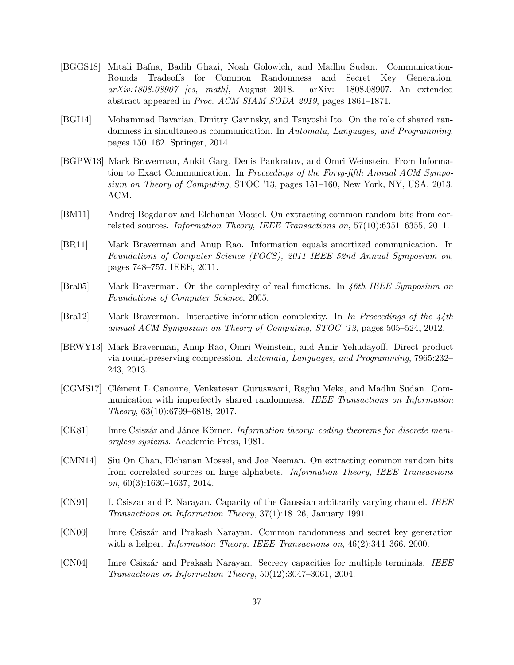- <span id="page-37-7"></span>[BGGS18] Mitali Bafna, Badih Ghazi, Noah Golowich, and Madhu Sudan. Communication-Rounds Tradeoffs for Common Randomness and Secret Key Generation. arXiv:1808.08907 [cs, math], August 2018. arXiv: 1808.08907. An extended abstract appeared in Proc. ACM-SIAM SODA 2019, pages 1861–1871.
- <span id="page-37-1"></span>[BGI14] Mohammad Bavarian, Dmitry Gavinsky, and Tsuyoshi Ito. On the role of shared randomness in simultaneous communication. In Automata, Languages, and Programming, pages 150–162. Springer, 2014.
- <span id="page-37-12"></span>[BGPW13] Mark Braverman, Ankit Garg, Denis Pankratov, and Omri Weinstein. From Information to Exact Communication. In Proceedings of the Forty-fifth Annual ACM Symposium on Theory of Computing, STOC '13, pages 151–160, New York, NY, USA, 2013. ACM.
- <span id="page-37-5"></span>[BM11] Andrej Bogdanov and Elchanan Mossel. On extracting common random bits from correlated sources. Information Theory, IEEE Transactions on, 57(10):6351–6355, 2011.
- <span id="page-37-8"></span>[BR11] Mark Braverman and Anup Rao. Information equals amortized communication. In Foundations of Computer Science (FOCS), 2011 IEEE 52nd Annual Symposium on, pages 748–757. IEEE, 2011.
- <span id="page-37-11"></span>[Bra05] Mark Braverman. On the complexity of real functions. In 46th IEEE Symposium on Foundations of Computer Science, 2005.
- <span id="page-37-13"></span>[Bra12] Mark Braverman. Interactive information complexity. In In Proceedings of the 44th annual ACM Symposium on Theory of Computing, STOC '12, pages 505–524, 2012.
- <span id="page-37-9"></span>[BRWY13] Mark Braverman, Anup Rao, Omri Weinstein, and Amir Yehudayoff. Direct product via round-preserving compression. Automata, Languages, and Programming, 7965:232– 243, 2013.
- <span id="page-37-0"></span>[CGMS17] Clément L Canonne, Venkatesan Guruswami, Raghu Meka, and Madhu Sudan. Communication with imperfectly shared randomness. IEEE Transactions on Information Theory, 63(10):6799–6818, 2017.
- <span id="page-37-10"></span>[CK81] Imre Csiszár and János Körner. *Information theory: coding theorems for discrete mem*oryless systems. Academic Press, 1981.
- <span id="page-37-6"></span>[CMN14] Siu On Chan, Elchanan Mossel, and Joe Neeman. On extracting common random bits from correlated sources on large alphabets. Information Theory, IEEE Transactions  $\textit{on}, 60(3):1630-1637, 2014.$
- <span id="page-37-2"></span>[CN91] I. Csiszar and P. Narayan. Capacity of the Gaussian arbitrarily varying channel. IEEE Transactions on Information Theory, 37(1):18–26, January 1991.
- <span id="page-37-3"></span>[CN00] Imre Csiszár and Prakash Narayan. Common randomness and secret key generation with a helper. Information Theory, IEEE Transactions on,  $46(2):344-366, 2000$ .
- <span id="page-37-4"></span>[CN04] Imre Csiszár and Prakash Narayan. Secrecy capacities for multiple terminals. IEEE Transactions on Information Theory, 50(12):3047–3061, 2004.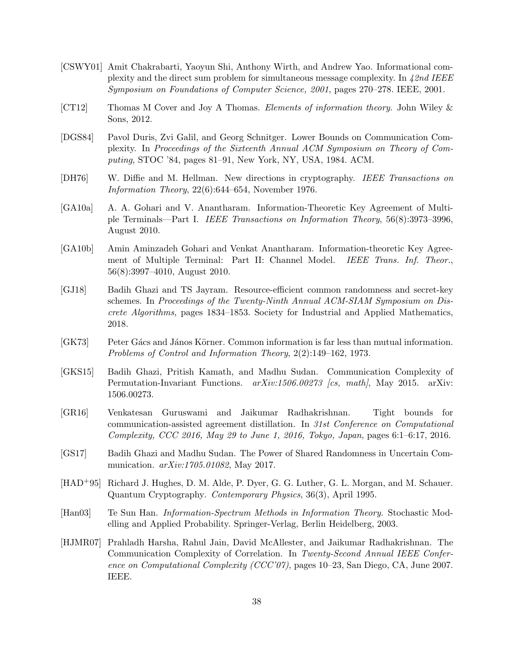- <span id="page-38-11"></span>[CSWY01] Amit Chakrabarti, Yaoyun Shi, Anthony Wirth, and Andrew Yao. Informational complexity and the direct sum problem for simultaneous message complexity. In  $42nd$  IEEE Symposium on Foundations of Computer Science, 2001, pages 270–278. IEEE, 2001.
- <span id="page-38-9"></span>[CT12] Thomas M Cover and Joy A Thomas. Elements of information theory. John Wiley & Sons, 2012.
- <span id="page-38-10"></span>[DGS84] Pavol Duris, Zvi Galil, and Georg Schnitger. Lower Bounds on Communication Complexity. In Proceedings of the Sixteenth Annual ACM Symposium on Theory of Computing, STOC '84, pages 81–91, New York, NY, USA, 1984. ACM.
- <span id="page-38-0"></span>[DH76] W. Diffie and M. Hellman. New directions in cryptography. IEEE Transactions on Information Theory, 22(6):644–654, November 1976.
- <span id="page-38-5"></span>[GA10a] A. A. Gohari and V. Anantharam. Information-Theoretic Key Agreement of Multiple Terminals—Part I. IEEE Transactions on Information Theory, 56(8):3973–3996, August 2010.
- <span id="page-38-6"></span>[GA10b] Amin Aminzadeh Gohari and Venkat Anantharam. Information-theoretic Key Agreement of Multiple Terminal: Part II: Channel Model. *IEEE Trans. Inf. Theor.*, 56(8):3997–4010, August 2010.
- <span id="page-38-4"></span>[GJ18] Badih Ghazi and TS Jayram. Resource-efficient common randomness and secret-key schemes. In Proceedings of the Twenty-Ninth Annual ACM-SIAM Symposium on Discrete Algorithms, pages 1834–1853. Society for Industrial and Applied Mathematics, 2018.
- <span id="page-38-7"></span>[GK73] Peter Gács and János Körner. Common information is far less than mutual information. Problems of Control and Information Theory, 2(2):149–162, 1973.
- <span id="page-38-2"></span>[GKS15] Badih Ghazi, Pritish Kamath, and Madhu Sudan. Communication Complexity of Permutation-Invariant Functions. arXiv:1506.00273 [cs, math], May 2015. arXiv: 1506.00273.
- <span id="page-38-8"></span>[GR16] Venkatesan Guruswami and Jaikumar Radhakrishnan. Tight bounds for communication-assisted agreement distillation. In 31st Conference on Computational Complexity, CCC 2016, May 29 to June 1, 2016, Tokyo, Japan, pages 6:1–6:17, 2016.
- <span id="page-38-3"></span>[GS17] Badih Ghazi and Madhu Sudan. The Power of Shared Randomness in Uncertain Communication.  $arXiv:1705.01082$ , May 2017.
- <span id="page-38-1"></span>[HAD+95] Richard J. Hughes, D. M. Alde, P. Dyer, G. G. Luther, G. L. Morgan, and M. Schauer. Quantum Cryptography. Contemporary Physics, 36(3), April 1995.
- <span id="page-38-13"></span>[Han03] Te Sun Han. Information-Spectrum Methods in Information Theory. Stochastic Modelling and Applied Probability. Springer-Verlag, Berlin Heidelberg, 2003.
- <span id="page-38-12"></span>[HJMR07] Prahladh Harsha, Rahul Jain, David McAllester, and Jaikumar Radhakrishnan. The Communication Complexity of Correlation. In Twenty-Second Annual IEEE Conference on Computational Complexity (CCC'07), pages 10–23, San Diego, CA, June 2007. IEEE.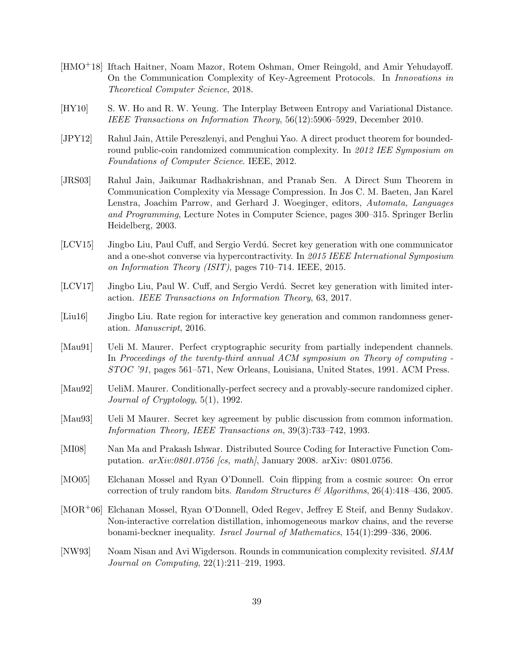- <span id="page-39-12"></span>[HMO+18] Iftach Haitner, Noam Mazor, Rotem Oshman, Omer Reingold, and Amir Yehudayoff. On the Communication Complexity of Key-Agreement Protocols. In Innovations in Theoretical Computer Science, 2018.
- <span id="page-39-13"></span>[HY10] S. W. Ho and R. W. Yeung. The Interplay Between Entropy and Variational Distance. IEEE Transactions on Information Theory, 56(12):5906–5929, December 2010.
- <span id="page-39-11"></span>[JPY12] Rahul Jain, Attile Pereszlenyi, and Penghui Yao. A direct product theorem for boundedround public-coin randomized communication complexity. In 2012 IEE Symposium on Foundations of Computer Science. IEEE, 2012.
- <span id="page-39-10"></span>[JRS03] Rahul Jain, Jaikumar Radhakrishnan, and Pranab Sen. A Direct Sum Theorem in Communication Complexity via Message Compression. In Jos C. M. Baeten, Jan Karel Lenstra, Joachim Parrow, and Gerhard J. Woeginger, editors, Automata, Languages and Programming, Lecture Notes in Computer Science, pages 300–315. Springer Berlin Heidelberg, 2003.
- <span id="page-39-3"></span>[LCV15] Jingbo Liu, Paul Cuff, and Sergio Verd´u. Secret key generation with one communicator and a one-shot converse via hypercontractivity. In 2015 IEEE International Symposium on Information Theory (ISIT), pages 710–714. IEEE, 2015.
- <span id="page-39-5"></span>[LCV17] Jingbo Liu, Paul W. Cuff, and Sergio Verdú. Secret key generation with limited interaction. IEEE Transactions on Information Theory, 63, 2017.
- <span id="page-39-4"></span>[Liu16] Jingbo Liu. Rate region for interactive key generation and common randomness generation. Manuscript, 2016.
- <span id="page-39-0"></span>[Mau91] Ueli M. Maurer. Perfect cryptographic security from partially independent channels. In Proceedings of the twenty-third annual ACM symposium on Theory of computing - STOC '91, pages 561–571, New Orleans, Louisiana, United States, 1991. ACM Press.
- <span id="page-39-1"></span>[Mau92] UeliM. Maurer. Conditionally-perfect secrecy and a provably-secure randomized cipher. Journal of Cryptology, 5(1), 1992.
- <span id="page-39-2"></span>[Mau93] Ueli M Maurer. Secret key agreement by public discussion from common information. Information Theory, IEEE Transactions on, 39(3):733–742, 1993.
- <span id="page-39-8"></span>[MI08] Nan Ma and Prakash Ishwar. Distributed Source Coding for Interactive Function Computation. arXiv:0801.0756 [cs, math], January 2008. arXiv: 0801.0756.
- <span id="page-39-6"></span>[MO05] Elchanan Mossel and Ryan O'Donnell. Coin flipping from a cosmic source: On error correction of truly random bits. Random Structures  $\mathcal{B}$  Algorithms, 26(4):418–436, 2005.
- <span id="page-39-7"></span>[MOR+06] Elchanan Mossel, Ryan O'Donnell, Oded Regev, Jeffrey E Steif, and Benny Sudakov. Non-interactive correlation distillation, inhomogeneous markov chains, and the reverse bonami-beckner inequality. Israel Journal of Mathematics, 154(1):299–336, 2006.
- <span id="page-39-9"></span>[NW93] Noam Nisan and Avi Wigderson. Rounds in communication complexity revisited. SIAM Journal on Computing, 22(1):211–219, 1993.